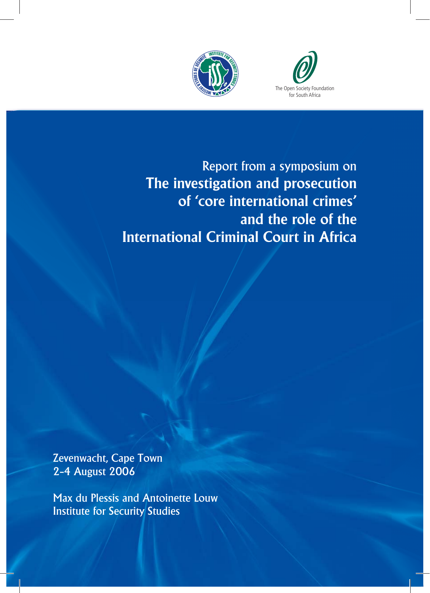



Report from a symposium on **The investigation and prosecution of 'core international crimes' and the role of the International Criminal Court in Africa**

Zevenwacht, Cape Town 2–4 August 2006

Max du Plessis and Antoinette Louw Institute for Security Studies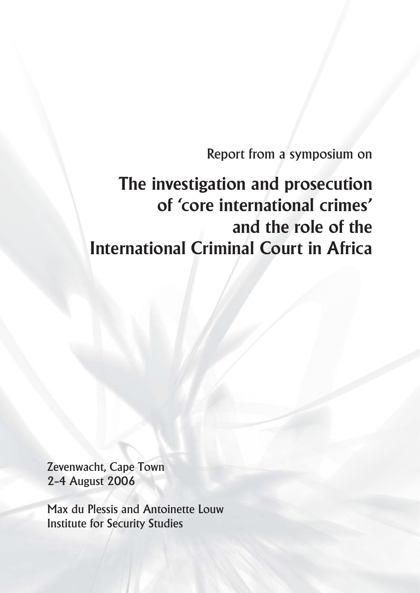Report from a symposium on

# **The investigation and prosecution of 'core international crimes' and the role of the International Criminal Court in Africa**

Zevenwacht, Cape Town 2–4 August 2006

Max du Plessis and Antoinette Louw Institute for Security Studies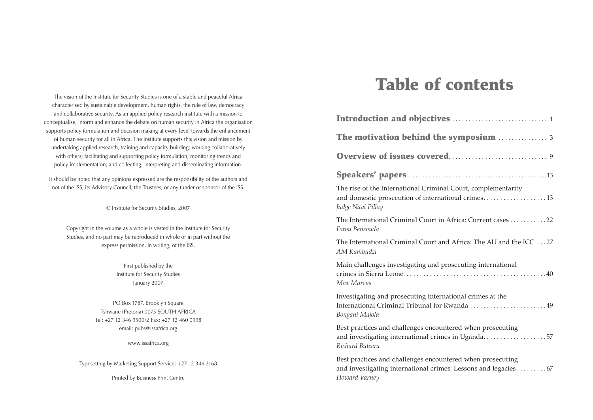The vision of the Institute for Security Studies is one of a stable and peaceful Africa characterised by sustainable development, human rights, the rule of law, democracy and collaborative security. As an applied policy research institute with a mission to conceptualise, inform and enhance the debate on human security in Africa the organisation supports policy formulation and decision making at every level towards the enhancement of human security for all in Africa. The Institute supports this vision and mission by undertaking applied research, training and capacity building; working collaboratively with others; facilitating and supporting policy formulation; monitoring trends and policy implementation; and collecting, interpreting and disseminating information.

It should be noted that any opinions expressed are the responsibility of the authors and not of the ISS, its Advisory Council, the Trustees, or any funder or sponsor of the ISS.

© Institute for Security Studies, 2007

Copyright in the volume as a whole is vested in the Institute for Security Studies, and no part may be reproduced in whole or in part without the express permission, in writing, of the ISS.

> First published by the Institute for Security Studies January 2007

PO Box 1787, Brooklyn Square Tshwane (Pretoria) 0075 SOUTH AFRICA Tel: +27 12 346 9500/2 Fax: +27 12 460 0998 email: pubs@issafrica.org

www.issafrica.org

Typesetting by Marketing Support Services +27 12 346 2168

Printed by Business Print Centre

# **Table of contents**

| The rise of the International Criminal Court, complementarity<br>and domestic prosecution of international crimes13<br>Judge Navi Pillay      |
|-----------------------------------------------------------------------------------------------------------------------------------------------|
| The International Criminal Court in Africa: Current cases22<br>Fatou Bensouda                                                                 |
| The International Criminal Court and Africa: The AU and the ICC 27<br>AM Kambudzi                                                             |
| Main challenges investigating and prosecuting international<br>Max Marcus                                                                     |
| Investigating and prosecuting international crimes at the<br>International Criminal Tribunal for Rwanda 49<br>Bongani Majola                  |
| Best practices and challenges encountered when prosecuting<br>and investigating international crimes in Uganda57<br>Richard Buteera           |
| Best practices and challenges encountered when prosecuting<br>and investigating international crimes: Lessons and legacies67<br>Howard Varney |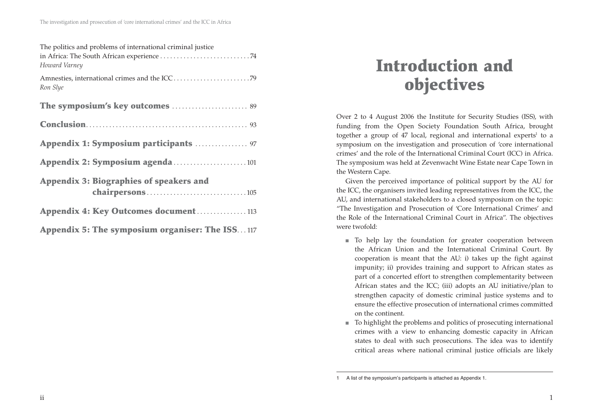| The politics and problems of international criminal justice<br>Howard Varney |
|------------------------------------------------------------------------------|
| Ron Slye                                                                     |
| The symposium's key outcomes  89                                             |
|                                                                              |
| Appendix 1: Symposium participants  97                                       |
| Appendix 2: Symposium agenda101                                              |
| <b>Appendix 3: Biographies of speakers and</b>                               |
| Appendix 4: Key Outcomes document113                                         |
| Appendix 5: The symposium organiser: The ISS117                              |

# **Introduction and objectives**

Over 2 to 4 August 2006 the Institute for Security Studies (ISS), with funding from the Open Society Foundation South Africa, brought together a group of 47 local, regional and international experts<sup>1</sup> to a symposium on the investigation and prosecution of 'core international crimes' and the role of the International Criminal Court (ICC) in Africa. The symposium was held at Zevenwacht Wine Estate near Cape Town in the Western Cape.

Given the perceived importance of political support by the AU for the ICC, the organisers invited leading representatives from the ICC, the AU, and international stakeholders to a closed symposium on the topic: "The Investigation and Prosecution of 'Core International Crimes' and the Role of the International Criminal Court in Africa". The objectives were twofold:

- To help lay the foundation for greater cooperation between the African Union and the International Criminal Court. By cooperation is meant that the AU: i) takes up the fight against impunity; ii) provides training and support to African states as part of a concerted effort to strengthen complementarity between African states and the ICC; (iii) adopts an AU initiative/plan to strengthen capacity of domestic criminal justice systems and to ensure the effective prosecution of international crimes committed on the continent.
- To highlight the problems and politics of prosecuting international crimes with a view to enhancing domestic capacity in African states to deal with such prosecutions. The idea was to identify critical areas where national criminal justice officials are likely

<sup>1</sup> A list of the symposium's participants is attached as Appendix 1.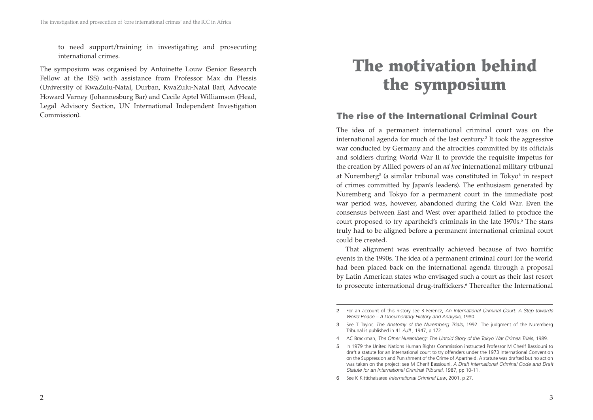to need support/training in investigating and prosecuting international crimes.

The symposium was organised by Antoinette Louw (Senior Research Fellow at the ISS) with assistance from Professor Max du Plessis (University of KwaZulu-Natal, Durban, KwaZulu-Natal Bar), Advocate Howard Varney (Johannesburg Bar) and Cecile Aptel Williamson (Head, Legal Advisory Section, UN International Independent Investigation Commission).

# **The motivation behind the symposium**

## **The rise of the International Criminal Court**

The idea of a permanent international criminal court was on the international agenda for much of the last century.<sup>2</sup> It took the aggressive war conducted by Germany and the atrocities committed by its officials and soldiers during World War II to provide the requisite impetus for the creation by Allied powers of an *ad hoc* international military tribunal at Nuremberg<sup>3</sup> (a similar tribunal was constituted in Tokyo<sup>4</sup> in respect of crimes committed by Japan's leaders). The enthusiasm generated by Nuremberg and Tokyo for a permanent court in the immediate post war period was, however, abandoned during the Cold War. Even the consensus between East and West over apartheid failed to produce the court proposed to try apartheid's criminals in the late 1970s.<sup>5</sup> The stars truly had to be aligned before a permanent international criminal court could be created.

That alignment was eventually achieved because of two horrific events in the 1990s. The idea of a permanent criminal court for the world had been placed back on the international agenda through a proposal by Latin American states who envisaged such a court as their last resort to prosecute international drug-traffickers.<sup>6</sup> Thereafter the International

<sup>2</sup> For an account of this history see B Ferencz, *An International Criminal Court: A Step towards World Peace – A Documentary History and Analysis*, 1980.

<sup>3</sup> See T Taylor, *The Anatomy of the Nuremberg Trials,* 1992. The judgment of the Nuremberg Tribunal is published in 41 *AJIL*, 1947, p 172.

<sup>4</sup> AC Brackman, *The Other Nuremberg: The Untold Story of the Tokyo War Crimes Trials,* 1989.

<sup>5</sup> In 1979 the United Nations Human Rights Commission instructed Professor M Cherif Bassiouni to draft a statute for an international court to try offenders under the 1973 International Convention on the Suppression and Punishment of the Crime of Apartheid. A statute was drafted but no action was taken on the project: see M Cherif Bassiouni, *A Draft International Criminal Code and Draft Statute for an International Criminal Tribunal*, 1987, pp 10-11.

<sup>6</sup> See K Kittichaisaree *International Criminal Law*, 2001, p 27.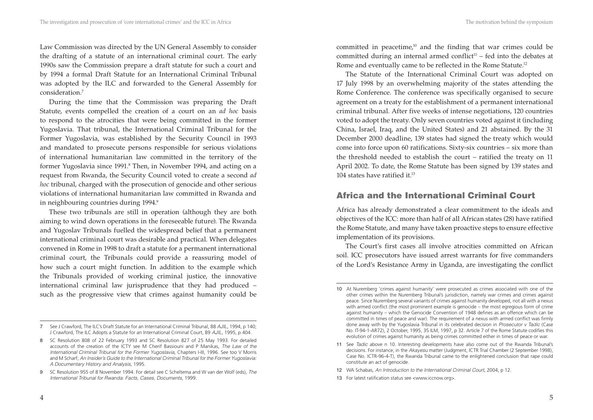Law Commission was directed by the UN General Assembly to consider the drafting of a statute of an international criminal court. The early 1990s saw the Commission prepare a draft statute for such a court and by 1994 a formal Draft Statute for an International Criminal Tribunal was adopted by the ILC and forwarded to the General Assembly for consideration.7

During the time that the Commission was preparing the Draft Statute, events compelled the creation of a court on an *ad hoc* basis to respond to the atrocities that were being committed in the former Yugoslavia. That tribunal, the International Criminal Tribunal for the Former Yugoslavia, was established by the Security Council in 1993 and mandated to prosecute persons responsible for serious violations of international humanitarian law committed in the territory of the former Yugoslavia since 1991.<sup>8</sup> Then, in November 1994, and acting on a request from Rwanda, the Security Council voted to create a second *ad hoc* tribunal, charged with the prosecution of genocide and other serious violations of international humanitarian law committed in Rwanda and in neighbouring countries during 1994.9

These two tribunals are still in operation (although they are both aiming to wind down operations in the foreseeable future). The Rwanda and Yugoslav Tribunals fuelled the widespread belief that a permanent international criminal court was desirable and practical. When delegates convened in Rome in 1998 to draft a statute for a permanent international criminal court, the Tribunals could provide a reassuring model of how such a court might function. In addition to the example which the Tribunals provided of working criminal justice, the innovative international criminal law jurisprudence that they had produced – such as the progressive view that crimes against humanity could be committed in peacetime, $10^{\circ}$  and the finding that war crimes could be committed during an internal armed conflict<sup>11</sup> – fed into the debates at Rome and eventually came to be reflected in the Rome Statute.12

The Statute of the International Criminal Court was adopted on 17 July 1998 by an overwhelming majority of the states attending the Rome Conference. The conference was specifically organised to secure agreement on a treaty for the establishment of a permanent international criminal tribunal. After five weeks of intense negotiations, 120 countries voted to adopt the treaty. Only seven countries voted against it (including China, Israel, Iraq, and the United States) and 21 abstained. By the 31 December 2000 deadline, 139 states had signed the treaty which would come into force upon 60 ratifications. Sixty-six countries – six more than the threshold needed to establish the court – ratified the treaty on 11 April 2002. To date, the Rome Statute has been signed by 139 states and 104 states have ratified it.13

## **Africa and the International Criminal Court**

Africa has already demonstrated a clear commitment to the ideals and objectives of the ICC: more than half of all African states (28) have ratified the Rome Statute, and many have taken proactive steps to ensure effective implementation of its provisions.

The Court's first cases all involve atrocities committed on African soil. ICC prosecutors have issued arrest warrants for five commanders of the Lord's Resistance Army in Uganda, are investigating the conflict

<sup>7</sup> See J Crawford, The ILC's Draft Statute for an International Criminal Tribunal, 88 *AJIL,* 1994, p 140; J Crawford, The ILC Adopts a Statute for an International Criminal Court, 89 *AJIL*, 1995, p 404.

<sup>8</sup> SC Resolution 808 of 22 February 1993 and SC Resolution 827 of 25 May 1993. For detailed accounts of the creation of the ICTY see M Cherif Bassiouni and P Manikas, *The Law of the International Criminal Tribunal for the Former Yugoslavia*, Chapters I-III, 1996. See too V Morris and M Scharf, *An Insider's Guide to the International Criminal Tribunal for the Former Yugoslavia: A Documentary History and Analysis*, 1995.

<sup>9</sup> SC Resolution 955 of 8 November 1994. For detail see C Scheltema and W van der Wolf (eds), *The International Tribunal for Rwanda: Facts, Cases, Documents*, 1999.

<sup>10</sup> At Nuremberg 'crimes against humanity' were prosecuted as crimes associated with one of the other crimes within the Nuremberg Tribunal's jurisdiction, namely war crimes and crimes against peace. Since Nuremberg several variants of crimes against humanity developed, not all with a nexus with armed conflict (the most prominent example is genocide – the most egregious form of crime against humanity – which the Genocide Convention of 1948 defines as an offence which can be committed in times of peace and war). The requirement of a nexus with armed conflict was firmly done away with by the Yugoslavia Tribunal in its celebrated decision in *Prosecutor v Tadic* (Case No. IT-94-1-AR72), 2 October, 1995, 35 ILM, 1997, p 32. Article 7 of the Rome Statute codifies this evolution of crimes against humanity as being crimes committed either in times of peace or war.

<sup>11</sup> See *Tadic* above n 10. Interesting developments have also come out of the Rwanda Tribunal's decisions. For instance, in the *Akayesu* matter (Judgment, ICTR Trial Chamber (2 September 1998), Case No. ICTR-96-4-T), the Rwanda Tribunal came to the enlightened conclusion that rape could constitute an act of genocide.

<sup>12</sup> WA Schabas, *An Introduction to the International Criminal Court,* 2004, p 12.

<sup>13</sup> For latest ratification status see <www.iccnow.org>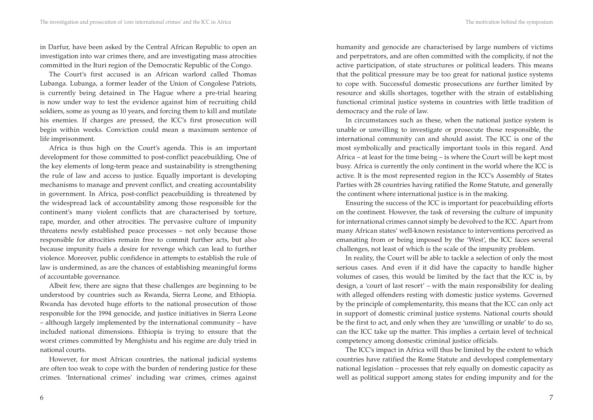in Darfur, have been asked by the Central African Republic to open an investigation into war crimes there, and are investigating mass atrocities committed in the Ituri region of the Democratic Republic of the Congo.

The Court's first accused is an African warlord called Thomas Lubanga. Lubanga, a former leader of the Union of Congolese Patriots, is currently being detained in The Hague where a pre-trial hearing is now under way to test the evidence against him of recruiting child soldiers, some as young as 10 years, and forcing them to kill and mutilate his enemies. If charges are pressed, the ICC's first prosecution will begin within weeks. Conviction could mean a maximum sentence of life imprisonment.

Africa is thus high on the Court's agenda. This is an important development for those committed to post-conflict peacebuilding. One of the key elements of long-term peace and sustainability is strengthening the rule of law and access to justice. Equally important is developing mechanisms to manage and prevent conflict, and creating accountability in government. In Africa, post-conflict peacebuilding is threatened by the widespread lack of accountability among those responsible for the continent's many violent conflicts that are characterised by torture, rape, murder, and other atrocities. The pervasive culture of impunity threatens newly established peace processes – not only because those responsible for atrocities remain free to commit further acts, but also because impunity fuels a desire for revenge which can lead to further violence. Moreover, public confidence in attempts to establish the rule of law is undermined, as are the chances of establishing meaningful forms of accountable governance.

Albeit few, there are signs that these challenges are beginning to be understood by countries such as Rwanda, Sierra Leone, and Ethiopia. Rwanda has devoted huge efforts to the national prosecution of those responsible for the 1994 genocide, and justice initiatives in Sierra Leone – although largely implemented by the international community – have included national dimensions. Ethiopia is trying to ensure that the worst crimes committed by Menghistu and his regime are duly tried in national courts.

However, for most African countries, the national judicial systems are often too weak to cope with the burden of rendering justice for these crimes. 'International crimes' including war crimes, crimes against humanity and genocide are characterised by large numbers of victims and perpetrators, and are often committed with the complicity, if not the active participation, of state structures or political leaders. This means that the political pressure may be too great for national justice systems to cope with. Successful domestic prosecutions are further limited by resource and skills shortages, together with the strain of establishing functional criminal justice systems in countries with little tradition of democracy and the rule of law.

In circumstances such as these, when the national justice system is unable or unwilling to investigate or prosecute those responsible, the international community can and should assist. The ICC is one of the most symbolically and practically important tools in this regard. And Africa – at least for the time being – is where the Court will be kept most busy. Africa is currently the only continent in the world where the ICC is active. It is the most represented region in the ICC's Assembly of States Parties with 28 countries having ratified the Rome Statute, and generally the continent where international justice is in the making.

Ensuring the success of the ICC is important for peacebuilding efforts on the continent. However, the task of reversing the culture of impunity for international crimes cannot simply be devolved to the ICC. Apart from many African states' well-known resistance to interventions perceived as emanating from or being imposed by the 'West', the ICC faces several challenges, not least of which is the scale of the impunity problem.

In reality, the Court will be able to tackle a selection of only the most serious cases. And even if it did have the capacity to handle higher volumes of cases, this would be limited by the fact that the ICC is, by design, a 'court of last resort' – with the main responsibility for dealing with alleged offenders resting with domestic justice systems. Governed by the principle of complementarity, this means that the ICC can only act in support of domestic criminal justice systems. National courts should be the first to act, and only when they are 'unwilling or unable' to do so, can the ICC take up the matter. This implies a certain level of technical competency among domestic criminal justice officials.

The ICC's impact in Africa will thus be limited by the extent to which countries have ratified the Rome Statute and developed complementary national legislation – processes that rely equally on domestic capacity as well as political support among states for ending impunity and for the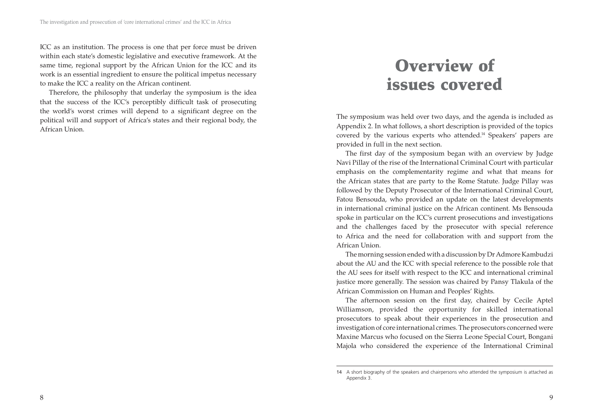ICC as an institution. The process is one that per force must be driven within each state's domestic legislative and executive framework. At the same time, regional support by the African Union for the ICC and its work is an essential ingredient to ensure the political impetus necessary to make the ICC a reality on the African continent.

Therefore, the philosophy that underlay the symposium is the idea that the success of the ICC's perceptibly difficult task of prosecuting the world's worst crimes will depend to a significant degree on the political will and support of Africa's states and their regional body, the African Union.

# **Overview of issues covered**

The symposium was held over two days, and the agenda is included as Appendix 2. In what follows, a short description is provided of the topics covered by the various experts who attended.14 Speakers' papers are provided in full in the next section.

The first day of the symposium began with an overview by Judge Navi Pillay of the rise of the International Criminal Court with particular emphasis on the complementarity regime and what that means for the African states that are party to the Rome Statute. Judge Pillay was followed by the Deputy Prosecutor of the International Criminal Court, Fatou Bensouda, who provided an update on the latest developments in international criminal justice on the African continent. Ms Bensouda spoke in particular on the ICC's current prosecutions and investigations and the challenges faced by the prosecutor with special reference to Africa and the need for collaboration with and support from the African Union.

The morning session ended with a discussion by Dr Admore Kambudzi about the AU and the ICC with special reference to the possible role that the AU sees for itself with respect to the ICC and international criminal justice more generally. The session was chaired by Pansy Tlakula of the African Commission on Human and Peoples' Rights.

The afternoon session on the first day, chaired by Cecile Aptel Williamson, provided the opportunity for skilled international prosecutors to speak about their experiences in the prosecution and investigation of core international crimes. The prosecutors concerned were Maxine Marcus who focused on the Sierra Leone Special Court, Bongani Majola who considered the experience of the International Criminal

<sup>14</sup> A short biography of the speakers and chairpersons who attended the symposium is attached as Appendix 3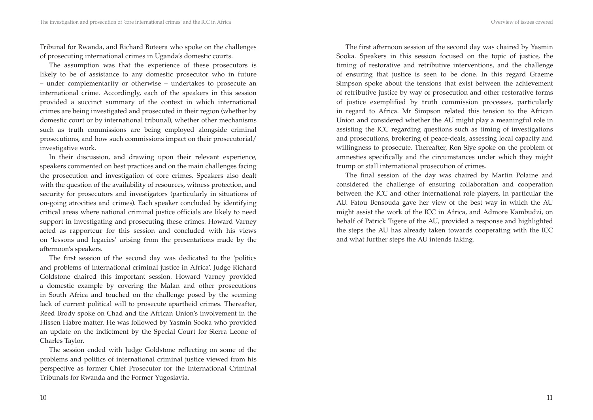Tribunal for Rwanda, and Richard Buteera who spoke on the challenges of prosecuting international crimes in Uganda's domestic courts.

The assumption was that the experience of these prosecutors is likely to be of assistance to any domestic prosecutor who in future – under complementarity or otherwise – undertakes to prosecute an international crime. Accordingly, each of the speakers in this session provided a succinct summary of the context in which international crimes are being investigated and prosecuted in their region (whether by domestic court or by international tribunal), whether other mechanisms such as truth commissions are being employed alongside criminal prosecutions, and how such commissions impact on their prosecutorial/ investigative work.

In their discussion, and drawing upon their relevant experience, speakers commented on best practices and on the main challenges facing the prosecution and investigation of core crimes. Speakers also dealt with the question of the availability of resources, witness protection, and security for prosecutors and investigators (particularly in situations of on-going atrocities and crimes). Each speaker concluded by identifying critical areas where national criminal justice officials are likely to need support in investigating and prosecuting these crimes. Howard Varney acted as rapporteur for this session and concluded with his views on 'lessons and legacies' arising from the presentations made by the afternoon's speakers.

The first session of the second day was dedicated to the 'politics and problems of international criminal justice in Africa'. Judge Richard Goldstone chaired this important session. Howard Varney provided a domestic example by covering the Malan and other prosecutions in South Africa and touched on the challenge posed by the seeming lack of current political will to prosecute apartheid crimes. Thereafter, Reed Brody spoke on Chad and the African Union's involvement in the Hissen Habre matter. He was followed by Yasmin Sooka who provided an update on the indictment by the Special Court for Sierra Leone of Charles Taylor.

The session ended with Judge Goldstone reflecting on some of the problems and politics of international criminal justice viewed from his perspective as former Chief Prosecutor for the International Criminal Tribunals for Rwanda and the Former Yugoslavia.

The first afternoon session of the second day was chaired by Yasmin Sooka. Speakers in this session focused on the topic of justice, the timing of restorative and retributive interventions, and the challenge of ensuring that justice is seen to be done. In this regard Graeme Simpson spoke about the tensions that exist between the achievement of retributive justice by way of prosecution and other restorative forms of justice exemplified by truth commission processes, particularly in regard to Africa. Mr Simpson related this tension to the African Union and considered whether the AU might play a meaningful role in assisting the ICC regarding questions such as timing of investigations and prosecutions, brokering of peace-deals, assessing local capacity and willingness to prosecute. Thereafter, Ron Slye spoke on the problem of amnesties specifically and the circumstances under which they might trump or stall international prosecution of crimes.

The final session of the day was chaired by Martin Polaine and considered the challenge of ensuring collaboration and cooperation between the ICC and other international role players, in particular the AU. Fatou Bensouda gave her view of the best way in which the AU might assist the work of the ICC in Africa, and Admore Kambudzi, on behalf of Patrick Tigere of the AU, provided a response and highlighted the steps the AU has already taken towards cooperating with the ICC and what further steps the AU intends taking.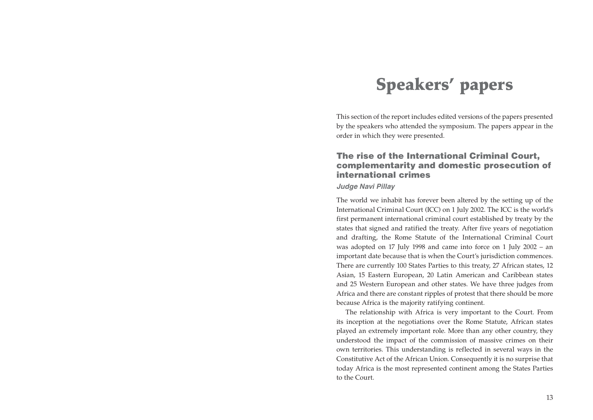# **Speakers' papers**

This section of the report includes edited versions of the papers presented by the speakers who attended the symposium. The papers appear in the order in which they were presented.

### **The rise of the International Criminal Court, complementarity and domestic prosecution of international crimes**

#### *Judge Navi Pillay*

The world we inhabit has forever been altered by the setting up of the International Criminal Court (ICC) on 1 July 2002. The ICC is the world's first permanent international criminal court established by treaty by the states that signed and ratified the treaty. After five years of negotiation and drafting, the Rome Statute of the International Criminal Court was adopted on 17 July 1998 and came into force on 1 July 2002 – an important date because that is when the Court's jurisdiction commences. There are currently 100 States Parties to this treaty, 27 African states, 12 Asian, 15 Eastern European, 20 Latin American and Caribbean states and 25 Western European and other states. We have three judges from Africa and there are constant ripples of protest that there should be more because Africa is the majority ratifying continent.

The relationship with Africa is very important to the Court. From its inception at the negotiations over the Rome Statute, African states played an extremely important role. More than any other country, they understood the impact of the commission of massive crimes on their own territories. This understanding is reflected in several ways in the Constitutive Act of the African Union. Consequently it is no surprise that today Africa is the most represented continent among the States Parties to the Court.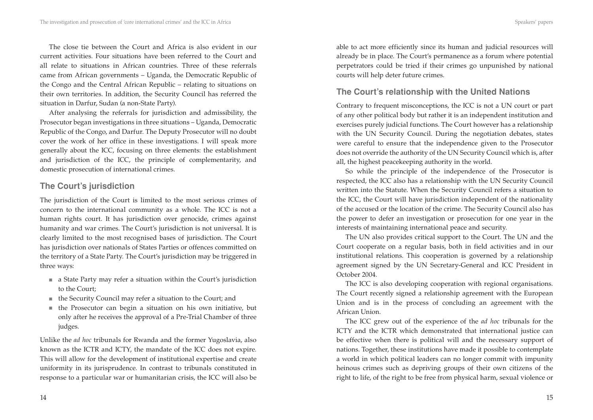The close tie between the Court and Africa is also evident in our current activities. Four situations have been referred to the Court and all relate to situations in African countries. Three of these referrals came from African governments – Uganda, the Democratic Republic of the Congo and the Central African Republic – relating to situations on their own territories. In addition, the Security Council has referred the situation in Darfur, Sudan (a non-State Party).

After analysing the referrals for jurisdiction and admissibility, the Prosecutor began investigations in three situations – Uganda, Democratic Republic of the Congo, and Darfur. The Deputy Prosecutor will no doubt cover the work of her office in these investigations. I will speak more generally about the ICC, focusing on three elements: the establishment and jurisdiction of the ICC, the principle of complementarity, and domestic prosecution of international crimes.

# **The Court's jurisdiction**

The jurisdiction of the Court is limited to the most serious crimes of concern to the international community as a whole. The ICC is not a human rights court. It has jurisdiction over genocide, crimes against humanity and war crimes. The Court's jurisdiction is not universal. It is clearly limited to the most recognised bases of jurisdiction. The Court has jurisdiction over nationals of States Parties or offences committed on the territory of a State Party. The Court's jurisdiction may be triggered in three ways:

- a State Party may refer a situation within the Court's jurisdiction to the Court;
- the Security Council may refer a situation to the Court; and
- the Prosecutor can begin a situation on his own initiative, but only after he receives the approval of a Pre-Trial Chamber of three judges.

Unlike the *ad hoc* tribunals for Rwanda and the former Yugoslavia, also known as the ICTR and ICTY, the mandate of the ICC does not expire. This will allow for the development of institutional expertise and create uniformity in its jurisprudence. In contrast to tribunals constituted in response to a particular war or humanitarian crisis, the ICC will also be able to act more efficiently since its human and judicial resources will already be in place. The Court's permanence as a forum where potential perpetrators could be tried if their crimes go unpunished by national courts will help deter future crimes.

# **The Court's relationship with the United Nations**

Contrary to frequent misconceptions, the ICC is not a UN court or part of any other political body but rather it is an independent institution and exercises purely judicial functions. The Court however has a relationship with the UN Security Council. During the negotiation debates, states were careful to ensure that the independence given to the Prosecutor does not override the authority of the UN Security Council which is, after all, the highest peacekeeping authority in the world.

So while the principle of the independence of the Prosecutor is respected, the ICC also has a relationship with the UN Security Council written into the Statute. When the Security Council refers a situation to the ICC, the Court will have jurisdiction independent of the nationality of the accused or the location of the crime. The Security Council also has the power to defer an investigation or prosecution for one year in the interests of maintaining international peace and security.

The UN also provides critical support to the Court. The UN and the Court cooperate on a regular basis, both in field activities and in our institutional relations. This cooperation is governed by a relationship agreement signed by the UN Secretary-General and ICC President in October 2004.

The ICC is also developing cooperation with regional organisations. The Court recently signed a relationship agreement with the European Union and is in the process of concluding an agreement with the African Union.

The ICC grew out of the experience of the *ad hoc* tribunals for the ICTY and the ICTR which demonstrated that international justice can be effective when there is political will and the necessary support of nations. Together, these institutions have made it possible to contemplate a world in which political leaders can no longer commit with impunity heinous crimes such as depriving groups of their own citizens of the right to life, of the right to be free from physical harm, sexual violence or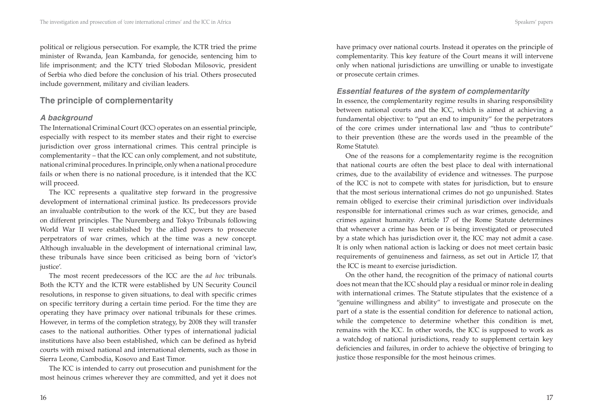political or religious persecution. For example, the ICTR tried the prime minister of Rwanda, Jean Kambanda, for genocide, sentencing him to life imprisonment; and the ICTY tried Slobodan Milosovic, president of Serbia who died before the conclusion of his trial. Others prosecuted include government, military and civilian leaders.

## **The principle of complementarity**

## *A background*

The International Criminal Court (ICC) operates on an essential principle, especially with respect to its member states and their right to exercise jurisdiction over gross international crimes. This central principle is complementarity – that the ICC can only complement, and not substitute, national criminal procedures. In principle, only when a national procedure fails or when there is no national procedure, is it intended that the ICC will proceed.

The ICC represents a qualitative step forward in the progressive development of international criminal justice. Its predecessors provide an invaluable contribution to the work of the ICC, but they are based on different principles. The Nuremberg and Tokyo Tribunals following World War II were established by the allied powers to prosecute perpetrators of war crimes, which at the time was a new concept. Although invaluable in the development of international criminal law, these tribunals have since been criticised as being born of 'victor's justice'.

The most recent predecessors of the ICC are the *ad hoc* tribunals. Both the ICTY and the ICTR were established by UN Security Council resolutions, in response to given situations, to deal with specific crimes on specific territory during a certain time period. For the time they are operating they have primacy over national tribunals for these crimes. However, in terms of the completion strategy, by 2008 they will transfer cases to the national authorities. Other types of international judicial institutions have also been established, which can be defined as hybrid courts with mixed national and international elements, such as those in Sierra Leone, Cambodia, Kosovo and East Timor.

The ICC is intended to carry out prosecution and punishment for the most heinous crimes wherever they are committed, and yet it does not have primacy over national courts. Instead it operates on the principle of complementarity. This key feature of the Court means it will intervene only when national jurisdictions are unwilling or unable to investigate or prosecute certain crimes.

#### *Essential features of the system of complementarity*

In essence, the complementarity regime results in sharing responsibility between national courts and the ICC, which is aimed at achieving a fundamental objective: to "put an end to impunity" for the perpetrators of the core crimes under international law and "thus to contribute" to their prevention (these are the words used in the preamble of the Rome Statute).

One of the reasons for a complementarity regime is the recognition that national courts are often the best place to deal with international crimes, due to the availability of evidence and witnesses. The purpose of the ICC is not to compete with states for jurisdiction, but to ensure that the most serious international crimes do not go unpunished. States remain obliged to exercise their criminal jurisdiction over individuals responsible for international crimes such as war crimes, genocide, and crimes against humanity. Article 17 of the Rome Statute determines that whenever a crime has been or is being investigated or prosecuted by a state which has jurisdiction over it, the ICC may not admit a case. It is only when national action is lacking or does not meet certain basic requirements of genuineness and fairness, as set out in Article 17, that the ICC is meant to exercise jurisdiction.

On the other hand, the recognition of the primacy of national courts does not mean that the ICC should play a residual or minor role in dealing with international crimes. The Statute stipulates that the existence of a "genuine willingness and ability" to investigate and prosecute on the part of a state is the essential condition for deference to national action, while the competence to determine whether this condition is met, remains with the ICC. In other words, the ICC is supposed to work as a watchdog of national jurisdictions, ready to supplement certain key deficiencies and failures, in order to achieve the objective of bringing to justice those responsible for the most heinous crimes.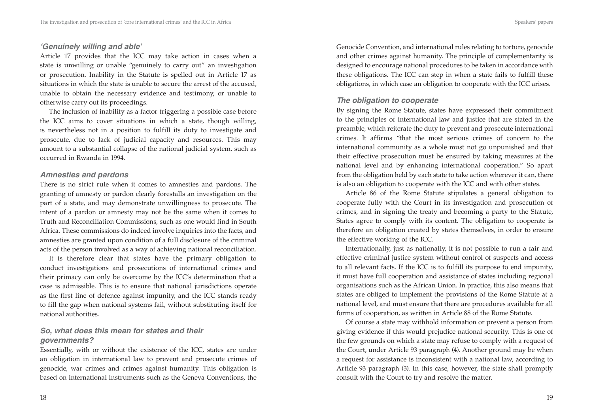#### *'Genuinely willing and able'*

Article 17 provides that the ICC may take action in cases when a state is unwilling or unable "genuinely to carry out" an investigation or prosecution. Inability in the Statute is spelled out in Article 17 as situations in which the state is unable to secure the arrest of the accused, unable to obtain the necessary evidence and testimony, or unable to otherwise carry out its proceedings.

The inclusion of inability as a factor triggering a possible case before the ICC aims to cover situations in which a state, though willing, is nevertheless not in a position to fulfill its duty to investigate and prosecute, due to lack of judicial capacity and resources. This may amount to a substantial collapse of the national judicial system, such as occurred in Rwanda in 1994.

#### *Amnesties and pardons*

There is no strict rule when it comes to amnesties and pardons. The granting of amnesty or pardon clearly forestalls an investigation on the part of a state, and may demonstrate unwillingness to prosecute. The intent of a pardon or amnesty may not be the same when it comes to Truth and Reconciliation Commissions, such as one would find in South Africa. These commissions do indeed involve inquiries into the facts, and amnesties are granted upon condition of a full disclosure of the criminal acts of the person involved as a way of achieving national reconciliation.

It is therefore clear that states have the primary obligation to conduct investigations and prosecutions of international crimes and their primacy can only be overcome by the ICC's determination that a case is admissible. This is to ensure that national jurisdictions operate as the first line of defence against impunity, and the ICC stands ready to fill the gap when national systems fail, without substituting itself for national authorities.

### *So, what does this mean for states and their governments?*

Essentially, with or without the existence of the ICC, states are under an obligation in international law to prevent and prosecute crimes of genocide, war crimes and crimes against humanity. This obligation is based on international instruments such as the Geneva Conventions, the Genocide Convention, and international rules relating to torture, genocide and other crimes against humanity. The principle of complementarity is designed to encourage national procedures to be taken in accordance with these obligations. The ICC can step in when a state fails to fulfill these obligations, in which case an obligation to cooperate with the ICC arises.

#### *The obligation to cooperate*

By signing the Rome Statute, states have expressed their commitment to the principles of international law and justice that are stated in the preamble, which reiterate the duty to prevent and prosecute international crimes. It affirms "that the most serious crimes of concern to the international community as a whole must not go unpunished and that their effective prosecution must be ensured by taking measures at the national level and by enhancing international cooperation." So apart from the obligation held by each state to take action wherever it can, there is also an obligation to cooperate with the ICC and with other states.

Article 86 of the Rome Statute stipulates a general obligation to cooperate fully with the Court in its investigation and prosecution of crimes, and in signing the treaty and becoming a party to the Statute, States agree to comply with its content. The obligation to cooperate is therefore an obligation created by states themselves, in order to ensure the effective working of the ICC.

Internationally, just as nationally, it is not possible to run a fair and effective criminal justice system without control of suspects and access to all relevant facts. If the ICC is to fulfill its purpose to end impunity, it must have full cooperation and assistance of states including regional organisations such as the African Union. In practice, this also means that states are obliged to implement the provisions of the Rome Statute at a national level, and must ensure that there are procedures available for all forms of cooperation, as written in Article 88 of the Rome Statute.

Of course a state may withhold information or prevent a person from giving evidence if this would prejudice national security. This is one of the few grounds on which a state may refuse to comply with a request of the Court, under Article 93 paragraph (4). Another ground may be when a request for assistance is inconsistent with a national law, according to Article 93 paragraph (3). In this case, however, the state shall promptly consult with the Court to try and resolve the matter.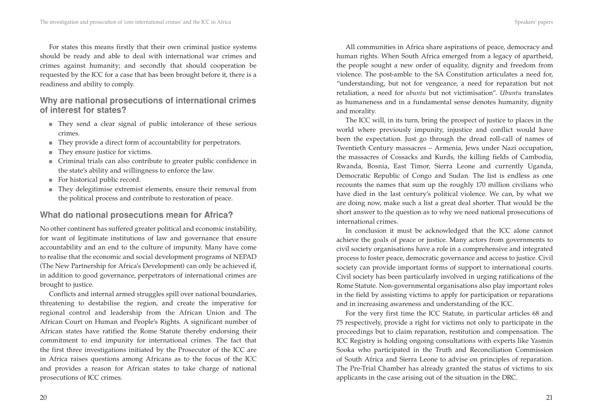For states this means firstly that their own criminal justice systems should be ready and able to deal with international war crimes and crimes against humanity; and secondly that should cooperation be requested by the ICC for a case that has been brought before it, there is a readiness and ability to comply.

## **Why are national prosecutions of international crimes of interest for states?**

- They send a clear signal of public intolerance of these serious crimes.
- They provide a direct form of accountability for perpetrators.
- They ensure justice for victims.
- Criminal trials can also contribute to greater public confidence in the state's ability and willingness to enforce the law.
- For historical public record.
- They delegitimise extremist elements, ensure their removal from the political process and contribute to restoration of peace.

## **What do national prosecutions mean for Africa?**

No other continent has suffered greater political and economic instability, for want of legitimate institutions of law and governance that ensure accountability and an end to the culture of impunity. Many have come to realise that the economic and social development programs of NEPAD (The New Partnership for Africa's Development) can only be achieved if, in addition to good governance, perpetrators of international crimes are brought to justice.

Conflicts and internal armed struggles spill over national boundaries, threatening to destabilise the region, and create the imperative for regional control and leadership from the African Union and The African Court on Human and People's Rights. A significant number of African states have ratified the Rome Statute thereby endorsing their commitment to end impunity for international crimes. The fact that the first three investigations initiated by the Prosecutor of the ICC are in Africa raises questions among Africans as to the focus of the ICC and provides a reason for African states to take charge of national prosecutions of ICC crimes.

All communities in Africa share aspirations of peace, democracy and human rights. When South Africa emerged from a legacy of apartheid, the people sought a new order of equality, dignity and freedom from violence. The post-amble to the SA Constitution articulates a need for, "understanding, but not for vengeance, a need for reparation but not retaliation, a need for *ubuntu* but not victimisation". *Ubuntu* translates as humaneness and in a fundamental sense denotes humanity, dignity and morality.

The ICC will, in its turn, bring the prospect of justice to places in the world where previously impunity, injustice and conflict would have been the expectation. Just go through the dread roll-call of names of Twentieth Century massacres – Armenia, Jews under Nazi occupation, the massacres of Cossacks and Kurds, the killing fields of Cambodia, Rwanda, Bosnia, East Timor, Sierra Leone and currently Uganda, Democratic Republic of Congo and Sudan. The list is endless as one recounts the names that sum up the roughly 170 million civilians who have died in the last century's political violence. We can, by what we are doing now, make such a list a great deal shorter. That would be the short answer to the question as to why we need national prosecutions of international crimes.

In conclusion it must be acknowledged that the ICC alone cannot achieve the goals of peace or justice. Many actors from governments to civil society organisations have a role in a comprehensive and integrated process to foster peace, democratic governance and access to justice. Civil society can provide important forms of support to international courts. Civil society has been particularly involved in urging ratifications of the Rome Statute. Non-governmental organisations also play important roles in the field by assisting victims to apply for participation or reparations and in increasing awareness and understanding of the ICC.

For the very first time the ICC Statute, in particular articles 68 and 75 respectively, provide a right for victims not only to participate in the proceedings but to claim reparation, restitution and compensation. The ICC Registry is holding ongoing consultations with experts like Yasmin Sooka who participated in the Truth and Reconciliation Commission of South Africa and Sierra Leone to advise on principles of reparation. The Pre-Trial Chamber has already granted the status of victims to six applicants in the case arising out of the situation in the DRC.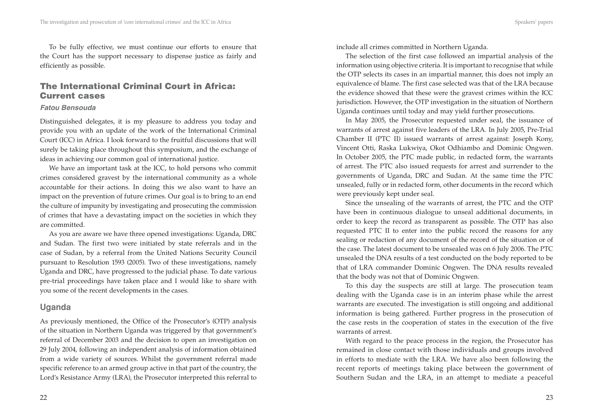To be fully effective, we must continue our efforts to ensure that the Court has the support necessary to dispense justice as fairly and efficiently as possible.

## **The International Criminal Court in Africa: Current cases**

#### *Fatou Bensouda*

Distinguished delegates, it is my pleasure to address you today and provide you with an update of the work of the International Criminal Court (ICC) in Africa. I look forward to the fruitful discussions that will surely be taking place throughout this symposium, and the exchange of ideas in achieving our common goal of international justice.

We have an important task at the ICC, to hold persons who commit crimes considered gravest by the international community as a whole accountable for their actions. In doing this we also want to have an impact on the prevention of future crimes. Our goal is to bring to an end the culture of impunity by investigating and prosecuting the commission of crimes that have a devastating impact on the societies in which they are committed.

As you are aware we have three opened investigations: Uganda, DRC and Sudan. The first two were initiated by state referrals and in the case of Sudan, by a referral from the United Nations Security Council pursuant to Resolution 1593 (2005). Two of these investigations, namely Uganda and DRC, have progressed to the judicial phase. To date various pre-trial proceedings have taken place and I would like to share with you some of the recent developments in the cases.

## **Uganda**

As previously mentioned, the Office of the Prosecutor's (OTP) analysis of the situation in Northern Uganda was triggered by that government's referral of December 2003 and the decision to open an investigation on 29 July 2004, following an independent analysis of information obtained from a wide variety of sources. Whilst the government referral made specific reference to an armed group active in that part of the country, the Lord's Resistance Army (LRA), the Prosecutor interpreted this referral to include all crimes committed in Northern Uganda.

The selection of the first case followed an impartial analysis of the information using objective criteria. It is important to recognise that while the OTP selects its cases in an impartial manner, this does not imply an equivalence of blame. The first case selected was that of the LRA because the evidence showed that these were the gravest crimes within the ICC jurisdiction. However, the OTP investigation in the situation of Northern Uganda continues until today and may yield further prosecutions.

In May 2005, the Prosecutor requested under seal, the issuance of warrants of arrest against five leaders of the LRA. In July 2005, Pre-Trial Chamber II (PTC II) issued warrants of arrest against: Joseph Kony, Vincent Otti, Raska Lukwiya, Okot Odhiambo and Dominic Ongwen. In October 2005, the PTC made public, in redacted form, the warrants of arrest. The PTC also issued requests for arrest and surrender to the governments of Uganda, DRC and Sudan. At the same time the PTC unsealed, fully or in redacted form, other documents in the record which were previously kept under seal.

Since the unsealing of the warrants of arrest, the PTC and the OTP have been in continuous dialogue to unseal additional documents, in order to keep the record as transparent as possible. The OTP has also requested PTC II to enter into the public record the reasons for any sealing or redaction of any document of the record of the situation or of the case. The latest document to be unsealed was on 6 July 2006. The PTC unsealed the DNA results of a test conducted on the body reported to be that of LRA commander Dominic Ongwen. The DNA results revealed that the body was not that of Dominic Ongwen.

To this day the suspects are still at large. The prosecution team dealing with the Uganda case is in an interim phase while the arrest warrants are executed. The investigation is still ongoing and additional information is being gathered. Further progress in the prosecution of the case rests in the cooperation of states in the execution of the five warrants of arrest.

With regard to the peace process in the region, the Prosecutor has remained in close contact with those individuals and groups involved in efforts to mediate with the LRA. We have also been following the recent reports of meetings taking place between the government of Southern Sudan and the LRA, in an attempt to mediate a peaceful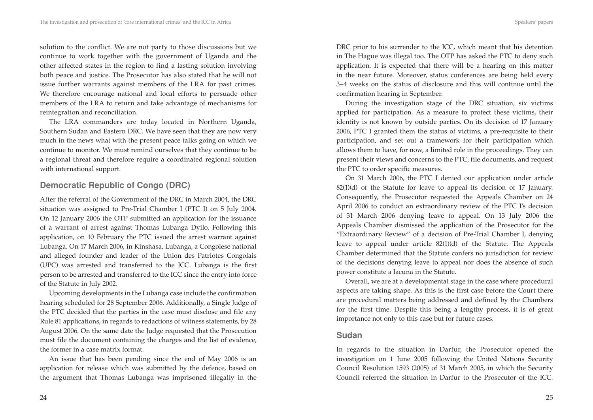solution to the conflict. We are not party to those discussions but we continue to work together with the government of Uganda and the other affected states in the region to find a lasting solution involving both peace and justice. The Prosecutor has also stated that he will not issue further warrants against members of the LRA for past crimes. We therefore encourage national and local efforts to persuade other members of the LRA to return and take advantage of mechanisms for reintegration and reconciliation.

The LRA commanders are today located in Northern Uganda, Southern Sudan and Eastern DRC. We have seen that they are now very much in the news what with the present peace talks going on which we continue to monitor. We must remind ourselves that they continue to be a regional threat and therefore require a coordinated regional solution with international support.

# **Democratic Republic of Congo (DRC)**

After the referral of the Government of the DRC in March 2004, the DRC situation was assigned to Pre-Trial Chamber I (PTC I) on 5 July 2004. On 12 January 2006 the OTP submitted an application for the issuance of a warrant of arrest against Thomas Lubanga Dyilo. Following this application, on 10 February the PTC issued the arrest warrant against Lubanga. On 17 March 2006, in Kinshasa, Lubanga, a Congolese national and alleged founder and leader of the Union des Patriotes Congolais (UPC) was arrested and transferred to the ICC. Lubanga is the first person to be arrested and transferred to the ICC since the entry into force of the Statute in July 2002.

Upcoming developments in the Lubanga case include the confirmation hearing scheduled for 28 September 2006. Additionally, a Single Judge of the PTC decided that the parties in the case must disclose and file any Rule 81 applications, in regards to redactions of witness statements, by 28 August 2006. On the same date the Judge requested that the Prosecution must file the document containing the charges and the list of evidence, the former in a case matrix format.

An issue that has been pending since the end of May 2006 is an application for release which was submitted by the defence, based on the argument that Thomas Lubanga was imprisoned illegally in the DRC prior to his surrender to the ICC, which meant that his detention in The Hague was illegal too. The OTP has asked the PTC to deny such application. It is expected that there will be a hearing on this matter in the near future. Moreover, status conferences are being held every 3–4 weeks on the status of disclosure and this will continue until the confirmation hearing in September.

During the investigation stage of the DRC situation, six victims applied for participation. As a measure to protect these victims, their identity is not known by outside parties. On its decision of 17 January 2006, PTC I granted them the status of victims, a pre-requisite to their participation, and set out a framework for their participation which allows them to have, for now, a limited role in the proceedings. They can present their views and concerns to the PTC, file documents, and request the PTC to order specific measures.

On 31 March 2006, the PTC I denied our application under article 82(1)(d) of the Statute for leave to appeal its decision of 17 January. Consequently, the Prosecutor requested the Appeals Chamber on 24 April 2006 to conduct an extraordinary review of the PTC I's decision of 31 March 2006 denying leave to appeal. On 13 July 2006 the Appeals Chamber dismissed the application of the Prosecutor for the "Extraordinary Review" of a decision of Pre-Trial Chamber I, denying leave to appeal under article 82(1)(d) of the Statute. The Appeals Chamber determined that the Statute confers no jurisdiction for review of the decisions denying leave to appeal nor does the absence of such power constitute a lacuna in the Statute.

Overall, we are at a developmental stage in the case where procedural aspects are taking shape. As this is the first case before the Court there are procedural matters being addressed and defined by the Chambers for the first time. Despite this being a lengthy process, it is of great importance not only to this case but for future cases.

#### **Sudan**

In regards to the situation in Darfur, the Prosecutor opened the investigation on 1 June 2005 following the United Nations Security Council Resolution 1593 (2005) of 31 March 2005, in which the Security Council referred the situation in Darfur to the Prosecutor of the ICC.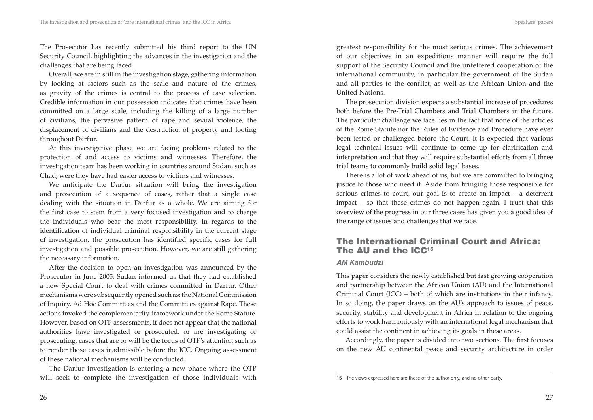The Prosecutor has recently submitted his third report to the UN Security Council, highlighting the advances in the investigation and the challenges that are being faced.

Overall, we are in still in the investigation stage, gathering information by looking at factors such as the scale and nature of the crimes, as gravity of the crimes is central to the process of case selection. Credible information in our possession indicates that crimes have been committed on a large scale, including the killing of a large number of civilians, the pervasive pattern of rape and sexual violence, the displacement of civilians and the destruction of property and looting throughout Darfur.

At this investigative phase we are facing problems related to the protection of and access to victims and witnesses. Therefore, the investigation team has been working in countries around Sudan, such as Chad, were they have had easier access to victims and witnesses.

We anticipate the Darfur situation will bring the investigation and prosecution of a sequence of cases, rather that a single case dealing with the situation in Darfur as a whole. We are aiming for the first case to stem from a very focused investigation and to charge the individuals who bear the most responsibility. In regards to the identification of individual criminal responsibility in the current stage of investigation, the prosecution has identified specific cases for full investigation and possible prosecution. However, we are still gathering the necessary information.

After the decision to open an investigation was announced by the Prosecutor in June 2005, Sudan informed us that they had established a new Special Court to deal with crimes committed in Darfur. Other mechanisms were subsequently opened such as: the National Commission of Inquiry, Ad Hoc Committees and the Committees against Rape. These actions invoked the complementarity framework under the Rome Statute. However, based on OTP assessments, it does not appear that the national authorities have investigated or prosecuted, or are investigating or prosecuting, cases that are or will be the focus of OTP's attention such as to render those cases inadmissible before the ICC. Ongoing assessment of these national mechanisms will be conducted.

The Darfur investigation is entering a new phase where the OTP will seek to complete the investigation of those individuals with greatest responsibility for the most serious crimes. The achievement of our objectives in an expeditious manner will require the full support of the Security Council and the unfettered cooperation of the international community, in particular the government of the Sudan and all parties to the conflict, as well as the African Union and the United Nations.

The prosecution division expects a substantial increase of procedures both before the Pre-Trial Chambers and Trial Chambers in the future. The particular challenge we face lies in the fact that none of the articles of the Rome Statute nor the Rules of Evidence and Procedure have ever been tested or challenged before the Court. It is expected that various legal technical issues will continue to come up for clarification and interpretation and that they will require substantial efforts from all three trial teams to commonly build solid legal bases.

There is a lot of work ahead of us, but we are committed to bringing justice to those who need it. Aside from bringing those responsible for serious crimes to court, our goal is to create an impact – a deterrent impact – so that these crimes do not happen again. I trust that this overview of the progress in our three cases has given you a good idea of the range of issues and challenges that we face.

# **The International Criminal Court and Africa: The AU and the ICC15**

#### *AM Kambudzi*

This paper considers the newly established but fast growing cooperation and partnership between the African Union (AU) and the International Criminal Court (ICC) – both of which are institutions in their infancy. In so doing, the paper draws on the AU's approach to issues of peace, security, stability and development in Africa in relation to the ongoing efforts to work harmoniously with an international legal mechanism that could assist the continent in achieving its goals in these areas.

Accordingly, the paper is divided into two sections. The first focuses on the new AU continental peace and security architecture in order

<sup>15</sup> The views expressed here are those of the author only, and no other party.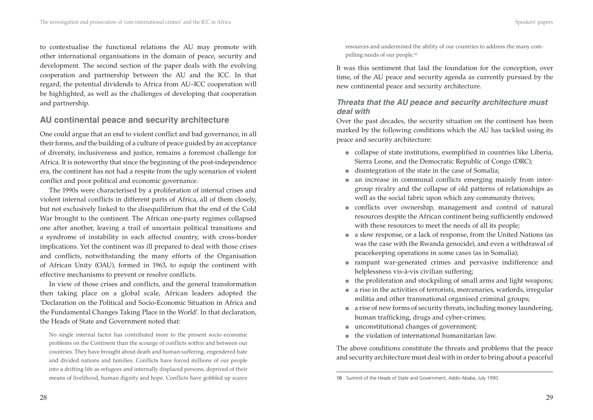to contextualise the functional relations the AU may promote with other international organisations in the domain of peace, security and development. The second section of the paper deals with the evolving cooperation and partnership between the AU and the ICC. In that regard, the potential dividends to Africa from AU–ICC cooperation will be highlighted, as well as the challenges of developing that cooperation and partnership.

## **AU continental peace and security architecture**

One could argue that an end to violent conflict and bad governance, in all their forms, and the building of a culture of peace guided by an acceptance of diversity, inclusiveness and justice, remains a foremost challenge for Africa. It is noteworthy that since the beginning of the post-independence era, the continent has not had a respite from the ugly scenarios of violent conflict and poor political and economic governance.

The 1990s were characterised by a proliferation of internal crises and violent internal conflicts in different parts of Africa, all of them closely, but not exclusively linked to the disequilibrium that the end of the Cold War brought to the continent. The African one-party regimes collapsed one after another, leaving a trail of uncertain political transitions and a syndrome of instability in each affected country, with cross-border implications. Yet the continent was ill prepared to deal with those crises and conflicts, notwithstanding the many efforts of the Organisation of African Unity (OAU), formed in 1963, to equip the continent with effective mechanisms to prevent or resolve conflicts.

In view of those crises and conflicts, and the general transformation then taking place on a global scale, African leaders adopted the 'Declaration on the Political and Socio-Economic Situation in Africa and the Fundamental Changes Taking Place in the World'. In that declaration, the Heads of State and Government noted that:

No single internal factor has contributed more to the present socio-economic problems on the Continent than the scourge of conflicts within and between our countries. They have brought about death and human suffering, engendered hate and divided nations and families. Conflicts have forced millions of our people into a drifting life as refugees and internally displaced persons, deprived of their means of livelihood, human dignity and hope. Conflicts have gobbled up scarce

resources and undermined the ability of our countries to address the many compelling needs of our people.16

It was this sentiment that laid the foundation for the conception, over time, of the AU peace and security agenda as currently pursued by the new continental peace and security architecture.

#### *Threats that the AU peace and security architecture must deal with*

Over the past decades, the security situation on the continent has been marked by the following conditions which the AU has tackled using its peace and security architecture:

- collapse of state institutions, exemplified in countries like Liberia, Sierra Leone, and the Democratic Republic of Congo (DRC);
- disintegration of the state in the case of Somalia;
- an increase in communal conflicts emerging mainly from inter-■ group rivalry and the collapse of old patterns of relationships as well as the social fabric upon which any community thrives;
- conflicts over ownership, management and control of natural resources despite the African continent being sufficiently endowed with these resources to meet the needs of all its people;
- a slow response, or a lack of response, from the United Nations (as was the case with the Rwanda genocide), and even a withdrawal of peacekeeping operations in some cases (as in Somalia);
- rampant war-generated crimes and pervasive indifference and helplessness vis-à-vis civilian suffering;
- the proliferation and stockpiling of small arms and light weapons;
- a rise in the activities of terrorists, mercenaries, warlords, irregular militia and other transnational organised criminal groups;
- a rise of new forms of security threats, including money laundering, human trafficking, drugs and cyber-crimes;
- unconstitutional changes of government;
- the violation of international humanitarian law. ■

The above conditions constitute the threats and problems that the peace and security architecture must deal with in order to bring about a peaceful

<sup>16</sup> Summit of the Heads of State and Government, Addis Ababa, July 1990.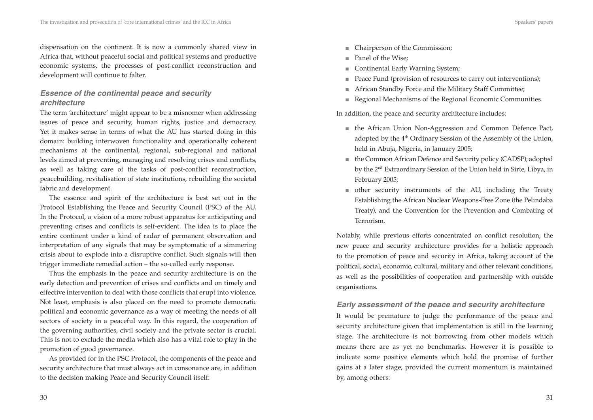dispensation on the continent. It is now a commonly shared view in Africa that, without peaceful social and political systems and productive economic systems, the processes of post-conflict reconstruction and development will continue to falter.

### *Essence of the continental peace and security architecture*

The term 'architecture' might appear to be a misnomer when addressing issues of peace and security, human rights, justice and democracy. Yet it makes sense in terms of what the AU has started doing in this domain: building interwoven functionality and operationally coherent mechanisms at the continental, regional, sub-regional and national levels aimed at preventing, managing and resolving crises and conflicts, as well as taking care of the tasks of post-conflict reconstruction, peacebuilding, revitalisation of state institutions, rebuilding the societal fabric and development.

The essence and spirit of the architecture is best set out in the Protocol Establishing the Peace and Security Council (PSC) of the AU. In the Protocol, a vision of a more robust apparatus for anticipating and preventing crises and conflicts is self-evident. The idea is to place the entire continent under a kind of radar of permanent observation and interpretation of any signals that may be symptomatic of a simmering crisis about to explode into a disruptive conflict. Such signals will then trigger immediate remedial action – the so-called early response.

Thus the emphasis in the peace and security architecture is on the early detection and prevention of crises and conflicts and on timely and effective intervention to deal with those conflicts that erupt into violence. Not least, emphasis is also placed on the need to promote democratic political and economic governance as a way of meeting the needs of all sectors of society in a peaceful way. In this regard, the cooperation of the governing authorities, civil society and the private sector is crucial. This is not to exclude the media which also has a vital role to play in the promotion of good governance.

As provided for in the PSC Protocol, the components of the peace and security architecture that must always act in consonance are, in addition to the decision making Peace and Security Council itself:

- Chairperson of the Commission;
- Panel of the Wise;
- Continental Early Warning System; ■
- Peace Fund (provision of resources to carry out interventions); ■
- African Standby Force and the Military Staff Committee; ■
- Regional Mechanisms of the Regional Economic Communities.

In addition, the peace and security architecture includes:

- the African Union Non-Aggression and Common Defence Pact, adopted by the 4<sup>th</sup> Ordinary Session of the Assembly of the Union, held in Abuja, Nigeria, in January 2005;
- the Common African Defence and Security policy (CADSP), adopted by the 2nd Extraordinary Session of the Union held in Sirte, Libya, in February 2005;
- other security instruments of the AU, including the Treaty Establishing the African Nuclear Weapons-Free Zone (the Pelindaba Treaty), and the Convention for the Prevention and Combating of Terrorism.

Notably, while previous efforts concentrated on conflict resolution, the new peace and security architecture provides for a holistic approach to the promotion of peace and security in Africa, taking account of the political, social, economic, cultural, military and other relevant conditions, as well as the possibilities of cooperation and partnership with outside organisations.

#### *Early assessment of the peace and security architecture*

It would be premature to judge the performance of the peace and security architecture given that implementation is still in the learning stage. The architecture is not borrowing from other models which means there are as yet no benchmarks. However it is possible to indicate some positive elements which hold the promise of further gains at a later stage, provided the current momentum is maintained by, among others: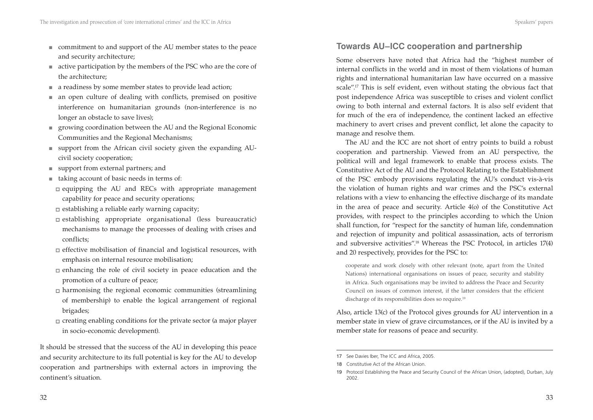- commitment to and support of the AU member states to the peace and security architecture;
- active participation by the members of the PSC who are the core of the architecture;
- a readiness by some member states to provide lead action;
- an open culture of dealing with conflicts, premised on positive interference on humanitarian grounds (non-interference is no longer an obstacle to save lives);
- growing coordination between the AU and the Regional Economic Communities and the Regional Mechanisms;
- support from the African civil society given the expanding AU-■ civil society cooperation;
- support from external partners; and
- taking account of basic needs in terms of:
- $\Box$  equipping the AU and RECs with appropriate management capability for peace and security operations;
- $\Box$  establishing a reliable early warning capacity;
- establishing appropriate organisational (less bureaucratic) mechanisms to manage the processes of dealing with crises and conflicts;
- $\Box$  effective mobilisation of financial and logistical resources, with emphasis on internal resource mobilisation;
- $\Box$  enhancing the role of civil society in peace education and the promotion of a culture of peace;
- $\Box$  harmonising the regional economic communities (streamlining of membership) to enable the logical arrangement of regional brigades;
- $\Box$  creating enabling conditions for the private sector (a major player in socio-economic development).

It should be stressed that the success of the AU in developing this peace and security architecture to its full potential is key for the AU to develop cooperation and partnerships with external actors in improving the continent's situation.

## **Towards AU–ICC cooperation and partnership**

Some observers have noted that Africa had the "highest number of internal conflicts in the world and in most of them violations of human rights and international humanitarian law have occurred on a massive scale".<sup>17</sup> This is self evident, even without stating the obvious fact that post independence Africa was susceptible to crises and violent conflict owing to both internal and external factors. It is also self evident that for much of the era of independence, the continent lacked an effective machinery to avert crises and prevent conflict, let alone the capacity to manage and resolve them.

The AU and the ICC are not short of entry points to build a robust cooperation and partnership. Viewed from an AU perspective, the political will and legal framework to enable that process exists. The Constitutive Act of the AU and the Protocol Relating to the Establishment of the PSC embody provisions regulating the AU's conduct vis-à-vis the violation of human rights and war crimes and the PSC's external relations with a view to enhancing the effective discharge of its mandate in the area of peace and security. Article 4(o) of the Constitutive Act provides, with respect to the principles according to which the Union shall function, for "respect for the sanctity of human life, condemnation and rejection of impunity and political assassination, acts of terrorism and subversive activities".18 Whereas the PSC Protocol, in articles 17(4) and 20 respectively, provides for the PSC to:

cooperate and work closely with other relevant (note, apart from the United Nations) international organisations on issues of peace, security and stability in Africa. Such organisations may be invited to address the Peace and Security Council on issues of common interest, if the latter considers that the efficient discharge of its responsibilities does so require.<sup>19</sup>

Also, article 13(c) of the Protocol gives grounds for AU intervention in a member state in view of grave circumstances, or if the AU is invited by a member state for reasons of peace and security.

<sup>17</sup> See Davies Iber, The ICC and Africa, 2005.

<sup>18</sup> Constitutive Act of the African Union.

<sup>19</sup> Protocol Establishing the Peace and Security Council of the African Union, (adopted), Durban, July 2002.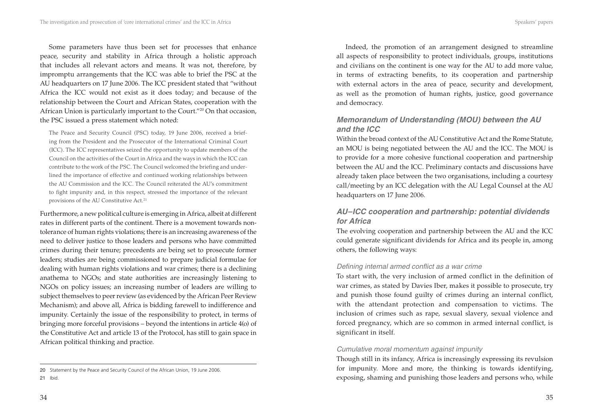Some parameters have thus been set for processes that enhance peace, security and stability in Africa through a holistic approach that includes all relevant actors and means. It was not, therefore, by impromptu arrangements that the ICC was able to brief the PSC at the AU headquarters on 17 June 2006. The ICC president stated that "without Africa the ICC would not exist as it does today; and because of the relationship between the Court and African States, cooperation with the African Union is particularly important to the Court."20 On that occasion, the PSC issued a press statement which noted:

The Peace and Security Council (PSC) today, 19 June 2006, received a briefing from the President and the Prosecutor of the International Criminal Court (ICC). The ICC representatives seized the opportunity to update members of the Council on the activities of the Court in Africa and the ways in which the ICC can contribute to the work of the PSC. The Council welcomed the briefing and underlined the importance of effective and continued working relationships between the AU Commission and the ICC. The Council reiterated the AU's commitment to fight impunity and, in this respect, stressed the importance of the relevant provisions of the AU Constitutive Act.<sup>21</sup>

Furthermore, a new political culture is emerging in Africa, albeit at different rates in different parts of the continent. There is a movement towards nontolerance of human rights violations; there is an increasing awareness of the need to deliver justice to those leaders and persons who have committed crimes during their tenure; precedents are being set to prosecute former leaders; studies are being commissioned to prepare judicial formulae for dealing with human rights violations and war crimes; there is a declining anathema to NGOs; and state authorities are increasingly listening to NGOs on policy issues; an increasing number of leaders are willing to subject themselves to peer review (as evidenced by the African Peer Review Mechanism); and above all, Africa is bidding farewell to indifference and impunity. Certainly the issue of the responsibility to protect, in terms of bringing more forceful provisions – beyond the intentions in article 4(o) of the Constitutive Act and article 13 of the Protocol, has still to gain space in African political thinking and practice.

21 Ibid.

Indeed, the promotion of an arrangement designed to streamline all aspects of responsibility to protect individuals, groups, institutions and civilians on the continent is one way for the AU to add more value, in terms of extracting benefits, to its cooperation and partnership with external actors in the area of peace, security and development, as well as the promotion of human rights, justice, good governance and democracy.

## *Memorandum of Understanding (MOU) between the AU and the ICC*

Within the broad context of the AU Constitutive Act and the Rome Statute, an MOU is being negotiated between the AU and the ICC. The MOU is to provide for a more cohesive functional cooperation and partnership between the AU and the ICC. Preliminary contacts and discussions have already taken place between the two organisations, including a courtesy call/meeting by an ICC delegation with the AU Legal Counsel at the AU headquarters on 17 June 2006.

## *AU –ICC cooperation and partnership: potential dividends for Africa*

The evolving cooperation and partnership between the AU and the ICC could generate significant dividends for Africa and its people in, among others, the following ways:

#### *Defi ning internal armed confl ict as a war crime*

To start with, the very inclusion of armed conflict in the definition of war crimes, as stated by Davies Iber, makes it possible to prosecute, try and punish those found guilty of crimes during an internal conflict, with the attendant protection and compensation to victims. The inclusion of crimes such as rape, sexual slavery, sexual violence and forced pregnancy, which are so common in armed internal conflict, is significant in itself.

#### *Cumulative moral momentum against impunity*

Though still in its infancy, Africa is increasingly expressing its revulsion for impunity. More and more, the thinking is towards identifying, exposing, shaming and punishing those leaders and persons who, while

<sup>20</sup> Statement by the Peace and Security Council of the African Union, 19 June 2006.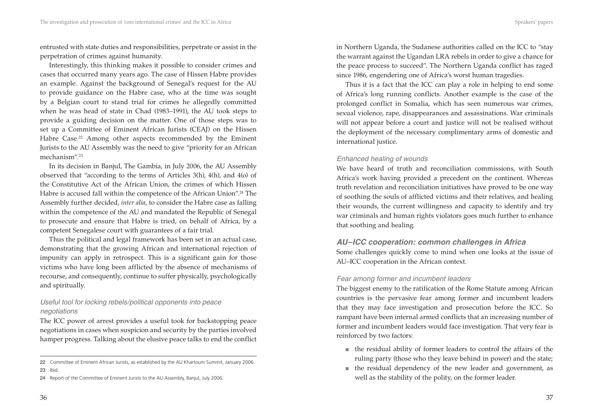entrusted with state duties and responsibilities, perpetrate or assist in the perpetration of crimes against humanity.

Interestingly, this thinking makes it possible to consider crimes and cases that occurred many years ago. The case of Hissen Habre provides an example. Against the background of Senegal's request for the AU to provide guidance on the Habre case, who at the time was sought by a Belgian court to stand trial for crimes he allegedly committed when he was head of state in Chad (1983–1991), the AU took steps to provide a guiding decision on the matter. One of those steps was to set up a Committee of Eminent African Jurists (CEAJ) on the Hissen Habre Case.<sup>22</sup> Among other aspects recommended by the Eminent Jurists to the AU Assembly was the need to give "priority for an African mechanism".23

In its decision in Banjul, The Gambia, in July 2006, the AU Assembly observed that "according to the terms of Articles 3(h), 4(h), and 4(o) of the Constitutive Act of the African Union, the crimes of which Hissen Habre is accused fall within the competence of the African Union".<sup>24</sup> The Assembly further decided, *inter alia*, to consider the Habre case as falling within the competence of the AU and mandated the Republic of Senegal to prosecute and ensure that Habre is tried, on behalf of Africa, by a competent Senegalese court with guarantees of a fair trial.

Thus the political and legal framework has been set in an actual case, demonstrating that the growing African and international rejection of impunity can apply in retrospect. This is a significant gain for those victims who have long been afflicted by the absence of mechanisms of recourse, and consequently, continue to suffer physically, psychologically and spiritually.

#### *Useful tool for locking rebels/political opponents into peace negotiations*

The ICC power of arrest provides a useful took for backstopping peace negotiations in cases when suspicion and security by the parties involved hamper progress. Talking about the elusive peace talks to end the conflict in Northern Uganda, the Sudanese authorities called on the ICC to "stay the warrant against the Ugandan LRA rebels in order to give a chance for the peace process to succeed". The Northern Uganda conflict has raged since 1986, engendering one of Africa's worst human tragedies.

Thus it is a fact that the ICC can play a role in helping to end some of Africa's long running conflicts. Another example is the case of the prolonged conflict in Somalia, which has seen numerous war crimes, sexual violence, rape, disappearances and assassinations. War criminals will not appear before a court and justice will not be realised without the deployment of the necessary complimentary arms of domestic and international justice.

#### *Enhanced healing of wounds*

We have heard of truth and reconciliation commissions, with South Africa's work having provided a precedent on the continent. Whereas truth revelation and reconciliation initiatives have proved to be one way of soothing the souls of afflicted victims and their relatives, and healing their wounds, the current willingness and capacity to identify and try war criminals and human rights violators goes much further to enhance that soothing and healing.

### *AU–ICC cooperation: common challenges in Africa*

Some challenges quickly come to mind when one looks at the issue of AU–ICC cooperation in the African context.

#### *Fear among former and incumbent leaders*

The biggest enemy to the ratification of the Rome Statute among African countries is the pervasive fear among former and incumbent leaders that they may face investigation and prosecution before the ICC. So rampant have been internal armed conflicts that an increasing number of former and incumbent leaders would face investigation. That very fear is reinforced by two factors:

- the residual ability of former leaders to control the affairs of the ruling party (those who they leave behind in power) and the state;
- the residual dependency of the new leader and government, as well as the stability of the polity, on the former leader.

<sup>22</sup> Committee of Eminent African Jurists, as established by the AU Khartoum Summit, January 2006.

<sup>23</sup> Ibid.

<sup>24</sup> Report of the Committee of Eminent Jurists to the AU Assembly, Banjul, July 2006.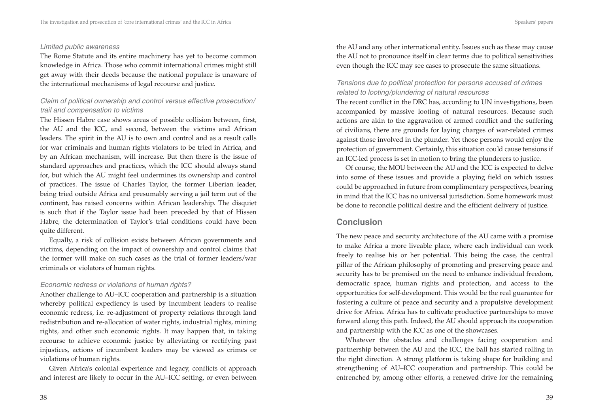#### *Limited public awareness*

The Rome Statute and its entire machinery has yet to become common knowledge in Africa. Those who commit international crimes might still get away with their deeds because the national populace is unaware of the international mechanisms of legal recourse and justice.

#### *Claim of political ownership and control versus effective prosecution/ trail and compensation to victims*

The Hissen Habre case shows areas of possible collision between, first, the AU and the ICC, and second, between the victims and African leaders. The spirit in the AU is to own and control and as a result calls for war criminals and human rights violators to be tried in Africa, and by an African mechanism, will increase. But then there is the issue of standard approaches and practices, which the ICC should always stand for, but which the AU might feel undermines its ownership and control of practices. The issue of Charles Taylor, the former Liberian leader, being tried outside Africa and presumably serving a jail term out of the continent, has raised concerns within African leadership. The disquiet is such that if the Taylor issue had been preceded by that of Hissen Habre, the determination of Taylor's trial conditions could have been quite different.

Equally, a risk of collision exists between African governments and victims, depending on the impact of ownership and control claims that the former will make on such cases as the trial of former leaders/war criminals or violators of human rights.

#### *Economic redress or violations of human rights?*

Another challenge to AU–ICC cooperation and partnership is a situation whereby political expediency is used by incumbent leaders to realise economic redress, i.e. re-adjustment of property relations through land redistribution and re-allocation of water rights, industrial rights, mining rights, and other such economic rights. It may happen that, in taking recourse to achieve economic justice by alleviating or rectifying past injustices, actions of incumbent leaders may be viewed as crimes or violations of human rights.

Given Africa's colonial experience and legacy, conflicts of approach and interest are likely to occur in the AU–ICC setting, or even between the AU and any other international entity. Issues such as these may cause the AU not to pronounce itself in clear terms due to political sensitivities even though the ICC may see cases to prosecute the same situations.

#### *Tensions due to political protection for persons accused of crimes related to looting/plundering of natural resources*

The recent conflict in the DRC has, according to UN investigations, been accompanied by massive looting of natural resources. Because such actions are akin to the aggravation of armed conflict and the suffering of civilians, there are grounds for laying charges of war-related crimes against those involved in the plunder. Yet those persons would enjoy the protection of government. Certainly, this situation could cause tensions if an ICC-led process is set in motion to bring the plunderers to justice.

Of course, the MOU between the AU and the ICC is expected to delve into some of these issues and provide a playing field on which issues could be approached in future from complimentary perspectives, bearing in mind that the ICC has no universal jurisdiction. Some homework must be done to reconcile political desire and the efficient delivery of justice.

### **Conclusion**

The new peace and security architecture of the AU came with a promise to make Africa a more liveable place, where each individual can work freely to realise his or her potential. This being the case, the central pillar of the African philosophy of promoting and preserving peace and security has to be premised on the need to enhance individual freedom, democratic space, human rights and protection, and access to the opportunities for self-development. This would be the real guarantee for fostering a culture of peace and security and a propulsive development drive for Africa. Africa has to cultivate productive partnerships to move forward along this path. Indeed, the AU should approach its cooperation and partnership with the ICC as one of the showcases.

Whatever the obstacles and challenges facing cooperation and partnership between the AU and the ICC, the ball has started rolling in the right direction. A strong platform is taking shape for building and strengthening of AU–ICC cooperation and partnership. This could be entrenched by, among other efforts, a renewed drive for the remaining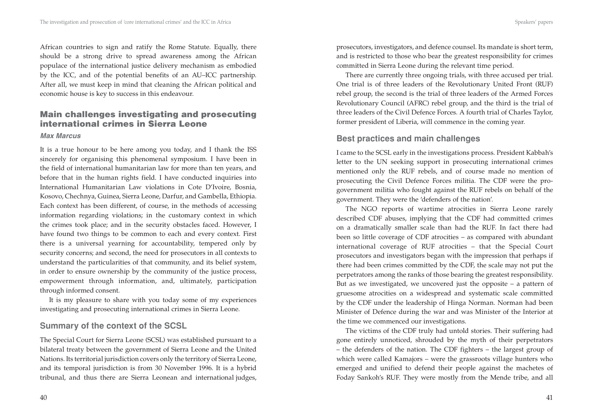African countries to sign and ratify the Rome Statute. Equally, there should be a strong drive to spread awareness among the African populace of the international justice delivery mechanism as embodied by the ICC, and of the potential benefits of an AU–ICC partnership. After all, we must keep in mind that cleaning the African political and economic house is key to success in this endeavour.

## **Main challenges investigating and prosecuting international crimes in Sierra Leone**

#### *Max Marcus*

It is a true honour to be here among you today, and I thank the ISS sincerely for organising this phenomenal symposium. I have been in the field of international humanitarian law for more than ten years, and before that in the human rights field. I have conducted inquiries into International Humanitarian Law violations in Cote D'Ivoire, Bosnia, Kosovo, Chechnya, Guinea, Sierra Leone, Darfur, and Gambella, Ethiopia. Each context has been different, of course, in the methods of accessing information regarding violations; in the customary context in which the crimes took place; and in the security obstacles faced. However, I have found two things to be common to each and every context. First there is a universal yearning for accountability, tempered only by security concerns; and second, the need for prosecutors in all contexts to understand the particularities of that community, and its belief system, in order to ensure ownership by the community of the justice process, empowerment through information, and, ultimately, participation through informed consent.

It is my pleasure to share with you today some of my experiences investigating and prosecuting international crimes in Sierra Leone.

## **Summary of the context of the SCSL**

The Special Court for Sierra Leone (SCSL) was established pursuant to a bilateral treaty between the government of Sierra Leone and the United Nations. Its territorial jurisdiction covers only the territory of Sierra Leone, and its temporal jurisdiction is from 30 November 1996. It is a hybrid tribunal, and thus there are Sierra Leonean and international judges,

prosecutors, investigators, and defence counsel. Its mandate is short term, and is restricted to those who bear the greatest responsibility for crimes committed in Sierra Leone during the relevant time period.

There are currently three ongoing trials, with three accused per trial. One trial is of three leaders of the Revolutionary United Front (RUF) rebel group, the second is the trial of three leaders of the Armed Forces Revolutionary Council (AFRC) rebel group, and the third is the trial of three leaders of the Civil Defence Forces. A fourth trial of Charles Taylor, former president of Liberia, will commence in the coming year.

## **Best practices and main challenges**

I came to the SCSL early in the investigations process. President Kabbah's letter to the UN seeking support in prosecuting international crimes mentioned only the RUF rebels, and of course made no mention of prosecuting the Civil Defence Forces militia. The CDF were the progovernment militia who fought against the RUF rebels on behalf of the government. They were the 'defenders of the nation'.

The NGO reports of wartime atrocities in Sierra Leone rarely described CDF abuses, implying that the CDF had committed crimes on a dramatically smaller scale than had the RUF. In fact there had been so little coverage of CDF atrocities – as compared with abundant international coverage of RUF atrocities – that the Special Court prosecutors and investigators began with the impression that perhaps if there had been crimes committed by the CDF, the scale may not put the perpetrators among the ranks of those bearing the greatest responsibility. But as we investigated, we uncovered just the opposite – a pattern of gruesome atrocities on a widespread and systematic scale committed by the CDF under the leadership of Hinga Norman. Norman had been Minister of Defence during the war and was Minister of the Interior at the time we commenced our investigations.

The victims of the CDF truly had untold stories. Their suffering had gone entirely unnoticed, shrouded by the myth of their perpetrators – the defenders of the nation. The CDF fighters – the largest group of which were called Kamajors – were the grassroots village hunters who emerged and unified to defend their people against the machetes of Foday Sankoh's RUF. They were mostly from the Mende tribe, and all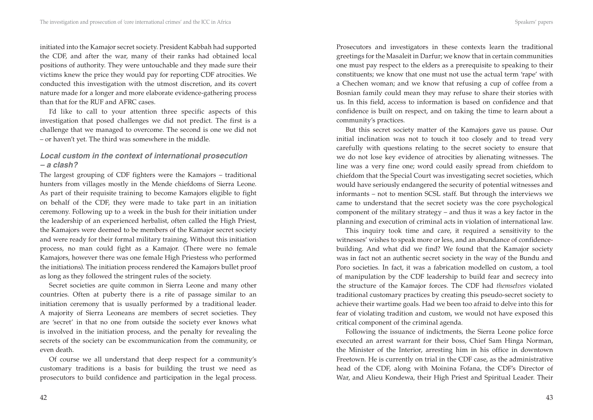initiated into the Kamajor secret society. President Kabbah had supported the CDF, and after the war, many of their ranks had obtained local positions of authority. They were untouchable and they made sure their victims knew the price they would pay for reporting CDF atrocities. We conducted this investigation with the utmost discretion, and its covert nature made for a longer and more elaborate evidence-gathering process than that for the RUF and AFRC cases.

I'd like to call to your attention three specific aspects of this investigation that posed challenges we did not predict. The first is a challenge that we managed to overcome. The second is one we did not – or haven't yet. The third was somewhere in the middle.

#### *Local custom in the context of international prosecution – a clash?*

The largest grouping of CDF fighters were the Kamajors – traditional hunters from villages mostly in the Mende chiefdoms of Sierra Leone. As part of their requisite training to become Kamajors eligible to fight on behalf of the CDF, they were made to take part in an initiation ceremony. Following up to a week in the bush for their initiation under the leadership of an experienced herbalist, often called the High Priest, the Kamajors were deemed to be members of the Kamajor secret society and were ready for their formal military training. Without this initiation process, no man could fight as a Kamajor. (There were no female Kamajors, however there was one female High Priestess who performed the initiations). The initiation process rendered the Kamajors bullet proof as long as they followed the stringent rules of the society.

Secret societies are quite common in Sierra Leone and many other countries. Often at puberty there is a rite of passage similar to an initiation ceremony that is usually performed by a traditional leader. A majority of Sierra Leoneans are members of secret societies. They are 'secret' in that no one from outside the society ever knows what is involved in the initiation process, and the penalty for revealing the secrets of the society can be excommunication from the community, or even death.

Of course we all understand that deep respect for a community's customary traditions is a basis for building the trust we need as prosecutors to build confidence and participation in the legal process.

Prosecutors and investigators in these contexts learn the traditional greetings for the Masaleit in Darfur; we know that in certain communities one must pay respect to the elders as a prerequisite to speaking to their constituents; we know that one must not use the actual term 'rape' with a Chechen woman; and we know that refusing a cup of coffee from a Bosnian family could mean they may refuse to share their stories with us. In this field, access to information is based on confidence and that confidence is built on respect, and on taking the time to learn about a community's practices.

But this secret society matter of the Kamajors gave us pause. Our initial inclination was not to touch it too closely and to tread very carefully with questions relating to the secret society to ensure that we do not lose key evidence of atrocities by alienating witnesses. The line was a very fine one; word could easily spread from chiefdom to chiefdom that the Special Court was investigating secret societies, which would have seriously endangered the security of potential witnesses and informants – not to mention SCSL staff. But through the interviews we came to understand that the secret society was the core psychological component of the military strategy – and thus it was a key factor in the planning and execution of criminal acts in violation of international law.

This inquiry took time and care, it required a sensitivity to the witnesses' wishes to speak more or less, and an abundance of confidencebuilding. And what did we find? We found that the Kamajor society was in fact not an authentic secret society in the way of the Bundu and Poro societies. In fact, it was a fabrication modelled on custom, a tool of manipulation by the CDF leadership to build fear and secrecy into the structure of the Kamajor forces. The CDF had *themselves* violated traditional customary practices by creating this pseudo-secret society to achieve their wartime goals. Had we been too afraid to delve into this for fear of violating tradition and custom, we would not have exposed this critical component of the criminal agenda.

Following the issuance of indictments, the Sierra Leone police force executed an arrest warrant for their boss, Chief Sam Hinga Norman, the Minister of the Interior, arresting him in his office in downtown Freetown. He is currently on trial in the CDF case, as the administrative head of the CDF, along with Moinina Fofana, the CDF's Director of War, and Alieu Kondewa, their High Priest and Spiritual Leader. Their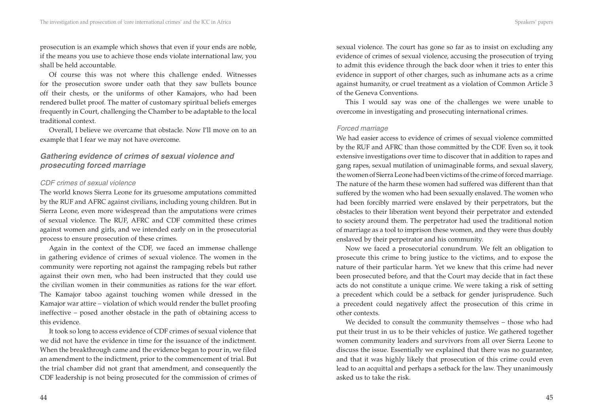prosecution is an example which shows that even if your ends are noble, if the means you use to achieve those ends violate international law, you shall be held accountable.

Of course this was not where this challenge ended. Witnesses for the prosecution swore under oath that they saw bullets bounce off their chests, or the uniforms of other Kamajors, who had been rendered bullet proof. The matter of customary spiritual beliefs emerges frequently in Court, challenging the Chamber to be adaptable to the local traditional context.

Overall, I believe we overcame that obstacle. Now I'll move on to an example that I fear we may not have overcome.

#### *Gathering evidence of crimes of sexual violence and prosecuting forced marriage*

#### *CDF crimes of sexual violence*

The world knows Sierra Leone for its gruesome amputations committed by the RUF and AFRC against civilians, including young children. But in Sierra Leone, even more widespread than the amputations were crimes of sexual violence. The RUF, AFRC and CDF committed these crimes against women and girls, and we intended early on in the prosecutorial process to ensure prosecution of these crimes.

Again in the context of the CDF, we faced an immense challenge in gathering evidence of crimes of sexual violence. The women in the community were reporting not against the rampaging rebels but rather against their own men, who had been instructed that they could use the civilian women in their communities as rations for the war effort. The Kamajor taboo against touching women while dressed in the Kamajor war attire – violation of which would render the bullet proofing ineffective – posed another obstacle in the path of obtaining access to this evidence.

It took so long to access evidence of CDF crimes of sexual violence that we did not have the evidence in time for the issuance of the indictment. When the breakthrough came and the evidence began to pour in, we filed an amendment to the indictment, prior to the commencement of trial. But the trial chamber did not grant that amendment, and consequently the CDF leadership is not being prosecuted for the commission of crimes of sexual violence. The court has gone so far as to insist on excluding any evidence of crimes of sexual violence, accusing the prosecution of trying to admit this evidence through the back door when it tries to enter this evidence in support of other charges, such as inhumane acts as a crime against humanity, or cruel treatment as a violation of Common Article 3 of the Geneva Conventions.

This I would say was one of the challenges we were unable to overcome in investigating and prosecuting international crimes.

#### *Forced marriage*

We had easier access to evidence of crimes of sexual violence committed by the RUF and AFRC than those committed by the CDF. Even so, it took extensive investigations over time to discover that in addition to rapes and gang rapes, sexual mutilation of unimaginable forms, and sexual slavery, the women of Sierra Leone had been victims of the crime of forced marriage. The nature of the harm these women had suffered was different than that suffered by the women who had been sexually enslaved. The women who had been forcibly married were enslaved by their perpetrators, but the obstacles to their liberation went beyond their perpetrator and extended to society around them. The perpetrator had used the traditional notion of marriage as a tool to imprison these women, and they were thus doubly enslaved by their perpetrator and his community.

Now we faced a prosecutorial conundrum. We felt an obligation to prosecute this crime to bring justice to the victims, and to expose the nature of their particular harm. Yet we knew that this crime had never been prosecuted before, and that the Court may decide that in fact these acts do not constitute a unique crime. We were taking a risk of setting a precedent which could be a setback for gender jurisprudence. Such a precedent could negatively affect the prosecution of this crime in other contexts.

We decided to consult the community themselves – those who had put their trust in us to be their vehicles of justice. We gathered together women community leaders and survivors from all over Sierra Leone to discuss the issue. Essentially we explained that there was no guarantee, and that it was highly likely that prosecution of this crime could even lead to an acquittal and perhaps a setback for the law. They unanimously asked us to take the risk.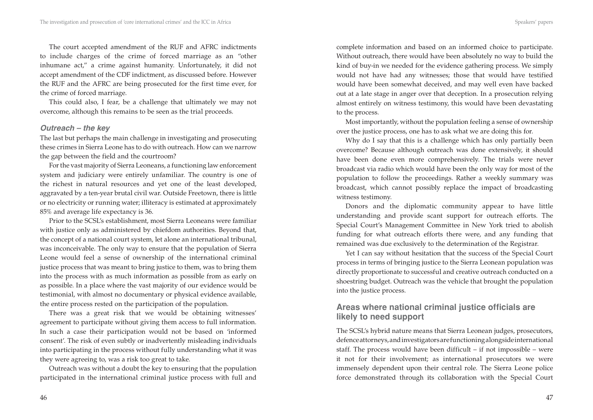The court accepted amendment of the RUF and AFRC indictments to include charges of the crime of forced marriage as an "other inhumane act," a crime against humanity. Unfortunately, it did not accept amendment of the CDF indictment, as discussed before. However the RUF and the AFRC are being prosecuted for the first time ever, for the crime of forced marriage.

This could also, I fear, be a challenge that ultimately we may not overcome, although this remains to be seen as the trial proceeds.

#### *Outreach – the key*

The last but perhaps the main challenge in investigating and prosecuting these crimes in Sierra Leone has to do with outreach. How can we narrow the gap between the field and the courtroom?

For the vast majority of Sierra Leoneans, a functioning law enforcement system and judiciary were entirely unfamiliar. The country is one of the richest in natural resources and yet one of the least developed, aggravated by a ten-year brutal civil war. Outside Freetown, there is little or no electricity or running water; illiteracy is estimated at approximately 85% and average life expectancy is 36.

Prior to the SCSL's establishment, most Sierra Leoneans were familiar with justice only as administered by chiefdom authorities. Beyond that, the concept of a national court system, let alone an international tribunal, was inconceivable. The only way to ensure that the population of Sierra Leone would feel a sense of ownership of the international criminal justice process that was meant to bring justice to them, was to bring them into the process with as much information as possible from as early on as possible. In a place where the vast majority of our evidence would be testimonial, with almost no documentary or physical evidence available, the entire process rested on the participation of the population.

There was a great risk that we would be obtaining witnesses' agreement to participate without giving them access to full information. In such a case their participation would not be based on 'informed consent'. The risk of even subtly or inadvertently misleading individuals into participating in the process without fully understanding what it was they were agreeing to, was a risk too great to take.

Outreach was without a doubt the key to ensuring that the population participated in the international criminal justice process with full and complete information and based on an informed choice to participate. Without outreach, there would have been absolutely no way to build the kind of buy-in we needed for the evidence gathering process. We simply would not have had any witnesses; those that would have testified would have been somewhat deceived, and may well even have backed out at a late stage in anger over that deception. In a prosecution relying almost entirely on witness testimony, this would have been devastating to the process.

Most importantly, without the population feeling a sense of ownership over the justice process, one has to ask what we are doing this for.

Why do I say that this is a challenge which has only partially been overcome? Because although outreach was done extensively, it should have been done even more comprehensively. The trials were never broadcast via radio which would have been the only way for most of the population to follow the proceedings. Rather a weekly summary was broadcast, which cannot possibly replace the impact of broadcasting witness testimony.

Donors and the diplomatic community appear to have little understanding and provide scant support for outreach efforts. The Special Court's Management Committee in New York tried to abolish funding for what outreach efforts there were, and any funding that remained was due exclusively to the determination of the Registrar.

Yet I can say without hesitation that the success of the Special Court process in terms of bringing justice to the Sierra Leonean population was directly proportionate to successful and creative outreach conducted on a shoestring budget. Outreach was the vehicle that brought the population into the justice process.

## **Areas where national criminal justice officials are likely to need support**

The SCSL's hybrid nature means that Sierra Leonean judges, prosecutors, defence attorneys, and investigators are functioning alongside international staff. The process would have been difficult – if not impossible – were it not for their involvement; as international prosecutors we were immensely dependent upon their central role. The Sierra Leone police force demonstrated through its collaboration with the Special Court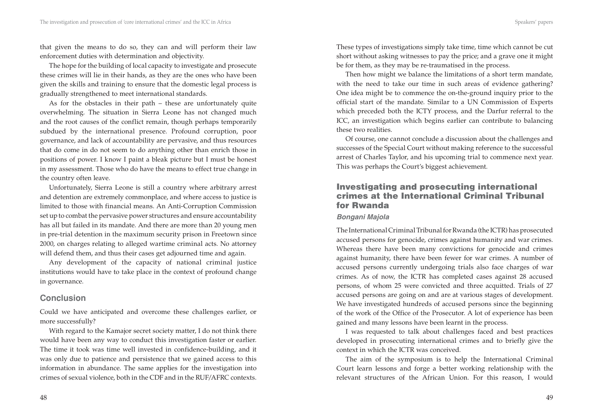that given the means to do so, they can and will perform their law enforcement duties with determination and objectivity.

The hope for the building of local capacity to investigate and prosecute these crimes will lie in their hands, as they are the ones who have been given the skills and training to ensure that the domestic legal process is gradually strengthened to meet international standards.

As for the obstacles in their path – these are unfortunately quite overwhelming. The situation in Sierra Leone has not changed much and the root causes of the conflict remain, though perhaps temporarily subdued by the international presence. Profound corruption, poor governance, and lack of accountability are pervasive, and thus resources that do come in do not seem to do anything other than enrich those in positions of power. I know I paint a bleak picture but I must be honest in my assessment. Those who do have the means to effect true change in the country often leave.

Unfortunately, Sierra Leone is still a country where arbitrary arrest and detention are extremely commonplace, and where access to justice is limited to those with financial means. An Anti-Corruption Commission set up to combat the pervasive power structures and ensure accountability has all but failed in its mandate. And there are more than 20 young men in pre-trial detention in the maximum security prison in Freetown since 2000, on charges relating to alleged wartime criminal acts. No attorney will defend them, and thus their cases get adjourned time and again.

Any development of the capacity of national criminal justice institutions would have to take place in the context of profound change in governance.

## **Conclusion**

Could we have anticipated and overcome these challenges earlier, or more successfully?

With regard to the Kamajor secret society matter, I do not think there would have been any way to conduct this investigation faster or earlier. The time it took was time well invested in confidence-building, and it was only due to patience and persistence that we gained access to this information in abundance. The same applies for the investigation into crimes of sexual violence, both in the CDF and in the RUF/AFRC contexts.

These types of investigations simply take time, time which cannot be cut short without asking witnesses to pay the price; and a grave one it might be for them, as they may be re-traumatised in the process.

Then how might we balance the limitations of a short term mandate, with the need to take our time in such areas of evidence gathering? One idea might be to commence the on-the-ground inquiry prior to the official start of the mandate. Similar to a UN Commission of Experts which preceded both the ICTY process, and the Darfur referral to the ICC, an investigation which begins earlier can contribute to balancing these two realities.

Of course, one cannot conclude a discussion about the challenges and successes of the Special Court without making reference to the successful arrest of Charles Taylor, and his upcoming trial to commence next year. This was perhaps the Court's biggest achievement.

## **Investigating and prosecuting international crimes at the International Criminal Tribunal for Rwanda**

#### *Bongani Majola*

The International Criminal Tribunal for Rwanda (the ICTR) has prosecuted accused persons for genocide, crimes against humanity and war crimes. Whereas there have been many convictions for genocide and crimes against humanity, there have been fewer for war crimes. A number of accused persons currently undergoing trials also face charges of war crimes. As of now, the ICTR has completed cases against 28 accused persons, of whom 25 were convicted and three acquitted. Trials of 27 accused persons are going on and are at various stages of development. We have investigated hundreds of accused persons since the beginning of the work of the Office of the Prosecutor. A lot of experience has been gained and many lessons have been learnt in the process.

I was requested to talk about challenges faced and best practices developed in prosecuting international crimes and to briefly give the context in which the ICTR was conceived.

The aim of the symposium is to help the International Criminal Court learn lessons and forge a better working relationship with the relevant structures of the African Union. For this reason, I would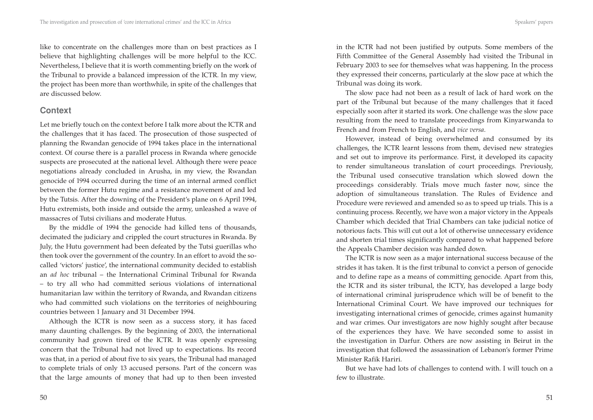like to concentrate on the challenges more than on best practices as I believe that highlighting challenges will be more helpful to the ICC. Nevertheless, I believe that it is worth commenting briefly on the work of the Tribunal to provide a balanced impression of the ICTR. In my view, the project has been more than worthwhile, in spite of the challenges that are discussed below.

#### **Context**

Let me briefly touch on the context before I talk more about the ICTR and the challenges that it has faced. The prosecution of those suspected of planning the Rwandan genocide of 1994 takes place in the international context. Of course there is a parallel process in Rwanda where genocide suspects are prosecuted at the national level. Although there were peace negotiations already concluded in Arusha, in my view, the Rwandan genocide of 1994 occurred during the time of an internal armed conflict between the former Hutu regime and a resistance movement of and led by the Tutsis. After the downing of the President's plane on 6 April 1994, Hutu extremists, both inside and outside the army, unleashed a wave of massacres of Tutsi civilians and moderate Hutus.

By the middle of 1994 the genocide had killed tens of thousands, decimated the judiciary and crippled the court structures in Rwanda. By July, the Hutu government had been defeated by the Tutsi guerillas who then took over the government of the country. In an effort to avoid the socalled 'victors' justice', the international community decided to establish an *ad hoc* tribunal – the International Criminal Tribunal for Rwanda – to try all who had committed serious violations of international humanitarian law within the territory of Rwanda, and Rwandan citizens who had committed such violations on the territories of neighbouring countries between 1 January and 31 December 1994.

Although the ICTR is now seen as a success story, it has faced many daunting challenges. By the beginning of 2003, the international community had grown tired of the ICTR. It was openly expressing concern that the Tribunal had not lived up to expectations. Its record was that, in a period of about five to six years, the Tribunal had managed to complete trials of only 13 accused persons. Part of the concern was that the large amounts of money that had up to then been invested in the ICTR had not been justified by outputs. Some members of the Fifth Committee of the General Assembly had visited the Tribunal in February 2003 to see for themselves what was happening. In the process

they expressed their concerns, particularly at the slow pace at which the Tribunal was doing its work. The slow pace had not been as a result of lack of hard work on the part of the Tribunal but because of the many challenges that it faced

especially soon after it started its work. One challenge was the slow pace resulting from the need to translate proceedings from Kinyarwanda to French and from French to English, and *vice versa*.

However, instead of being overwhelmed and consumed by its challenges, the ICTR learnt lessons from them, devised new strategies and set out to improve its performance. First, it developed its capacity to render simultaneous translation of court proceedings. Previously, the Tribunal used consecutive translation which slowed down the proceedings considerably. Trials move much faster now, since the adoption of simultaneous translation. The Rules of Evidence and Procedure were reviewed and amended so as to speed up trials. This is a continuing process. Recently, we have won a major victory in the Appeals Chamber which decided that Trial Chambers can take judicial notice of notorious facts. This will cut out a lot of otherwise unnecessary evidence and shorten trial times significantly compared to what happened before the Appeals Chamber decision was handed down.

The ICTR is now seen as a major international success because of the strides it has taken. It is the first tribunal to convict a person of genocide and to define rape as a means of committing genocide. Apart from this, the ICTR and its sister tribunal, the ICTY, has developed a large body of international criminal jurisprudence which will be of benefit to the International Criminal Court. We have improved our techniques for investigating international crimes of genocide, crimes against humanity and war crimes. Our investigators are now highly sought after because of the experiences they have. We have seconded some to assist in the investigation in Darfur. Others are now assisting in Beirut in the investigation that followed the assassination of Lebanon's former Prime Minister Rafik Hariri.

But we have had lots of challenges to contend with. I will touch on a few to illustrate.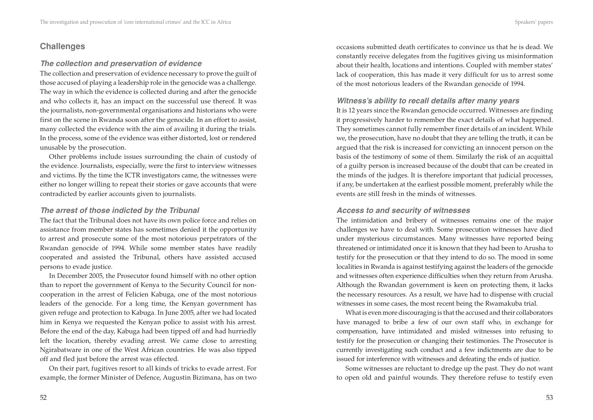### **Challenges**

#### *The collection and preservation of evidence*

The collection and preservation of evidence necessary to prove the guilt of those accused of playing a leadership role in the genocide was a challenge. The way in which the evidence is collected during and after the genocide and who collects it, has an impact on the successful use thereof. It was the journalists, non-governmental organisations and historians who were first on the scene in Rwanda soon after the genocide. In an effort to assist, many collected the evidence with the aim of availing it during the trials. In the process, some of the evidence was either distorted, lost or rendered unusable by the prosecution.

Other problems include issues surrounding the chain of custody of the evidence. Journalists, especially, were the first to interview witnesses and victims. By the time the ICTR investigators came, the witnesses were either no longer willing to repeat their stories or gave accounts that were contradicted by earlier accounts given to journalists.

#### *The arrest of those indicted by the Tribunal*

The fact that the Tribunal does not have its own police force and relies on assistance from member states has sometimes denied it the opportunity to arrest and prosecute some of the most notorious perpetrators of the Rwandan genocide of 1994. While some member states have readily cooperated and assisted the Tribunal, others have assisted accused persons to evade justice.

In December 2005, the Prosecutor found himself with no other option than to report the government of Kenya to the Security Council for noncooperation in the arrest of Felicien Kabuga, one of the most notorious leaders of the genocide. For a long time, the Kenyan government has given refuge and protection to Kabuga. In June 2005, after we had located him in Kenya we requested the Kenyan police to assist with his arrest. Before the end of the day, Kabuga had been tipped off and had hurriedly left the location, thereby evading arrest. We came close to arresting Ngirabatware in one of the West African countries. He was also tipped off and fled just before the arrest was effected.

On their part, fugitives resort to all kinds of tricks to evade arrest. For example, the former Minister of Defence, Augustin Bizimana, has on two occasions submitted death certificates to convince us that he is dead. We constantly receive delegates from the fugitives giving us misinformation about their health, locations and intentions. Coupled with member states' lack of cooperation, this has made it very difficult for us to arrest some of the most notorious leaders of the Rwandan genocide of 1994.

#### *Witness's ability to recall details after many years*

It is 12 years since the Rwandan genocide occurred. Witnesses are finding it progressively harder to remember the exact details of what happened. They sometimes cannot fully remember finer details of an incident. While we, the prosecution, have no doubt that they are telling the truth, it can be argued that the risk is increased for convicting an innocent person on the basis of the testimony of some of them. Similarly the risk of an acquittal of a guilty person is increased because of the doubt that can be created in the minds of the judges. It is therefore important that judicial processes, if any, be undertaken at the earliest possible moment, preferably while the events are still fresh in the minds of witnesses.

#### *Access to and security of witnesses*

The intimidation and bribery of witnesses remains one of the major challenges we have to deal with. Some prosecution witnesses have died under mysterious circumstances. Many witnesses have reported being threatened or intimidated once it is known that they had been to Arusha to testify for the prosecution or that they intend to do so. The mood in some localities in Rwanda is against testifying against the leaders of the genocide and witnesses often experience difficulties when they return from Arusha. Although the Rwandan government is keen on protecting them, it lacks the necessary resources. As a result, we have had to dispense with crucial witnesses in some cases, the most recent being the Rwamakuba trial.

What is even more discouraging is that the accused and their collaborators have managed to bribe a few of our own staff who, in exchange for compensation, have intimidated and misled witnesses into refusing to testify for the prosecution or changing their testimonies. The Prosecutor is currently investigating such conduct and a few indictments are due to be issued for interference with witnesses and defeating the ends of justice.

Some witnesses are reluctant to dredge up the past. They do not want to open old and painful wounds. They therefore refuse to testify even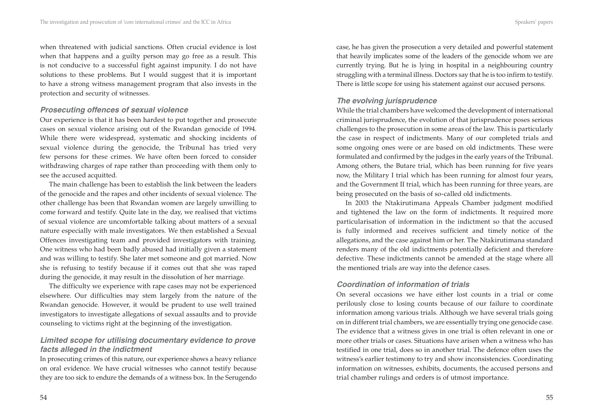when threatened with judicial sanctions. Often crucial evidence is lost when that happens and a guilty person may go free as a result. This is not conducive to a successful fight against impunity. I do not have solutions to these problems. But I would suggest that it is important to have a strong witness management program that also invests in the protection and security of witnesses.

#### *Prosecuting offences of sexual violence*

Our experience is that it has been hardest to put together and prosecute cases on sexual violence arising out of the Rwandan genocide of 1994. While there were widespread, systematic and shocking incidents of sexual violence during the genocide, the Tribunal has tried very few persons for these crimes. We have often been forced to consider withdrawing charges of rape rather than proceeding with them only to see the accused acquitted.

The main challenge has been to establish the link between the leaders of the genocide and the rapes and other incidents of sexual violence. The other challenge has been that Rwandan women are largely unwilling to come forward and testify. Quite late in the day, we realised that victims of sexual violence are uncomfortable talking about matters of a sexual nature especially with male investigators. We then established a Sexual Offences investigating team and provided investigators with training. One witness who had been badly abused had initially given a statement and was willing to testify. She later met someone and got married. Now she is refusing to testify because if it comes out that she was raped during the genocide, it may result in the dissolution of her marriage.

The difficulty we experience with rape cases may not be experienced elsewhere. Our difficulties may stem largely from the nature of the Rwandan genocide. However, it would be prudent to use well trained investigators to investigate allegations of sexual assaults and to provide counseling to victims right at the beginning of the investigation.

## *Limited scope for utilising documentary evidence to prove facts alleged in the indictment*

In prosecuting crimes of this nature, our experience shows a heavy reliance on oral evidence. We have crucial witnesses who cannot testify because they are too sick to endure the demands of a witness box. In the Serugendo case, he has given the prosecution a very detailed and powerful statement that heavily implicates some of the leaders of the genocide whom we are currently trying. But he is lying in hospital in a neighbouring country struggling with a terminal illness. Doctors say that he is too infirm to testify. There is little scope for using his statement against our accused persons.

#### *The evolving jurisprudence*

While the trial chambers have welcomed the development of international criminal jurisprudence, the evolution of that jurisprudence poses serious challenges to the prosecution in some areas of the law. This is particularly the case in respect of indictments. Many of our completed trials and some ongoing ones were or are based on old indictments. These were formulated and confirmed by the judges in the early years of the Tribunal. Among others, the Butare trial, which has been running for five years now, the Military I trial which has been running for almost four years, and the Government II trial, which has been running for three years, are being prosecuted on the basis of so-called old indictments.

In 2003 the Ntakirutimana Appeals Chamber judgment modified and tightened the law on the form of indictments. It required more particularisation of information in the indictment so that the accused is fully informed and receives sufficient and timely notice of the allegations, and the case against him or her. The Ntakirutimana standard renders many of the old indictments potentially deficient and therefore defective. These indictments cannot be amended at the stage where all the mentioned trials are way into the defence cases.

### *Coordination of information of trials*

On several occasions we have either lost counts in a trial or come perilously close to losing counts because of our failure to coordinate information among various trials. Although we have several trials going on in different trial chambers, we are essentially trying one genocide case. The evidence that a witness gives in one trial is often relevant in one or more other trials or cases. Situations have arisen when a witness who has testified in one trial, does so in another trial. The defence often uses the witness's earlier testimony to try and show inconsistencies. Coordinating information on witnesses, exhibits, documents, the accused persons and trial chamber rulings and orders is of utmost importance.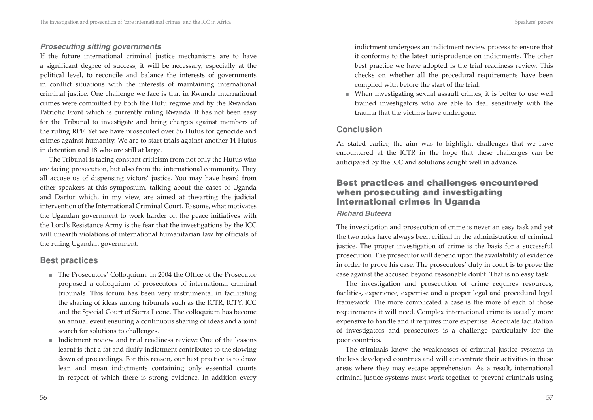#### *Prosecuting sitting governments*

If the future international criminal justice mechanisms are to have a significant degree of success, it will be necessary, especially at the political level, to reconcile and balance the interests of governments in conflict situations with the interests of maintaining international criminal justice. One challenge we face is that in Rwanda international crimes were committed by both the Hutu regime and by the Rwandan Patriotic Front which is currently ruling Rwanda. It has not been easy for the Tribunal to investigate and bring charges against members of the ruling RPF. Yet we have prosecuted over 56 Hutus for genocide and crimes against humanity. We are to start trials against another 14 Hutus in detention and 18 who are still at large.

The Tribunal is facing constant criticism from not only the Hutus who are facing prosecution, but also from the international community. They all accuse us of dispensing victors' justice. You may have heard from other speakers at this symposium, talking about the cases of Uganda and Darfur which, in my view, are aimed at thwarting the judicial intervention of the International Criminal Court. To some, what motivates the Ugandan government to work harder on the peace initiatives with the Lord's Resistance Army is the fear that the investigations by the ICC will unearth violations of international humanitarian law by officials of the ruling Ugandan government.

### **Best practices**

- The Prosecutors' Colloquium: In 2004 the Office of the Prosecutor proposed a colloquium of prosecutors of international criminal tribunals. This forum has been very instrumental in facilitating the sharing of ideas among tribunals such as the ICTR, ICTY, ICC and the Special Court of Sierra Leone. The colloquium has become an annual event ensuring a continuous sharing of ideas and a joint search for solutions to challenges.
- Indictment review and trial readiness review: One of the lessons learnt is that a fat and fluffy indictment contributes to the slowing down of proceedings. For this reason, our best practice is to draw lean and mean indictments containing only essential counts in respect of which there is strong evidence. In addition every

indictment undergoes an indictment review process to ensure that it conforms to the latest jurisprudence on indictments. The other best practice we have adopted is the trial readiness review. This checks on whether all the procedural requirements have been complied with before the start of the trial.

■ When investigating sexual assault crimes, it is better to use well trained investigators who are able to deal sensitively with the trauma that the victims have undergone.

## **Conclusion**

As stated earlier, the aim was to highlight challenges that we have encountered at the ICTR in the hope that these challenges can be anticipated by the ICC and solutions sought well in advance.

## **Best practices and challenges encountered when prosecuting and investigating international crimes in Uganda**

#### *Richard Buteera*

The investigation and prosecution of crime is never an easy task and yet the two roles have always been critical in the administration of criminal justice. The proper investigation of crime is the basis for a successful prosecution. The prosecutor will depend upon the availability of evidence in order to prove his case. The prosecutors' duty in court is to prove the case against the accused beyond reasonable doubt. That is no easy task.

The investigation and prosecution of crime requires resources, facilities, experience, expertise and a proper legal and procedural legal framework. The more complicated a case is the more of each of those requirements it will need. Complex international crime is usually more expensive to handle and it requires more expertise. Adequate facilitation of investigators and prosecutors is a challenge particularly for the poor countries.

The criminals know the weaknesses of criminal justice systems in the less developed countries and will concentrate their activities in these areas where they may escape apprehension. As a result, international criminal justice systems must work together to prevent criminals using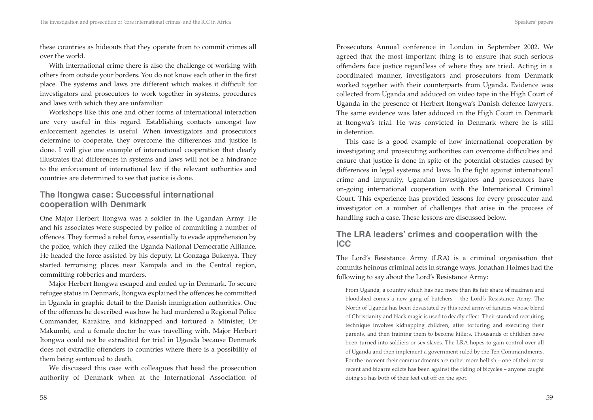these countries as hideouts that they operate from to commit crimes all over the world.

With international crime there is also the challenge of working with others from outside your borders. You do not know each other in the first place. The systems and laws are different which makes it difficult for investigators and prosecutors to work together in systems, procedures and laws with which they are unfamiliar.

Workshops like this one and other forms of international interaction are very useful in this regard. Establishing contacts amongst law enforcement agencies is useful. When investigators and prosecutors determine to cooperate, they overcome the differences and justice is done. I will give one example of international cooperation that clearly illustrates that differences in systems and laws will not be a hindrance to the enforcement of international law if the relevant authorities and countries are determined to see that justice is done.

## **The Itongwa case: Successful international cooperation with Denmark**

One Major Herbert Itongwa was a soldier in the Ugandan Army. He and his associates were suspected by police of committing a number of offences. They formed a rebel force, essentially to evade apprehension by the police, which they called the Uganda National Democratic Alliance. He headed the force assisted by his deputy, Lt Gonzaga Bukenya. They started terrorising places near Kampala and in the Central region, committing robberies and murders.

Major Herbert Itongwa escaped and ended up in Denmark. To secure refugee status in Denmark, Itongwa explained the offences he committed in Uganda in graphic detail to the Danish immigration authorities. One of the offences he described was how he had murdered a Regional Police Commander, Karakire, and kidnapped and tortured a Minister, Dr Makumbi, and a female doctor he was travelling with. Major Herbert Itongwa could not be extradited for trial in Uganda because Denmark does not extradite offenders to countries where there is a possibility of them being sentenced to death.

We discussed this case with colleagues that head the prosecution authority of Denmark when at the International Association of Prosecutors Annual conference in London in September 2002. We agreed that the most important thing is to ensure that such serious offenders face justice regardless of where they are tried. Acting in a coordinated manner, investigators and prosecutors from Denmark worked together with their counterparts from Uganda. Evidence was collected from Uganda and adduced on video tape in the High Court of Uganda in the presence of Herbert Itongwa's Danish defence lawyers. The same evidence was later adduced in the High Court in Denmark at Itongwa's trial. He was convicted in Denmark where he is still in detention.

This case is a good example of how international cooperation by investigating and prosecuting authorities can overcome difficulties and ensure that justice is done in spite of the potential obstacles caused by differences in legal systems and laws. In the fight against international crime and impunity, Ugandan investigators and prosecutors have on-going international cooperation with the International Criminal Court. This experience has provided lessons for every prosecutor and investigator on a number of challenges that arise in the process of handling such a case. These lessons are discussed below.

## **The LRA leaders' crimes and cooperation with the ICC**

The Lord's Resistance Army (LRA) is a criminal organisation that commits heinous criminal acts in strange ways. Jonathan Holmes had the following to say about the Lord's Resistance Army:

From Uganda, a country which has had more than its fair share of madmen and bloodshed comes a new gang of butchers – the Lord's Resistance Army. The North of Uganda has been devastated by this rebel army of fanatics whose blend of Christianity and black magic is used to deadly effect. Their standard recruiting technique involves kidnapping children, after torturing and executing their parents, and then training them to become killers. Thousands of children have been turned into soldiers or sex slaves. The LRA hopes to gain control over all of Uganda and then implement a government ruled by the Ten Commandments. For the moment their commandments are rather more hellish – one of their most recent and bizarre edicts has been against the riding of bicycles – anyone caught doing so has both of their feet cut off on the spot.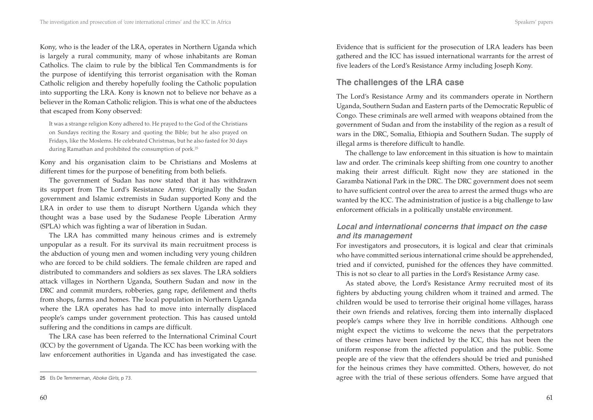Kony, who is the leader of the LRA, operates in Northern Uganda which is largely a rural community, many of whose inhabitants are Roman Catholics. The claim to rule by the biblical Ten Commandments is for the purpose of identifying this terrorist organisation with the Roman Catholic religion and thereby hopefully fooling the Catholic population into supporting the LRA. Kony is known not to believe nor behave as a believer in the Roman Catholic religion. This is what one of the abductees that escaped from Kony observed:

It was a strange religion Kony adhered to. He prayed to the God of the Christians on Sundays reciting the Rosary and quoting the Bible; but he also prayed on Fridays, like the Moslems. He celebrated Christmas, but he also fasted for 30 days during Ramathan and prohibited the consumption of pork.<sup>25</sup>

Kony and his organisation claim to be Christians and Moslems at different times for the purpose of benefiting from both beliefs.

The government of Sudan has now stated that it has withdrawn its support from The Lord's Resistance Army. Originally the Sudan government and Islamic extremists in Sudan supported Kony and the LRA in order to use them to disrupt Northern Uganda which they thought was a base used by the Sudanese People Liberation Army (SPLA) which was fighting a war of liberation in Sudan.

The LRA has committed many heinous crimes and is extremely unpopular as a result. For its survival its main recruitment process is the abduction of young men and women including very young children who are forced to be child soldiers. The female children are raped and distributed to commanders and soldiers as sex slaves. The LRA soldiers attack villages in Northern Uganda, Southern Sudan and now in the DRC and commit murders, robberies, gang rape, defilement and thefts from shops, farms and homes. The local population in Northern Uganda where the LRA operates has had to move into internally displaced people's camps under government protection. This has caused untold suffering and the conditions in camps are difficult.

The LRA case has been referred to the International Criminal Court (ICC) by the government of Uganda. The ICC has been working with the law enforcement authorities in Uganda and has investigated the case.

60

Evidence that is sufficient for the prosecution of LRA leaders has been gathered and the ICC has issued international warrants for the arrest of five leaders of the Lord's Resistance Army including Joseph Kony.

## **The challenges of the LRA case**

The Lord's Resistance Army and its commanders operate in Northern Uganda, Southern Sudan and Eastern parts of the Democratic Republic of Congo. These criminals are well armed with weapons obtained from the government of Sudan and from the instability of the region as a result of wars in the DRC, Somalia, Ethiopia and Southern Sudan. The supply of illegal arms is therefore difficult to handle.

The challenge to law enforcement in this situation is how to maintain law and order. The criminals keep shifting from one country to another making their arrest difficult. Right now they are stationed in the Garamba National Park in the DRC. The DRC government does not seem to have sufficient control over the area to arrest the armed thugs who are wanted by the ICC. The administration of justice is a big challenge to law enforcement officials in a politically unstable environment.

## *Local and international concerns that impact on the case and its management*

For investigators and prosecutors, it is logical and clear that criminals who have committed serious international crime should be apprehended, tried and if convicted, punished for the offences they have committed. This is not so clear to all parties in the Lord's Resistance Army case.

As stated above, the Lord's Resistance Army recruited most of its fighters by abducting young children whom it trained and armed. The children would be used to terrorise their original home villages, harass their own friends and relatives, forcing them into internally displaced people's camps where they live in horrible conditions. Although one might expect the victims to welcome the news that the perpetrators of these crimes have been indicted by the ICC, this has not been the uniform response from the affected population and the public. Some people are of the view that the offenders should be tried and punished for the heinous crimes they have committed. Others, however, do not agree with the trial of these serious offenders. Some have argued that

<sup>25</sup> Els De Temmerman, *Aboke Girls*, p 73.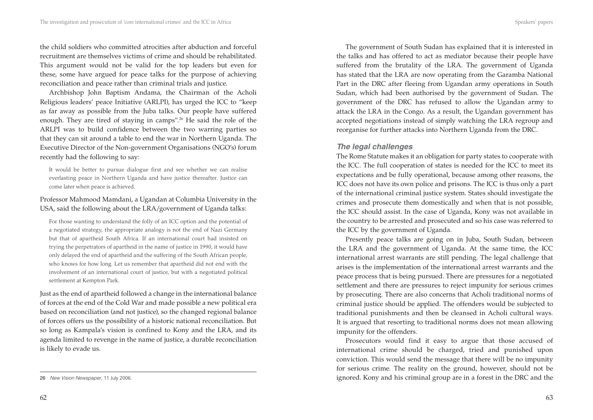the child soldiers who committed atrocities after abduction and forceful recruitment are themselves victims of crime and should be rehabilitated. This argument would not be valid for the top leaders but even for these, some have argued for peace talks for the purpose of achieving reconciliation and peace rather than criminal trials and justice.

Archbishop John Baptism Andama, the Chairman of the Acholi Religious leaders' peace Initiative (ARLPI), has urged the ICC to "keep as far away as possible from the Juba talks. Our people have suffered enough. They are tired of staying in camps".<sup>26</sup> He said the role of the ARLPI was to build confidence between the two warring parties so that they can sit around a table to end the war in Northern Uganda. The Executive Director of the Non-government Organisations (NGO's) forum recently had the following to say:

It would be better to pursue dialogue first and see whether we can realise everlasting peace in Northern Uganda and have justice thereafter. Justice can come later when peace is achieved.

#### Professor Mahmood Mamdani, a Ugandan at Columbia University in the USA, said the following about the LRA/government of Uganda talks:

For those wanting to understand the folly of an ICC option and the potential of a negotiated strategy, the appropriate analogy is not the end of Nazi Germany but that of apartheid South Africa. If an international court had insisted on trying the perpetrators of apartheid in the name of justice in 1990, it would have only delayed the end of apartheid and the suffering of the South African people, who knows for how long. Let us remember that apartheid did not end with the involvement of an international court of justice, but with a negotiated political settlement at Kempton Park.

Just as the end of apartheid followed a change in the international balance of forces at the end of the Cold War and made possible a new political era based on reconciliation (and not justice), so the changed regional balance of forces offers us the possibility of a historic national reconciliation. But so long as Kampala's vision is confined to Kony and the LRA, and its agenda limited to revenge in the name of justice, a durable reconciliation is likely to evade us.

The government of South Sudan has explained that it is interested in the talks and has offered to act as mediator because their people have suffered from the brutality of the LRA. The government of Uganda has stated that the LRA are now operating from the Garamba National Part in the DRC after fleeing from Ugandan army operations in South Sudan, which had been authorised by the government of Sudan. The government of the DRC has refused to allow the Ugandan army to attack the LRA in the Congo. As a result, the Ugandan government has accepted negotiations instead of simply watching the LRA regroup and

#### *The legal challenges*

The Rome Statute makes it an obligation for party states to cooperate with the ICC. The full cooperation of states is needed for the ICC to meet its expectations and be fully operational, because among other reasons, the ICC does not have its own police and prisons. The ICC is thus only a part of the international criminal justice system. States should investigate the crimes and prosecute them domestically and when that is not possible, the ICC should assist. In the case of Uganda, Kony was not available in the country to be arrested and prosecuted and so his case was referred to the ICC by the government of Uganda.

reorganise for further attacks into Northern Uganda from the DRC.

Presently peace talks are going on in Juba, South Sudan, between the LRA and the government of Uganda. At the same time, the ICC international arrest warrants are still pending. The legal challenge that arises is the implementation of the international arrest warrants and the peace process that is being pursued. There are pressures for a negotiated settlement and there are pressures to reject impunity for serious crimes by prosecuting. There are also concerns that Acholi traditional norms of criminal justice should be applied. The offenders would be subjected to traditional punishments and then be cleansed in Acholi cultural ways. It is argued that resorting to traditional norms does not mean allowing impunity for the offenders.

Prosecutors would find it easy to argue that those accused of international crime should be charged, tried and punished upon conviction. This would send the message that there will be no impunity for serious crime. The reality on the ground, however, should not be ignored. Kony and his criminal group are in a forest in the DRC and the

<sup>26</sup> *New Vision Newspaper*, 11 July 2006.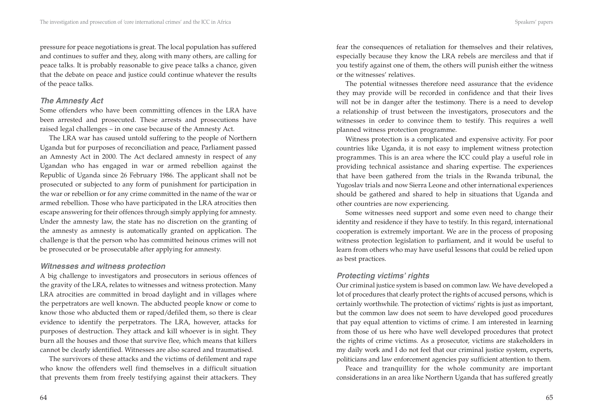pressure for peace negotiations is great. The local population has suffered and continues to suffer and they, along with many others, are calling for peace talks. It is probably reasonable to give peace talks a chance, given that the debate on peace and justice could continue whatever the results of the peace talks.

#### *The Amnesty Act*

Some offenders who have been committing offences in the LRA have been arrested and prosecuted. These arrests and prosecutions have raised legal challenges – in one case because of the Amnesty Act.

The LRA war has caused untold suffering to the people of Northern Uganda but for purposes of reconciliation and peace, Parliament passed an Amnesty Act in 2000. The Act declared amnesty in respect of any Ugandan who has engaged in war or armed rebellion against the Republic of Uganda since 26 February 1986. The applicant shall not be prosecuted or subjected to any form of punishment for participation in the war or rebellion or for any crime committed in the name of the war or armed rebellion. Those who have participated in the LRA atrocities then escape answering for their offences through simply applying for amnesty. Under the amnesty law, the state has no discretion on the granting of the amnesty as amnesty is automatically granted on application. The challenge is that the person who has committed heinous crimes will not be prosecuted or be prosecutable after applying for amnesty.

#### *Witnesses and witness protection*

A big challenge to investigators and prosecutors in serious offences of the gravity of the LRA, relates to witnesses and witness protection. Many LRA atrocities are committed in broad daylight and in villages where the perpetrators are well known. The abducted people know or come to know those who abducted them or raped/defiled them, so there is clear evidence to identify the perpetrators. The LRA, however, attacks for purposes of destruction. They attack and kill whoever is in sight. They burn all the houses and those that survive flee, which means that killers cannot be clearly identified. Witnesses are also scared and traumatised.

The survivors of these attacks and the victims of defilement and rape who know the offenders well find themselves in a difficult situation that prevents them from freely testifying against their attackers. They fear the consequences of retaliation for themselves and their relatives, especially because they know the LRA rebels are merciless and that if you testify against one of them, the others will punish either the witness or the witnesses' relatives.

The potential witnesses therefore need assurance that the evidence they may provide will be recorded in confidence and that their lives will not be in danger after the testimony. There is a need to develop a relationship of trust between the investigators, prosecutors and the witnesses in order to convince them to testify. This requires a well planned witness protection programme.

Witness protection is a complicated and expensive activity. For poor countries like Uganda, it is not easy to implement witness protection programmes. This is an area where the ICC could play a useful role in providing technical assistance and sharing expertise. The experiences that have been gathered from the trials in the Rwanda tribunal, the Yugoslav trials and now Sierra Leone and other international experiences should be gathered and shared to help in situations that Uganda and other countries are now experiencing.

Some witnesses need support and some even need to change their identity and residence if they have to testify. In this regard, international cooperation is extremely important. We are in the process of proposing witness protection legislation to parliament, and it would be useful to learn from others who may have useful lessons that could be relied upon as best practices.

## *Protecting victims' rights*

Our criminal justice system is based on common law. We have developed a lot of procedures that clearly protect the rights of accused persons, which is certainly worthwhile. The protection of victims' rights is just as important, but the common law does not seem to have developed good procedures that pay equal attention to victims of crime. I am interested in learning from those of us here who have well developed procedures that protect the rights of crime victims. As a prosecutor, victims are stakeholders in my daily work and I do not feel that our criminal justice system, experts, politicians and law enforcement agencies pay sufficient attention to them.

Peace and tranquillity for the whole community are important considerations in an area like Northern Uganda that has suffered greatly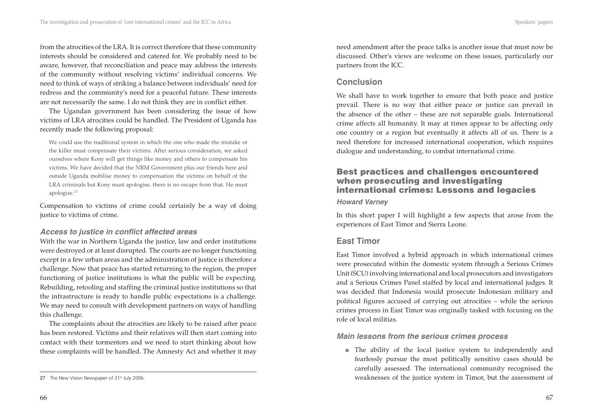from the atrocities of the LRA. It is correct therefore that these community interests should be considered and catered for. We probably need to be aware, however, that reconciliation and peace may address the interests of the community without resolving victims' individual concerns. We need to think of ways of striking a balance between individuals' need for redress and the community's need for a peaceful future. These interests are not necessarily the same. I do not think they are in conflict either.

The Ugandan government has been considering the issue of how victims of LRA atrocities could be handled. The President of Uganda has recently made the following proposal:

We could use the traditional system in which the one who made the mistake or the killer must compensate their victims. After serious consideration, we asked ourselves where Kony will get things like money and others to compensate his victims. We have decided that the NRM Government plus our friends here and outside Uganda mobilise money to compensation the victims on behalf of the LRA criminals but Kony must apologise, there is no escape from that. He must apologise.27

Compensation to victims of crime could certainly be a way of doing justice to victims of crime.

### Access to justice in conflict affected areas

With the war in Northern Uganda the justice, law and order institutions were destroyed or at least disrupted. The courts are no longer functioning except in a few urban areas and the administration of justice is therefore a challenge. Now that peace has started returning to the region, the proper functioning of justice institutions is what the public will be expecting. Rebuilding, retooling and staffing the criminal justice institutions so that the infrastructure is ready to handle public expectations is a challenge. We may need to consult with development partners on ways of handling this challenge.

The complaints about the atrocities are likely to be raised after peace has been restored. Victims and their relatives will then start coming into contact with their tormentors and we need to start thinking about how these complaints will be handled. The Amnesty Act and whether it may need amendment after the peace talks is another issue that must now be discussed. Other's views are welcome on these issues, particularly our partners from the ICC.

## **Conclusion**

We shall have to work together to ensure that both peace and justice prevail. There is no way that either peace or justice can prevail in the absence of the other – these are not separable goals. International crime affects all humanity. It may at times appear to be affecting only one country or a region but eventually it affects all of us. There is a need therefore for increased international cooperation, which requires dialogue and understanding, to combat international crime.

# **Best practices and challenges encountered when prosecuting and investigating international crimes: Lessons and legacies**

#### *Howard Varney*

In this short paper I will highlight a few aspects that arose from the experiences of East Timor and Sierra Leone.

# **East Timor**

East Timor involved a hybrid approach in which international crimes were prosecuted within the domestic system through a Serious Crimes Unit (SCU) involving international and local prosecutors and investigators and a Serious Crimes Panel staffed by local and international judges. It was decided that Indonesia would prosecute Indonesian military and political figures accused of carrying out atrocities – while the serious crimes process in East Timor was originally tasked with focusing on the role of local militias.

### *Main lessons from the serious crimes process*

■ The ability of the local justice system to independently and fearlessly pursue the most politically sensitive cases should be carefully assessed. The international community recognised the weaknesses of the justice system in Timor, but the assessment of

<sup>27</sup> The New Vision Newspaper of 31<sup>st</sup> July 2006.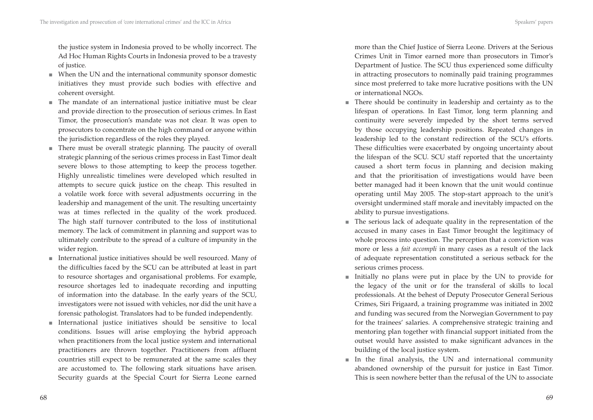the justice system in Indonesia proved to be wholly incorrect. The Ad Hoc Human Rights Courts in Indonesia proved to be a travesty of justice.

- When the UN and the international community sponsor domestic initiatives they must provide such bodies with effective and coherent oversight.
- $\blacksquare$  The mandate of an international justice initiative must be clear and provide direction to the prosecution of serious crimes. In East Timor, the prosecution's mandate was not clear. It was open to prosecutors to concentrate on the high command or anyone within the jurisdiction regardless of the roles they played.
- There must be overall strategic planning. The paucity of overall strategic planning of the serious crimes process in East Timor dealt severe blows to those attempting to keep the process together. Highly unrealistic timelines were developed which resulted in attempts to secure quick justice on the cheap. This resulted in a volatile work force with several adjustments occurring in the leadership and management of the unit. The resulting uncertainty was at times reflected in the quality of the work produced. The high staff turnover contributed to the loss of institutional memory. The lack of commitment in planning and support was to ultimately contribute to the spread of a culture of impunity in the wider region.
- International justice initiatives should be well resourced. Many of the difficulties faced by the SCU can be attributed at least in part to resource shortages and organisational problems. For example, resource shortages led to inadequate recording and inputting of information into the database. In the early years of the SCU, investigators were not issued with vehicles, nor did the unit have a forensic pathologist. Translators had to be funded independently.
- International justice initiatives should be sensitive to local conditions. Issues will arise employing the hybrid approach when practitioners from the local justice system and international practitioners are thrown together. Practitioners from affluent countries still expect to be remunerated at the same scales they are accustomed to. The following stark situations have arisen. Security guards at the Special Court for Sierra Leone earned

more than the Chief Justice of Sierra Leone. Drivers at the Serious Crimes Unit in Timor earned more than prosecutors in Timor's Department of Justice. The SCU thus experienced some difficulty in attracting prosecutors to nominally paid training programmes since most preferred to take more lucrative positions with the UN or international NGOs.

- There should be continuity in leadership and certainty as to the lifespan of operations. In East Timor, long term planning and continuity were severely impeded by the short terms served by those occupying leadership positions. Repeated changes in leadership led to the constant redirection of the SCU's efforts. These difficulties were exacerbated by ongoing uncertainty about the lifespan of the SCU. SCU staff reported that the uncertainty caused a short term focus in planning and decision making and that the prioritisation of investigations would have been better managed had it been known that the unit would continue operating until May 2005. The stop-start approach to the unit's oversight undermined staff morale and inevitably impacted on the ability to pursue investigations. ■
- The serious lack of adequate quality in the representation of the accused in many cases in East Timor brought the legitimacy of whole process into question. The perception that a conviction was more or less a *fait accompli* in many cases as a result of the lack of adequate representation constituted a serious setback for the serious crimes process.
- Initially no plans were put in place by the UN to provide for the legacy of the unit or for the transferal of skills to local professionals. At the behest of Deputy Prosecutor General Serious Crimes, Siri Frigaard, a training programme was initiated in 2002 and funding was secured from the Norwegian Government to pay for the trainees' salaries. A comprehensive strategic training and mentoring plan together with financial support initiated from the outset would have assisted to make significant advances in the building of the local justice system.
- In the final analysis, the UN and international community abandoned ownership of the pursuit for justice in East Timor. This is seen nowhere better than the refusal of the UN to associate ■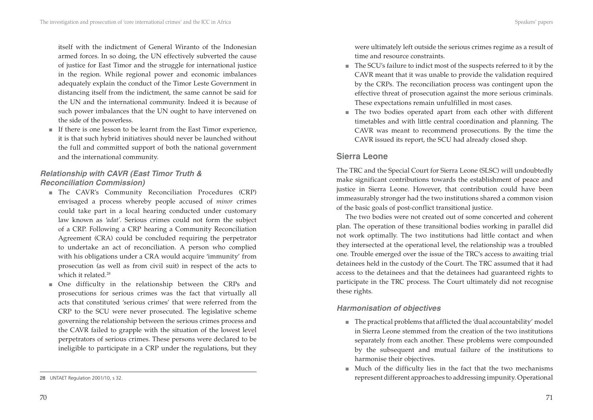itself with the indictment of General Wiranto of the Indonesian armed forces. In so doing, the UN effectively subverted the cause of justice for East Timor and the struggle for international justice in the region. While regional power and economic imbalances adequately explain the conduct of the Timor Leste Government in distancing itself from the indictment, the same cannot be said for the UN and the international community. Indeed it is because of such power imbalances that the UN ought to have intervened on the side of the powerless.

■ If there is one lesson to be learnt from the East Timor experience, it is that such hybrid initiatives should never be launched without the full and committed support of both the national government and the international community.

## *Relationship with CAVR (East Timor Truth & Reconciliation Commission)*

- The CAVR's Community Reconciliation Procedures (CRP) envisaged a process whereby people accused of *minor* crimes could take part in a local hearing conducted under customary law known as '*adat'.* Serious crimes could not form the subject of a CRP. Following a CRP hearing a Community Reconciliation Agreement (CRA) could be concluded requiring the perpetrator to undertake an act of reconciliation. A person who complied with his obligations under a CRA would acquire 'immunity' from prosecution (as well as from civil suit) in respect of the acts to which it related.<sup>28</sup>
- One difficulty in the relationship between the CRPs and prosecutions for serious crimes was the fact that virtually all acts that constituted 'serious crimes' that were referred from the CRP to the SCU were never prosecuted. The legislative scheme governing the relationship between the serious crimes process and the CAVR failed to grapple with the situation of the lowest level perpetrators of serious crimes. These persons were declared to be ineligible to participate in a CRP under the regulations, but they

were ultimately left outside the serious crimes regime as a result of time and resource constraints.

- The SCU's failure to indict most of the suspects referred to it by the CAVR meant that it was unable to provide the validation required by the CRPs. The reconciliation process was contingent upon the effective threat of prosecution against the more serious criminals. These expectations remain unfulfilled in most cases.
- The two bodies operated apart from each other with different timetables and with little central coordination and planning. The CAVR was meant to recommend prosecutions. By the time the CAVR issued its report, the SCU had already closed shop. ■

## **Sierra Leone**

The TRC and the Special Court for Sierra Leone (SLSC) will undoubtedly make significant contributions towards the establishment of peace and justice in Sierra Leone. However, that contribution could have been immeasurably stronger had the two institutions shared a common vision of the basic goals of post-conflict transitional justice.

The two bodies were not created out of some concerted and coherent plan. The operation of these transitional bodies working in parallel did not work optimally. The two institutions had little contact and when they intersected at the operational level, the relationship was a troubled one. Trouble emerged over the issue of the TRC's access to awaiting trial detainees held in the custody of the Court. The TRC assumed that it had access to the detainees and that the detainees had guaranteed rights to participate in the TRC process. The Court ultimately did not recognise these rights.

### *Harmonisation of objectives*

- The practical problems that afflicted the 'dual accountability' model in Sierra Leone stemmed from the creation of the two institutions separately from each another. These problems were compounded by the subsequent and mutual failure of the institutions to harmonise their objectives.
- Much of the difficulty lies in the fact that the two mechanisms represent different approaches to addressing impunity. Operational

<sup>28</sup> UNTAET Regulation 2001/10, s 32.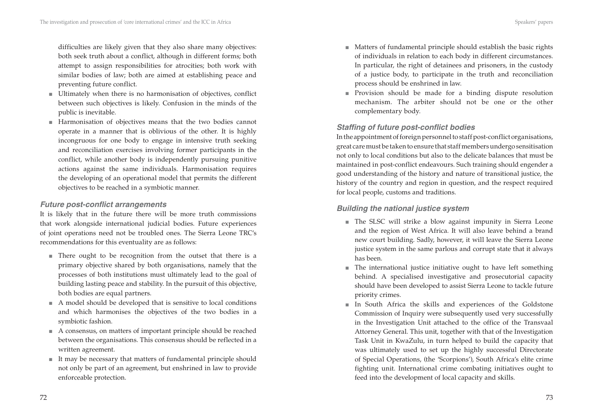difficulties are likely given that they also share many objectives: both seek truth about a conflict, although in different forms; both attempt to assign responsibilities for atrocities; both work with similar bodies of law; both are aimed at establishing peace and preventing future conflict.

- Ultimately when there is no harmonisation of objectives, conflict between such objectives is likely. Confusion in the minds of the public is inevitable.
- Harmonisation of objectives means that the two bodies cannot operate in a manner that is oblivious of the other. It is highly incongruous for one body to engage in intensive truth seeking and reconciliation exercises involving former participants in the conflict, while another body is independently pursuing punitive actions against the same individuals. Harmonisation requires the developing of an operational model that permits the different objectives to be reached in a symbiotic manner.

### *Future post-conflict arrangements*

It is likely that in the future there will be more truth commissions that work alongside international judicial bodies. Future experiences of joint operations need not be troubled ones. The Sierra Leone TRC's recommendations for this eventuality are as follows:

- There ought to be recognition from the outset that there is a primary objective shared by both organisations, namely that the processes of both institutions must ultimately lead to the goal of building lasting peace and stability. In the pursuit of this objective, both bodies are equal partners.
- A model should be developed that is sensitive to local conditions and which harmonises the objectives of the two bodies in a symbiotic fashion.
- A consensus, on matters of important principle should be reached between the organisations. This consensus should be reflected in a written agreement.
- It may be necessary that matters of fundamental principle should not only be part of an agreement, but enshrined in law to provide enforceable protection.
- Matters of fundamental principle should establish the basic rights of individuals in relation to each body in different circumstances. In particular, the right of detainees and prisoners, in the custody of a justice body, to participate in the truth and reconciliation process should be enshrined in law.
- Provision should be made for a binding dispute resolution mechanism. The arbiter should not be one or the other complementary body.

### **Staffing of future post-conflict bodies**

In the appointment of foreign personnel to staff post-conflict organisations, great care must be taken to ensure that staff members undergo sensitisation not only to local conditions but also to the delicate balances that must be maintained in post-conflict endeavours. Such training should engender a good understanding of the history and nature of transitional justice, the history of the country and region in question, and the respect required for local people, customs and traditions.

### *Building the national justice system*

- The SLSC will strike a blow against impunity in Sierra Leone and the region of West Africa. It will also leave behind a brand new court building. Sadly, however, it will leave the Sierra Leone justice system in the same parlous and corrupt state that it always has been.
- The international justice initiative ought to have left something behind. A specialised investigative and prosecutorial capacity should have been developed to assist Sierra Leone to tackle future priority crimes. ■
- In South Africa the skills and experiences of the Goldstone Commission of Inquiry were subsequently used very successfully in the Investigation Unit attached to the office of the Transvaal Attorney General. This unit, together with that of the Investigation Task Unit in KwaZulu, in turn helped to build the capacity that was ultimately used to set up the highly successful Directorate of Special Operations, (the 'Scorpions'), South Africa's elite crime fighting unit. International crime combating initiatives ought to feed into the development of local capacity and skills.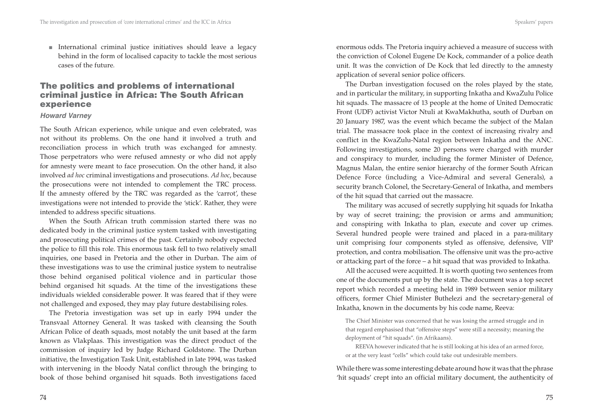- International criminal justice initiatives should leave a legacy behind in the form of localised capacity to tackle the most serious
- **The politics and problems of international criminal justice in Africa: The South African**

## **experience**  *Howard Varney*

cases of the future.

The South African experience, while unique and even celebrated, was not without its problems. On the one hand it involved a truth and reconciliation process in which truth was exchanged for amnesty. Those perpetrators who were refused amnesty or who did not apply for amnesty were meant to face prosecution. On the other hand, it also involved *ad hoc* criminal investigations and prosecutions. *Ad hoc*, because the prosecutions were not intended to complement the TRC process. If the amnesty offered by the TRC was regarded as the 'carrot', these investigations were not intended to provide the 'stick'. Rather, they were intended to address specific situations.

When the South African truth commission started there was no dedicated body in the criminal justice system tasked with investigating and prosecuting political crimes of the past. Certainly nobody expected the police to fill this role. This enormous task fell to two relatively small inquiries, one based in Pretoria and the other in Durban. The aim of these investigations was to use the criminal justice system to neutralise those behind organised political violence and in particular those behind organised hit squads. At the time of the investigations these individuals wielded considerable power. It was feared that if they were not challenged and exposed, they may play future destabilising roles.

The Pretoria investigation was set up in early 1994 under the Transvaal Attorney General. It was tasked with cleansing the South African Police of death squads, most notably the unit based at the farm known as Vlakplaas. This investigation was the direct product of the commission of inquiry led by Judge Richard Goldstone. The Durban initiative, the Investigation Task Unit, established in late 1994, was tasked with intervening in the bloody Natal conflict through the bringing to book of those behind organised hit squads. Both investigations faced enormous odds. The Pretoria inquiry achieved a measure of success with the conviction of Colonel Eugene De Kock, commander of a police death unit. It was the conviction of De Kock that led directly to the amnesty application of several senior police officers.

The Durban investigation focused on the roles played by the state, and in particular the military, in supporting Inkatha and KwaZulu Police hit squads. The massacre of 13 people at the home of United Democratic Front (UDF) activist Victor Ntuli at KwaMakhutha, south of Durban on 20 January 1987, was the event which became the subject of the Malan trial. The massacre took place in the context of increasing rivalry and conflict in the KwaZulu-Natal region between Inkatha and the ANC. Following investigations, some 20 persons were charged with murder and conspiracy to murder, including the former Minister of Defence, Magnus Malan, the entire senior hierarchy of the former South African Defence Force (including a Vice-Admiral and several Generals), a security branch Colonel, the Secretary-General of Inkatha, and members of the hit squad that carried out the massacre.

The military was accused of secretly supplying hit squads for Inkatha by way of secret training; the provision or arms and ammunition; and conspiring with Inkatha to plan, execute and cover up crimes. Several hundred people were trained and placed in a para-military unit comprising four components styled as offensive, defensive, VIP protection, and contra mobilisation. The offensive unit was the pro-active or attacking part of the force – a hit squad that was provided to Inkatha.

All the accused were acquitted. It is worth quoting two sentences from one of the documents put up by the state. The document was a top secret report which recorded a meeting held in 1989 between senior military officers, former Chief Minister Buthelezi and the secretary-general of Inkatha, known in the documents by his code name, Reeva:

The Chief Minister was concerned that he was losing the armed struggle and in that regard emphasised that "offensive steps" were still a necessity; meaning the deployment of "hit squads". (in Afrikaans).

REEVA however indicated that he is still looking at his idea of an armed force, or at the very least "cells" which could take out undesirable members.

While there was some interesting debate around how it was that the phrase 'hit squads' crept into an official military document, the authenticity of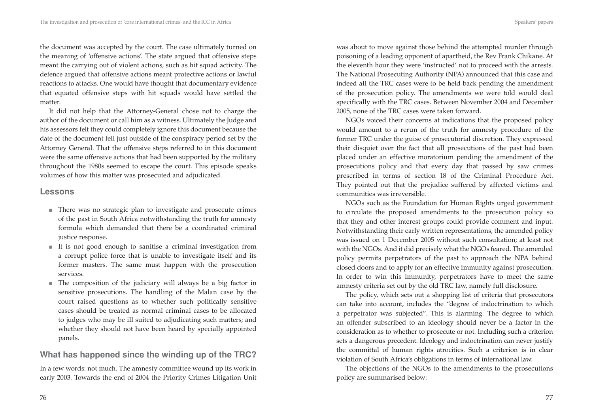the document was accepted by the court. The case ultimately turned on the meaning of 'offensive actions'. The state argued that offensive steps meant the carrying out of violent actions, such as hit squad activity. The defence argued that offensive actions meant protective actions or lawful reactions to attacks. One would have thought that documentary evidence that equated offensive steps with hit squads would have settled the matter.

It did not help that the Attorney-General chose not to charge the author of the document or call him as a witness. Ultimately the Judge and his assessors felt they could completely ignore this document because the date of the document fell just outside of the conspiracy period set by the Attorney General. That the offensive steps referred to in this document were the same offensive actions that had been supported by the military throughout the 1980s seemed to escape the court. This episode speaks volumes of how this matter was prosecuted and adjudicated.

## **Lessons**

- There was no strategic plan to investigate and prosecute crimes of the past in South Africa notwithstanding the truth for amnesty formula which demanded that there be a coordinated criminal justice response.
- $\blacksquare$  It is not good enough to sanitise a criminal investigation from a corrupt police force that is unable to investigate itself and its former masters. The same must happen with the prosecution services.
- The composition of the judiciary will always be a big factor in sensitive prosecutions. The handling of the Malan case by the court raised questions as to whether such politically sensitive cases should be treated as normal criminal cases to be allocated to judges who may be ill suited to adjudicating such matters; and whether they should not have been heard by specially appointed panels.

# **What has happened since the winding up of the TRC?**

In a few words: not much. The amnesty committee wound up its work in early 2003. Towards the end of 2004 the Priority Crimes Litigation Unit was about to move against those behind the attempted murder through poisoning of a leading opponent of apartheid, the Rev Frank Chikane. At the eleventh hour they were 'instructed' not to proceed with the arrests. The National Prosecuting Authority (NPA) announced that this case and indeed all the TRC cases were to be held back pending the amendment of the prosecution policy. The amendments we were told would deal specifically with the TRC cases. Between November 2004 and December 2005, none of the TRC cases were taken forward.

NGOs voiced their concerns at indications that the proposed policy would amount to a rerun of the truth for amnesty procedure of the former TRC under the guise of prosecutorial discretion. They expressed their disquiet over the fact that all prosecutions of the past had been placed under an effective moratorium pending the amendment of the prosecutions policy and that every day that passed by saw crimes prescribed in terms of section 18 of the Criminal Procedure Act. They pointed out that the prejudice suffered by affected victims and communities was irreversible.

NGOs such as the Foundation for Human Rights urged government to circulate the proposed amendments to the prosecution policy so that they and other interest groups could provide comment and input. Notwithstanding their early written representations, the amended policy was issued on 1 December 2005 without such consultation; at least not with the NGOs. And it did precisely what the NGOs feared. The amended policy permits perpetrators of the past to approach the NPA behind closed doors and to apply for an effective immunity against prosecution. In order to win this immunity, perpetrators have to meet the same amnesty criteria set out by the old TRC law, namely full disclosure.

The policy, which sets out a shopping list of criteria that prosecutors can take into account, includes the "degree of indoctrination to which a perpetrator was subjected". This is alarming. The degree to which an offender subscribed to an ideology should never be a factor in the consideration as to whether to prosecute or not. Including such a criterion sets a dangerous precedent. Ideology and indoctrination can never justify the committal of human rights atrocities. Such a criterion is in clear violation of South Africa's obligations in terms of international law.

The objections of the NGOs to the amendments to the prosecutions policy are summarised below: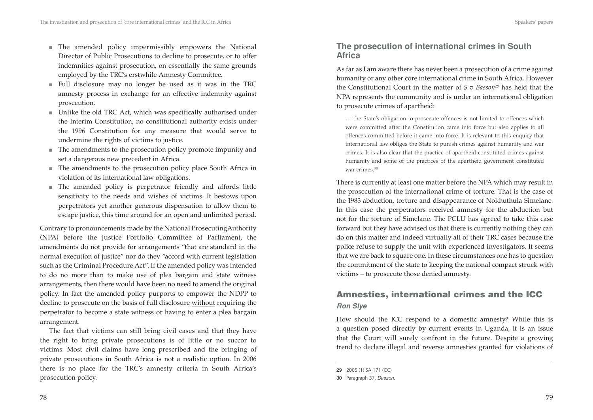- The amended policy impermissibly empowers the National Director of Public Prosecutions to decline to prosecute, or to offer indemnities against prosecution, on essentially the same grounds employed by the TRC's erstwhile Amnesty Committee.
- $\quad$  Full disclosure may no longer be used as it was in the TRC amnesty process in exchange for an effective indemnity against prosecution.
- Unlike the old TRC Act, which was specifically authorised under the Interim Constitution, no constitutional authority exists under the 1996 Constitution for any measure that would serve to undermine the rights of victims to justice.
- The amendments to the prosecution policy promote impunity and set a dangerous new precedent in Africa.
- The amendments to the prosecution policy place South Africa in violation of its international law obligations.
- The amended policy is perpetrator friendly and affords little sensitivity to the needs and wishes of victims. It bestows upon perpetrators yet another generous dispensation to allow them to escape justice, this time around for an open and unlimited period.

Contrary to pronouncements made by the National ProsecutingAuthority (NPA) before the Justice Portfolio Committee of Parliament, the amendments do not provide for arrangements "that are standard in the normal execution of justice" nor do they "accord with current legislation such as the Criminal Procedure Act". If the amended policy was intended to do no more than to make use of plea bargain and state witness arrangements, then there would have been no need to amend the original policy. In fact the amended policy purports to empower the NDPP to decline to prosecute on the basis of full disclosure without requiring the perpetrator to become a state witness or having to enter a plea bargain arrangement.

The fact that victims can still bring civil cases and that they have the right to bring private prosecutions is of little or no succor to victims. Most civil claims have long prescribed and the bringing of private prosecutions in South Africa is not a realistic option. In 2006 there is no place for the TRC's amnesty criteria in South Africa's prosecution policy.

## **The prosecution of international crimes in South Africa**

As far as I am aware there has never been a prosecution of a crime against humanity or any other core international crime in South Africa. However the Constitutional Court in the matter of *S v Basson29* has held that the NPA represents the community and is under an international obligation to prosecute crimes of apartheid:

… the State's obligation to prosecute offences is not limited to offences which were committed after the Constitution came into force but also applies to all offences committed before it came into force. It is relevant to this enquiry that international law obliges the State to punish crimes against humanity and war crimes. It is also clear that the practice of apartheid constituted crimes against humanity and some of the practices of the apartheid government constituted war crimes.<sup>30</sup>

There is currently at least one matter before the NPA which may result in the prosecution of the international crime of torture. That is the case of the 1983 abduction, torture and disappearance of Nokhuthula Simelane. In this case the perpetrators received amnesty for the abduction but not for the torture of Simelane. The PCLU has agreed to take this case forward but they have advised us that there is currently nothing they can do on this matter and indeed virtually all of their TRC cases because the police refuse to supply the unit with experienced investigators. It seems that we are back to square one. In these circumstances one has to question the commitment of the state to keeping the national compact struck with victims – to prosecute those denied amnesty.

# **Amnesties, international crimes and the ICC** *Ron Slye*

How should the ICC respond to a domestic amnesty? While this is a question posed directly by current events in Uganda, it is an issue that the Court will surely confront in the future. Despite a growing trend to declare illegal and reverse amnesties granted for violations of

<sup>29</sup> 2005 (1) SA 171 (CC)

<sup>30</sup> Paragraph 37, *Basson.*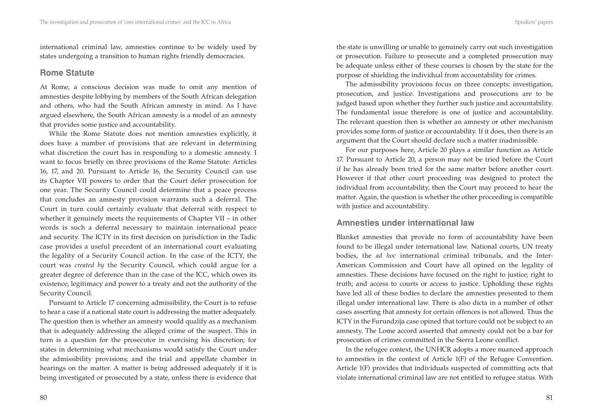international criminal law, amnesties continue to be widely used by states undergoing a transition to human rights friendly democracies.

#### **Rome Statute**

At Rome, a conscious decision was made to omit any mention of amnesties despite lobbying by members of the South African delegation and others, who had the South African amnesty in mind. As I have argued elsewhere, the South African amnesty is a model of an amnesty that provides some justice and accountability.

While the Rome Statute does not mention amnesties explicitly, it does have a number of provisions that are relevant in determining what discretion the court has in responding to a domestic amnesty. I want to focus briefly on three provisions of the Rome Statute: Articles 16, 17, and 20. Pursuant to Article 16, the Security Council can use its Chapter VII powers to order that the Court defer prosecution for one year. The Security Council could determine that a peace process that concludes an amnesty provision warrants such a deferral. The Court in turn could certainly evaluate that deferral with respect to whether it genuinely meets the requirements of Chapter VII – in other words is such a deferral necessary to maintain international peace and security. The ICTY in its first decision on jurisdiction in the Tadic case provides a useful precedent of an international court evaluating the legality of a Security Council action. In the case of the ICTY, the court was *created by* the Security Council, which could argue for a greater degree of deference than in the case of the ICC, which owes its existence, legitimacy and power to a treaty and not the authority of the Security Council.

Pursuant to Article 17 concerning admissibility, the Court is to refuse to hear a case if a national state court is addressing the matter adequately. The question then is whether an amnesty would qualify as a mechanism that is adequately addressing the alleged crime of the suspect. This in turn is a question for the prosecutor in exercising his discretion; for states in determining what mechanisms would satisfy the Court under the admissibility provisions; and the trial and appellate chamber in hearings on the matter. A matter is being addressed adequately if it is being investigated or prosecuted by a state, unless there is evidence that the state is unwilling or unable to genuinely carry out such investigation or prosecution. Failure to prosecute and a completed prosecution may be adequate unless either of these courses is chosen by the state for the purpose of shielding the individual from accountability for crimes.

The admissibility provisions focus on three concepts: investigation, prosecution, and justice. Investigations and prosecutions are to be judged based upon whether they further such justice and accountability. The fundamental issue therefore is one of justice and accountability. The relevant question then is whether an amnesty or other mechanism provides some form of justice or accountability. If it does, then there is an argument that the Court should declare such a matter inadmissible.

For our purposes here, Article 20 plays a similar function as Article 17. Pursuant to Article 20, a person may not be tried before the Court if he has already been tried for the same matter before another court. However if that other court proceeding was designed to protect the individual from accountability, then the Court may proceed to hear the matter. Again, the question is whether the other proceeding is compatible with justice and accountability.

#### **Amnesties under international law**

Blanket amnesties that provide no form of accountability have been found to be illegal under international law. National courts, UN treaty bodies, the *ad hoc* international criminal tribunals, and the Inter-American Commission and Court have all opined on the legality of amnesties. These decisions have focused on the right to justice; right to truth; and access to courts or access to justice. Upholding these rights have led all of these bodies to declare the amnesties presented to them illegal under international law. There is also dicta in a number of other cases asserting that amnesty for certain offences is not allowed. Thus the ICTY in the Furundzija case opined that torture could not be subject to an amnesty. The Lome accord asserted that amnesty could not be a bar for prosecution of crimes committed in the Sierra Leone conflict.

In the refugee context, the UNHCR adopts a more nuanced approach to amnesties in the context of Article 1(F) of the Refugee Convention. Article 1(F) provides that individuals suspected of committing acts that violate international criminal law are not entitled to refugee status. With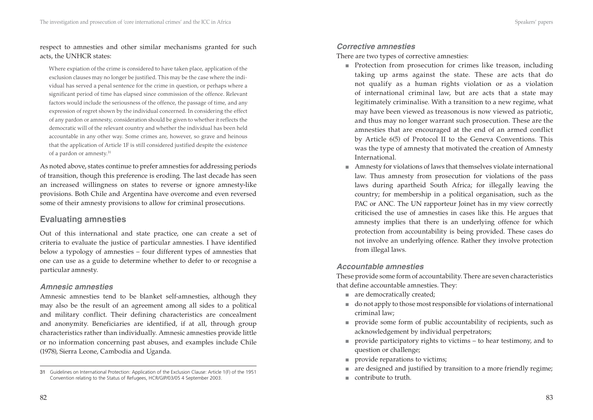Where expiation of the crime is considered to have taken place, application of the exclusion clauses may no longer be justified. This may be the case where the individual has served a penal sentence for the crime in question, or perhaps where a significant period of time has elapsed since commission of the offence. Relevant factors would include the seriousness of the offence, the passage of time, and any expression of regret shown by the individual concerned. In considering the effect of any pardon or amnesty, consideration should be given to whether it reflects the democratic will of the relevant country and whether the individual has been held accountable in any other way. Some crimes are, however, so grave and heinous that the application of Article 1F is still considered justified despite the existence of a pardon or amnesty.<sup>31</sup>

As noted above, states continue to prefer amnesties for addressing periods of transition, though this preference is eroding. The last decade has seen an increased willingness on states to reverse or ignore amnesty-like provisions. Both Chile and Argentina have overcome and even reversed some of their amnesty provisions to allow for criminal prosecutions.

# **Evaluating amnesties**

Out of this international and state practice, one can create a set of criteria to evaluate the justice of particular amnesties. I have identified below a typology of amnesties – four different types of amnesties that one can use as a guide to determine whether to defer to or recognise a particular amnesty.

### *Amnesic amnesties*

Amnesic amnesties tend to be blanket self-amnesties, although they may also be the result of an agreement among all sides to a political and military conflict. Their defining characteristics are concealment and anonymity. Beneficiaries are identified, if at all, through group characteristics rather than individually. Amnesic amnesties provide little or no information concerning past abuses, and examples include Chile (1978), Sierra Leone, Cambodia and Uganda.

#### *Corrective amnesties*

There are two types of corrective amnesties:

- Protection from prosecution for crimes like treason, including taking up arms against the state. These are acts that do not qualify as a human rights violation or as a violation of international criminal law, but are acts that a state may legitimately criminalise. With a transition to a new regime, what may have been viewed as treasonous is now viewed as patriotic, and thus may no longer warrant such prosecution. These are the amnesties that are encouraged at the end of an armed conflict by Article 6(5) of Protocol II to the Geneva Conventions. This was the type of amnesty that motivated the creation of Amnesty International.
- Amnesty for violations of laws that themselves violate international law. Thus amnesty from prosecution for violations of the pass laws during apartheid South Africa; for illegally leaving the country; for membership in a political organisation, such as the PAC or ANC. The UN rapporteur Joinet has in my view correctly criticised the use of amnesties in cases like this. He argues that amnesty implies that there is an underlying offence for which protection from accountability is being provided. These cases do not involve an underlying offence. Rather they involve protection from illegal laws. ■

## *Accountable amnesties*

These provide some form of accountability. There are seven characteristics that define accountable amnesties. They:

- are democratically created;
- do not apply to those most responsible for violations of international criminal law;
- provide some form of public accountability of recipients, such as acknowledgement by individual perpetrators;
- provide participatory rights to victims to hear testimony, and to question or challenge;
- provide reparations to victims; ■
- are designed and justified by transition to a more friendly regime; ■
- contribute to truth.

<sup>31</sup> Guidelines on International Protection: Application of the Exclusion Clause: Article 1(F) of the 1951 Convention relating to the Status of Refugees, HCR/GIP/03/05 4 September 2003.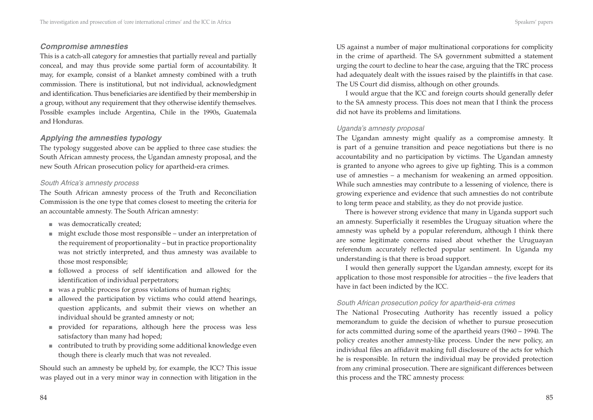#### *Compromise amnesties*

This is a catch-all category for amnesties that partially reveal and partially conceal, and may thus provide some partial form of accountability. It may, for example, consist of a blanket amnesty combined with a truth commission. There is institutional, but not individual, acknowledgment and identification. Thus beneficiaries are identified by their membership in a group, without any requirement that they otherwise identify themselves. Possible examples include Argentina, Chile in the 1990s, Guatemala and Honduras.

### *Applying the amnesties typology*

The typology suggested above can be applied to three case studies: the South African amnesty process, the Ugandan amnesty proposal, and the new South African prosecution policy for apartheid-era crimes.

#### *South Africa's amnesty process*

The South African amnesty process of the Truth and Reconciliation Commission is the one type that comes closest to meeting the criteria for an accountable amnesty. The South African amnesty:

- was democratically created; ■
- might exclude those most responsible under an interpretation of the requirement of proportionality – but in practice proportionality was not strictly interpreted, and thus amnesty was available to those most responsible;
- followed a process of self identification and allowed for the identification of individual perpetrators;
- was a public process for gross violations of human rights;
- allowed the participation by victims who could attend hearings, question applicants, and submit their views on whether an individual should be granted amnesty or not;
- provided for reparations, although here the process was less satisfactory than many had hoped;
- contributed to truth by providing some additional knowledge even though there is clearly much that was not revealed.

Should such an amnesty be upheld by, for example, the ICC? This issue was played out in a very minor way in connection with litigation in the US against a number of major multinational corporations for complicity in the crime of apartheid. The SA government submitted a statement urging the court to decline to hear the case, arguing that the TRC process had adequately dealt with the issues raised by the plaintiffs in that case. The US Court did dismiss, although on other grounds.

I would argue that the ICC and foreign courts should generally defer to the SA amnesty process. This does not mean that I think the process did not have its problems and limitations.

#### *Uganda's amnesty proposal*

The Ugandan amnesty might qualify as a compromise amnesty. It is part of a genuine transition and peace negotiations but there is no accountability and no participation by victims. The Ugandan amnesty is granted to anyone who agrees to give up fighting. This is a common use of amnesties – a mechanism for weakening an armed opposition. While such amnesties may contribute to a lessening of violence, there is growing experience and evidence that such amnesties do not contribute to long term peace and stability, as they do not provide justice.

There is however strong evidence that many in Uganda support such an amnesty. Superficially it resembles the Uruguay situation where the amnesty was upheld by a popular referendum, although I think there are some legitimate concerns raised about whether the Uruguayan referendum accurately reflected popular sentiment. In Uganda my understanding is that there is broad support.

I would then generally support the Ugandan amnesty, except for its application to those most responsible for atrocities – the five leaders that have in fact been indicted by the ICC.

#### *South African prosecution policy for apartheid-era crimes*

The National Prosecuting Authority has recently issued a policy memorandum to guide the decision of whether to pursue prosecution for acts committed during some of the apartheid years (1960 – 1994). The policy creates another amnesty-like process. Under the new policy, an individual files an affidavit making full disclosure of the acts for which he is responsible. In return the individual may be provided protection from any criminal prosecution. There are significant differences between this process and the TRC amnesty process: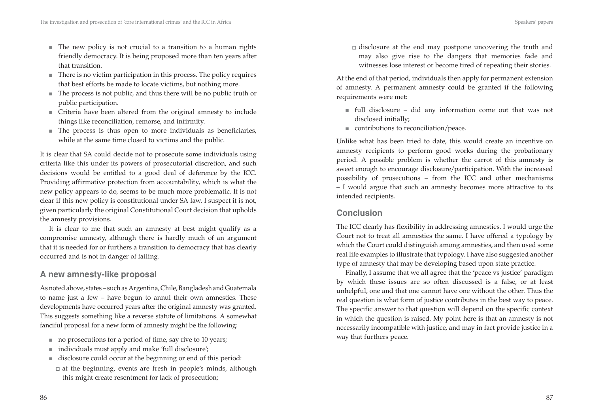- The new policy is not crucial to a transition to a human rights friendly democracy. It is being proposed more than ten years after that transition.
- There is no victim participation in this process. The policy requires that best efforts be made to locate victims, but nothing more.
- The process is not public, and thus there will be no public truth or public participation.
- Criteria have been altered from the original amnesty to include things like reconciliation, remorse, and infirmity.
- The process is thus open to more individuals as beneficiaries, while at the same time closed to victims and the public.

It is clear that SA could decide not to prosecute some individuals using criteria like this under its powers of prosecutorial discretion, and such decisions would be entitled to a good deal of deference by the ICC. Providing affirmative protection from accountability, which is what the new policy appears to do, seems to be much more problematic. It is not clear if this new policy is constitutional under SA law. I suspect it is not, given particularly the original Constitutional Court decision that upholds the amnesty provisions.

It is clear to me that such an amnesty at best might qualify as a compromise amnesty, although there is hardly much of an argument that it is needed for or furthers a transition to democracy that has clearly occurred and is not in danger of failing.

## **A new amnesty-like proposal**

As noted above, states – such as Argentina, Chile, Bangladesh and Guatemala to name just a few – have begun to annul their own amnesties. These developments have occurred years after the original amnesty was granted. This suggests something like a reverse statute of limitations. A somewhat fanciful proposal for a new form of amnesty might be the following:

- no prosecutions for a period of time, say five to 10 years;
- individuals must apply and make 'full disclosure';
- disclosure could occur at the beginning or end of this period:
- $\Box$  at the beginning, events are fresh in people's minds, although this might create resentment for lack of prosecution;

■ disclosure at the end may postpone uncovering the truth and may also give rise to the dangers that memories fade and witnesses lose interest or become tired of repeating their stories.

At the end of that period, individuals then apply for permanent extension of amnesty. A permanent amnesty could be granted if the following requirements were met:

- $\quad$  full disclosure did any information come out that was not disclosed initially;
- contributions to reconciliation/peace.

Unlike what has been tried to date, this would create an incentive on amnesty recipients to perform good works during the probationary period. A possible problem is whether the carrot of this amnesty is sweet enough to encourage disclosure/participation. With the increased possibility of prosecutions – from the ICC and other mechanisms – I would argue that such an amnesty becomes more attractive to its intended recipients.

## **Conclusion**

The ICC clearly has flexibility in addressing amnesties. I would urge the Court not to treat all amnesties the same. I have offered a typology by which the Court could distinguish among amnesties, and then used some real life examples to illustrate that typology. I have also suggested another type of amnesty that may be developing based upon state practice.

Finally, I assume that we all agree that the 'peace vs justice' paradigm by which these issues are so often discussed is a false, or at least unhelpful, one and that one cannot have one without the other. Thus the real question is what form of justice contributes in the best way to peace. The specific answer to that question will depend on the specific context in which the question is raised. My point here is that an amnesty is not necessarily incompatible with justice, and may in fact provide justice in a way that furthers peace.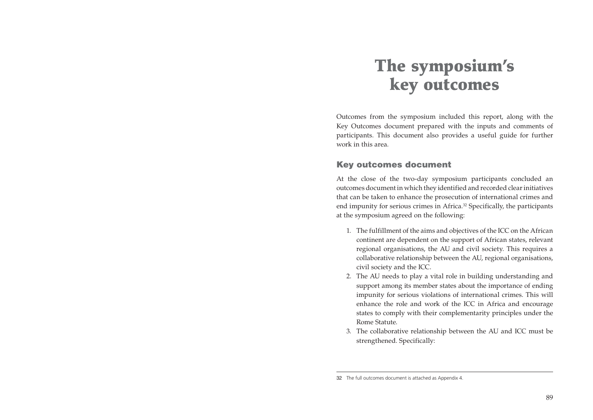# **The symposium's key outcomes**

Outcomes from the symposium included this report, along with the Key Outcomes document prepared with the inputs and comments of participants. This document also provides a useful guide for further work in this area.

## **Key outcomes document**

At the close of the two-day symposium participants concluded an outcomes document in which they identified and recorded clear initiatives that can be taken to enhance the prosecution of international crimes and end impunity for serious crimes in Africa.<sup>32</sup> Specifically, the participants at the symposium agreed on the following:

- 1. The fulfillment of the aims and objectives of the ICC on the African continent are dependent on the support of African states, relevant regional organisations, the AU and civil society. This requires a collaborative relationship between the AU, regional organisations, civil society and the ICC.
- 2. The AU needs to play a vital role in building understanding and support among its member states about the importance of ending impunity for serious violations of international crimes. This will enhance the role and work of the ICC in Africa and encourage states to comply with their complementarity principles under the Rome Statute.
- 3. The collaborative relationship between the AU and ICC must be strengthened. Specifically:

<sup>32</sup> The full outcomes document is attached as Appendix 4.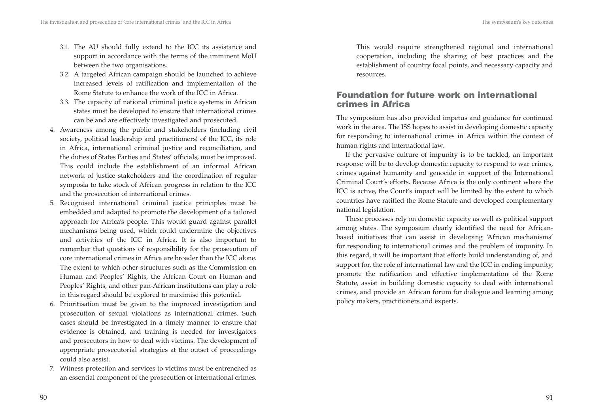- 3.1. The AU should fully extend to the ICC its assistance and support in accordance with the terms of the imminent MoU between the two organisations.
- 3.2. A targeted African campaign should be launched to achieve increased levels of ratification and implementation of the Rome Statute to enhance the work of the ICC in Africa.
- 3.3. The capacity of national criminal justice systems in African states must be developed to ensure that international crimes can be and are effectively investigated and prosecuted.
- 4. Awareness among the public and stakeholders (including civil society, political leadership and practitioners) of the ICC, its role in Africa, international criminal justice and reconciliation, and the duties of States Parties and States' officials, must be improved. This could include the establishment of an informal African network of justice stakeholders and the coordination of regular symposia to take stock of African progress in relation to the ICC and the prosecution of international crimes.
- 5. Recognised international criminal justice principles must be embedded and adapted to promote the development of a tailored approach for Africa's people. This would guard against parallel mechanisms being used, which could undermine the objectives and activities of the ICC in Africa. It is also important to remember that questions of responsibility for the prosecution of core international crimes in Africa are broader than the ICC alone. The extent to which other structures such as the Commission on Human and Peoples' Rights, the African Court on Human and Peoples' Rights, and other pan-African institutions can play a role in this regard should be explored to maximise this potential.
- 6. Prioritisation must be given to the improved investigation and prosecution of sexual violations as international crimes. Such cases should be investigated in a timely manner to ensure that evidence is obtained, and training is needed for investigators and prosecutors in how to deal with victims. The development of appropriate prosecutorial strategies at the outset of proceedings could also assist.
- 7. Witness protection and services to victims must be entrenched as an essential component of the prosecution of international crimes.

This would require strengthened regional and international cooperation, including the sharing of best practices and the establishment of country focal points, and necessary capacity and resources.

## **Foundation for future work on international crimes in Africa**

The symposium has also provided impetus and guidance for continued work in the area. The ISS hopes to assist in developing domestic capacity for responding to international crimes in Africa within the context of human rights and international law.

If the pervasive culture of impunity is to be tackled, an important response will be to develop domestic capacity to respond to war crimes, crimes against humanity and genocide in support of the International Criminal Court's efforts. Because Africa is the only continent where the ICC is active, the Court's impact will be limited by the extent to which countries have ratified the Rome Statute and developed complementary national legislation.

These processes rely on domestic capacity as well as political support among states. The symposium clearly identified the need for Africanbased initiatives that can assist in developing 'African mechanisms' for responding to international crimes and the problem of impunity. In this regard, it will be important that efforts build understanding of, and support for, the role of international law and the ICC in ending impunity, promote the ratification and effective implementation of the Rome Statute, assist in building domestic capacity to deal with international crimes, and provide an African forum for dialogue and learning among policy makers, practitioners and experts.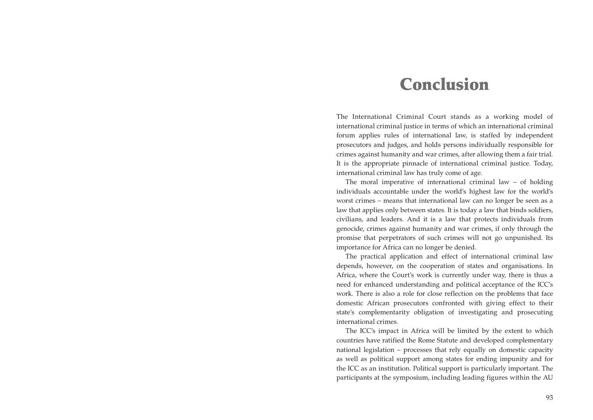# **Conclusion**

The International Criminal Court stands as a working model of international criminal justice in terms of which an international criminal forum applies rules of international law, is staffed by independent prosecutors and judges, and holds persons individually responsible for crimes against humanity and war crimes, after allowing them a fair trial. It is the appropriate pinnacle of international criminal justice. Today, international criminal law has truly come of age.

The moral imperative of international criminal law – of holding individuals accountable under the world's highest law for the world's worst crimes – means that international law can no longer be seen as a law that applies only between states. It is today a law that binds soldiers, civilians, and leaders. And it is a law that protects individuals from genocide, crimes against humanity and war crimes, if only through the promise that perpetrators of such crimes will not go unpunished. Its importance for Africa can no longer be denied.

The practical application and effect of international criminal law depends, however, on the cooperation of states and organisations. In Africa, where the Court's work is currently under way, there is thus a need for enhanced understanding and political acceptance of the ICC's work. There is also a role for close reflection on the problems that face domestic African prosecutors confronted with giving effect to their state's complementarity obligation of investigating and prosecuting international crimes.

The ICC's impact in Africa will be limited by the extent to which countries have ratified the Rome Statute and developed complementary national legislation – processes that rely equally on domestic capacity as well as political support among states for ending impunity and for the ICC as an institution. Political support is particularly important. The participants at the symposium, including leading figures within the AU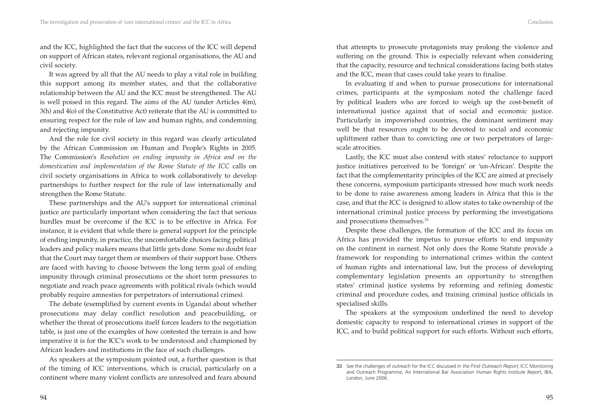and the ICC, highlighted the fact that the success of the ICC will depend on support of African states, relevant regional organisations, the AU and civil society.

It was agreed by all that the AU needs to play a vital role in building this support among its member states, and that the collaborative relationship between the AU and the ICC must be strengthened. The AU is well poised in this regard. The aims of the AU (under Articles 4(m), 3(h) and 4(o) of the Constitutive Act) reiterate that the AU is committed to ensuring respect for the rule of law and human rights, and condemning and rejecting impunity.

And the role for civil society in this regard was clearly articulated by the African Commission on Human and People's Rights in 2005. The Commission's *Resolution on ending impunity in Africa and on the domestication and implementation of the Rome Statute of the ICC* calls on civil society organisations in Africa to work collaboratively to develop partnerships to further respect for the rule of law internationally and strengthen the Rome Statute.

These partnerships and the AU's support for international criminal justice are particularly important when considering the fact that serious hurdles must be overcome if the ICC is to be effective in Africa. For instance, it is evident that while there is general support for the principle of ending impunity, in practice, the uncomfortable choices facing political leaders and policy makers means that little gets done. Some no doubt fear that the Court may target them or members of their support base. Others are faced with having to choose between the long term goal of ending impunity through criminal prosecutions or the short term pressures to negotiate and reach peace agreements with political rivals (which would probably require amnesties for perpetrators of international crimes).

The debate (exemplified by current events in Uganda) about whether prosecutions may delay conflict resolution and peacebuilding, or whether the threat of prosecutions itself forces leaders to the negotiation table, is just one of the examples of how contested the terrain is and how imperative it is for the ICC's work to be understood and championed by African leaders and institutions in the face of such challenges.

As speakers at the symposium pointed out, a further question is that of the timing of ICC interventions, which is crucial, particularly on a continent where many violent conflicts are unresolved and fears abound that attempts to prosecute protagonists may prolong the violence and suffering on the ground. This is especially relevant when considering that the capacity, resource and technical considerations facing both states and the ICC, mean that cases could take years to finalise.

In evaluating if and when to pursue prosecutions for international crimes, participants at the symposium noted the challenge faced by political leaders who are forced to weigh up the cost-benefit of international justice against that of social and economic justice. Particularly in impoverished countries, the dominant sentiment may well be that resources ought to be devoted to social and economic upliftment rather than to convicting one or two perpetrators of largescale atrocities.

Lastly, the ICC must also contend with states' reluctance to support justice initiatives perceived to be 'foreign' or 'un-African'. Despite the fact that the complementarity principles of the ICC are aimed at precisely these concerns, symposium participants stressed how much work needs to be done to raise awareness among leaders in Africa that this is the case, and that the ICC is designed to allow states to take ownership of the international criminal justice process by performing the investigations and prosecutions themselves.33

Despite these challenges, the formation of the ICC and its focus on Africa has provided the impetus to pursue efforts to end impunity on the continent in earnest. Not only does the Rome Statute provide a framework for responding to international crimes within the context of human rights and international law, but the process of developing complementary legislation presents an opportunity to strengthen states' criminal justice systems by reforming and refining domestic criminal and procedure codes, and training criminal justice officials in specialised skills.

The speakers at the symposium underlined the need to develop domestic capacity to respond to international crimes in support of the ICC, and to build political support for such efforts. Without such efforts,

<sup>33</sup> See the challenges of outreach for the ICC discussed in *the First Outreach Report*, ICC Monitoring and Outreach Programme, An International Bar Association Human Rights Institute Report, IBA, London, June 2006.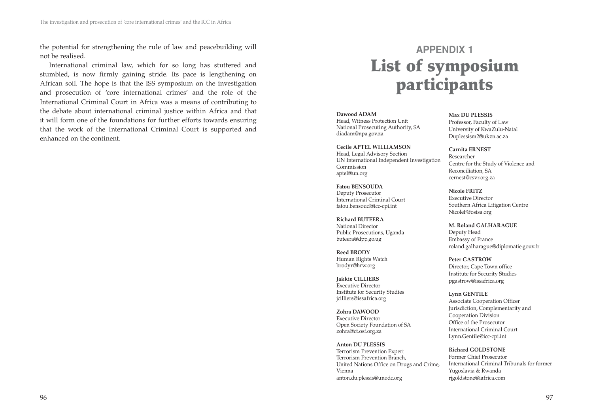the potential for strengthening the rule of law and peacebuilding will not be realised.

International criminal law, which for so long has stuttered and stumbled, is now firmly gaining stride. Its pace is lengthening on African soil. The hope is that the ISS symposium on the investigation and prosecution of 'core international crimes' and the role of the International Criminal Court in Africa was a means of contributing to the debate about international criminal justice within Africa and that it will form one of the foundations for further efforts towards ensuring that the work of the International Criminal Court is supported and enhanced on the continent.

# **APPENDIX 1 List of symposium participants**

#### **Dawood ADAM**

Head, Witness Protection Unit National Prosecuting Authority, SA diadam@npa.gov.za

**Cecile APTEL WILLIAMSON** Head, Legal Advisory Section UN International Independent Investigation Commission aptel@un.org

**Fatou BENSOUDA** Deputy Prosecutor International Criminal Court fatou.bensoud@icc-cpi.int

**Richard BUTEERA** National Director Public Prosecutions, Uganda buteera@dpp.go.ug

**Reed BRODY** Human Rights Watch brodyr@hrw.org

**Jakkie CILLIERS** Executive Director Institute for Security Studies jcilliers@issafrica.org

**Zohra DAWOOD** Executive Director Open Society Foundation of SA zohra@ct.osf.org.za

**Anton DU PLESSIS** Terrorism Prevention Expert Terrorism Prevention Branch, United Nations Office on Drugs and Crime, Vienna anton.du.plessis@unodc.org

**Max DU PLESSIS** Professor, Faculty of Law University of KwaZulu-Natal Duplessism2@ukzn.ac.za

**Carnita ERNEST** Researcher Centre for the Study of Violence and Reconciliation, SA cernest@csvr.org.za

**Nicole FRITZ** Executive Director Southern Africa Litigation Centre NicoleF@osisa.org

**M. Roland GALHARAGUE** Deputy Head Embassy of France roland.galharague@diplomatie.gouv.fr

**Peter GASTROW** Director, Cape Town office Institute for Security Studies pgastrow@issafrica.org

**Lynn GENTILE** Associate Cooperation Officer Jurisdiction, Complementarity and Cooperation Division Office of the Prosecutor International Criminal Court Lynn.Gentile@icc-cpi.int

**Richard GOLDSTONE** Former Chief Prosecutor International Criminal Tribunals for former Yugoslavia & Rwanda rjgoldstone@iafrica.com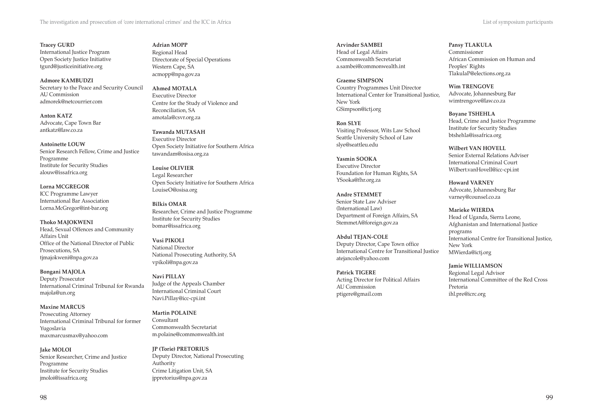**Tracey GURD** International Justice Program Open Society Justice Initiative tgurd@justiceinitiative.org

**Admore KAMBUDZI** Secretary to the Peace and Security Council AU Commission admorek@netcourrier.com

**Anton KATZ** Advocate, Cape Town Bar antkatz@law.co.za

**Antoinette LOUW** Senior Research Fellow, Crime and Justice Programme Institute for Security Studies alouw@issafrica.org

**Lorna MCGREGOR** ICC Programme Lawyer International Bar Association Lorna.McGregor@int-bar.org

**Thoko MAJOKWENI** Head, Sexual Offences and Community Affairs Unit Office of the National Director of Public Prosecutions, SA tjmajokweni@npa.gov.za

**Bongani MAJOLA** Deputy Prosecutor International Criminal Tribunal for Rwanda majola@un.org

**Maxine MARCUS** Prosecuting Attorney International Criminal Tribunal for former Yugoslavia maxmarcusmax@yahoo.com

**Jake MOLOI** Senior Researcher, Crime and Justice Programme Institute for Security Studies jmoloi@issafrica.org

**Adrian MOPP** Regional Head Directorate of Special Operations Western Cape, SA acmopp@npa.gov.za

**Ahmed MOTALA** Executive Director Centre for the Study of Violence and Reconciliation, SA amotala@csvr.org.za

**Tawanda MUTASAH** Executive Director Open Society Initiative for Southern Africa tawandam@osisa.org.za

**Louise OLIVIER** Legal Researcher Open Society Initiative for Southern Africa LouiseO@osisa.org

**Bilkis OMAR** Researcher, Crime and Justice Programme Institute for Security Studies bomar@issafrica.org

**Vusi PIKOLI** National Director National Prosecuting Authority, SA vpikoli@npa.gov.za

**Navi PILLAY** Judge of the Appeals Chamber International Criminal Court Navi.Pillay@icc-cpi.int

**Martin POLAINE** Consultant Commonwealth Secretariat m.polaine@commonwealth.int

**JP (Torie) PRETORIUS** Deputy Director, National Prosecuting Authority Crime Litigation Unit, SA jppretorius@npa.gov.za

**Arvinder SAMBEI** Head of Legal Affairs Commonwealth Secretariat a.sambei@commonwealth.int

**Graeme SIMPSON** Country Programmes Unit Director International Center for Transitional Justice, New York GSimpson@ictj.org

**Ron SLYE** Visiting Professor, Wits Law School Seattle University School of Law slye@seattleu.edu

**Yasmin SOOKA** Executive Director Foundation for Human Rights, SA YSooka@fhr.org.za

**Andre STEMMET** Senior State Law Adviser (International Law) Department of Foreign Affairs, SA StemmetA@foreign.gov.za

**Abdul TEJAN-COLE** Deputy Director, Cape Town office International Centre for Transitional Justice atejancole@yahoo.com

**Patrick TIGERE** Acting Director for Political Affairs AU Commission ptigere@gmail.com

**Pansy TLAKULA** Commissioner African Commission on Human and Peoples' Rights TlakulaP@elections.org.za

**Wim TRENGOVE** Advocate, Johannesburg Bar wimtrengove@law.co.za

**Boyane TSHEHLA** Head, Crime and Justice Programme Institute for Security Studies btshehla@issafrica.org

**Wilbert VAN HOVELL** Senior External Relations Adviser International Criminal Court Wilbert.vanHovell@icc-cpi.int

**Howard VARNEY** Advocate, Johannesburg Bar varney@counsel.co.za

**Marieke WIERDA** Head of Uganda, Sierra Leone, Afghanistan and International Justice programs International Centre for Transitional Justice, New York MWierda@ictj.org

**Jamie WILLIAMSON** Regional Legal Advisor International Committee of the Red Cross Pretoria ihl.pre@icrc.org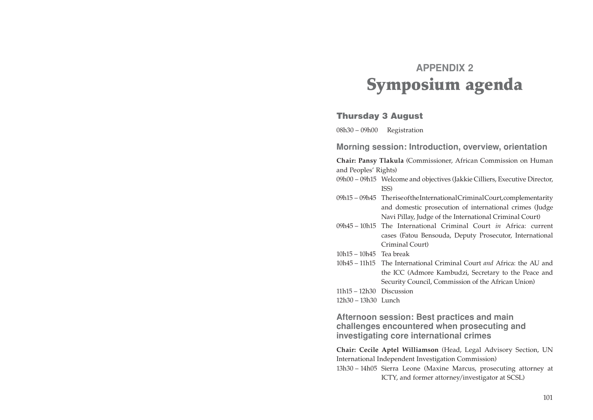# **APPENDIX 2 Symposium agenda**

#### **Thursday 3 August**

08h30 – 09h00 Registration

**Morning session: Introduction, overview, orientation**

**Chair: Pansy Tlakula** (Commissioner, African Commission on Human and Peoples' Rights)

- 09h00 09h15 Welcome and objectives (Jakkie Cilliers, Executive Director, ISS)
- 09h15 09h45 Therise of the International Criminal Court, complementarity and domestic prosecution of international crimes (Judge Navi Pillay, Judge of the International Criminal Court)
- 09h45 10h15 The International Criminal Court *in* Africa: current cases (Fatou Bensouda, Deputy Prosecutor, International Criminal Court)
- 10h15 10h45 Tea break
- 10h45 11h15 The International Criminal Court *and* Africa: the AU and the ICC (Admore Kambudzi, Secretary to the Peace and Security Council, Commission of the African Union)
- 11h15 12h30 Discussion
- 12h30 13h30 Lunch

**Afternoon session: Best practices and main challenges encountered when prosecuting and investigating core international crimes**

**Chair: Cecile Aptel Williamson** (Head, Legal Advisory Section, UN International Independent Investigation Commission) 13h30 – 14h05 Sierra Leone (Maxine Marcus, prosecuting attorney at ICTY, and former attorney/investigator at SCSL)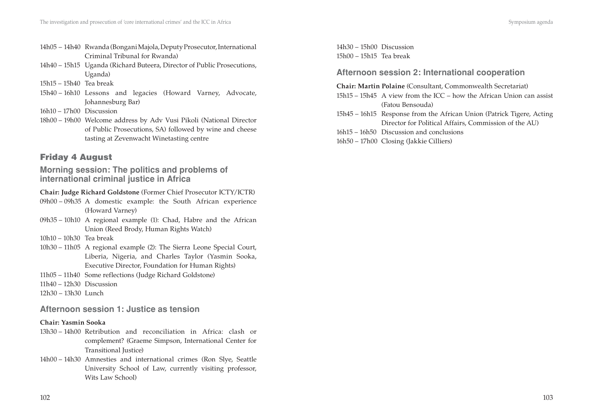- 14h05 14h40 Rwanda (Bongani Majola, Deputy Prosecutor, International Criminal Tribunal for Rwanda)
- 14h40 15h15 Uganda (Richard Buteera, Director of Public Prosecutions, Uganda)
- 15h15 15h40 Tea break
- 15h40 16h10 Lessons and legacies (Howard Varney, Advocate, Johannesburg Bar)
- 16h10 17h00 Discussion
- 18h00 19h00 Welcome address by Adv Vusi Pikoli (National Director of Public Prosecutions, SA) followed by wine and cheese tasting at Zevenwacht Winetasting centre

## **Friday 4 August**

**Morning session: The politics and problems of international criminal justice in Africa**

#### **Chair: Judge Richard Goldstone** (Former Chief Prosecutor ICTY/ICTR)

- 09h00 09h35 A domestic example: the South African experience (Howard Varney)
- 09h35 10h10 A regional example (1): Chad, Habre and the African Union (Reed Brody, Human Rights Watch)
- 10h10 10h30 Tea break
- 10h30 11h05 A regional example (2): The Sierra Leone Special Court, Liberia, Nigeria, and Charles Taylor (Yasmin Sooka, Executive Director, Foundation for Human Rights)
- 11h05 11h40 Some reflections (Judge Richard Goldstone)
- 11h40 12h30 Discussion
- 12h30 13h30 Lunch

### **Afternoon session 1: Justice as tension**

#### **Chair: Yasmin Sooka**

- 13h30 14h00 Retribution and reconciliation in Africa: clash or complement? (Graeme Simpson, International Center for Transitional Justice)
- 14h00 14h30 Amnesties and international crimes (Ron Slye, Seattle University School of Law, currently visiting professor, Wits Law School)

14h30 – 15h00 Discussion 15h00 – 15h15 Tea break

## **Afternoon session 2: International cooperation**

#### **Chair: Martin Polaine** (Consultant, Commonwealth Secretariat)

- 15h15 15h45 A view from the ICC how the African Union can assist (Fatou Bensouda)
- 15h45 16h15 Response from the African Union (Patrick Tigere, Acting Director for Political Affairs, Commission of the AU)
- 16h15 16h50 Discussion and conclusions
- 16h50 17h00 Closing (Jakkie Cilliers)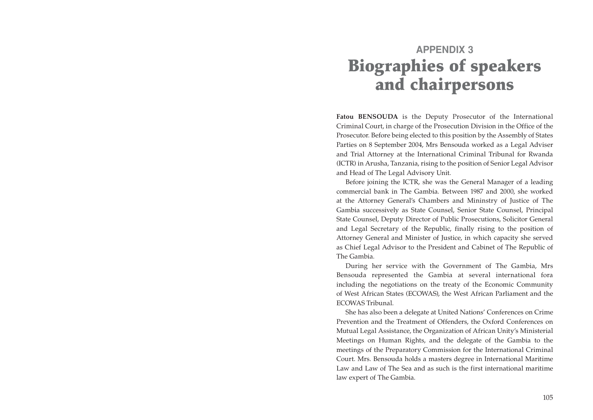# **APPENDIX 3 Biographies of speakers and chairpersons**

**Fatou BENSOUDA** is the Deputy Prosecutor of the International Criminal Court, in charge of the Prosecution Division in the Office of the Prosecutor. Before being elected to this position by the Assembly of States Parties on 8 September 2004, Mrs Bensouda worked as a Legal Adviser and Trial Attorney at the International Criminal Tribunal for Rwanda (ICTR) in Arusha, Tanzania, rising to the position of Senior Legal Advisor and Head of The Legal Advisory Unit.

Before joining the ICTR, she was the General Manager of a leading commercial bank in The Gambia. Between 1987 and 2000, she worked at the Attorney General's Chambers and Mininstry of Justice of The Gambia successively as State Counsel, Senior State Counsel, Principal State Counsel, Deputy Director of Public Prosecutions, Solicitor General and Legal Secretary of the Republic, finally rising to the position of Attorney General and Minister of Justice, in which capacity she served as Chief Legal Advisor to the President and Cabinet of The Republic of The Gambia.

During her service with the Government of The Gambia, Mrs Bensouda represented the Gambia at several international fora including the negotiations on the treaty of the Economic Community of West African States (ECOWAS), the West African Parliament and the ECOWAS Tribunal.

She has also been a delegate at United Nations' Conferences on Crime Prevention and the Treatment of Offenders, the Oxford Conferences on Mutual Legal Assistance, the Organization of African Unity's Ministerial Meetings on Human Rights, and the delegate of the Gambia to the meetings of the Preparatory Commission for the International Criminal Court. Mrs. Bensouda holds a masters degree in International Maritime Law and Law of The Sea and as such is the first international maritime law expert of The Gambia.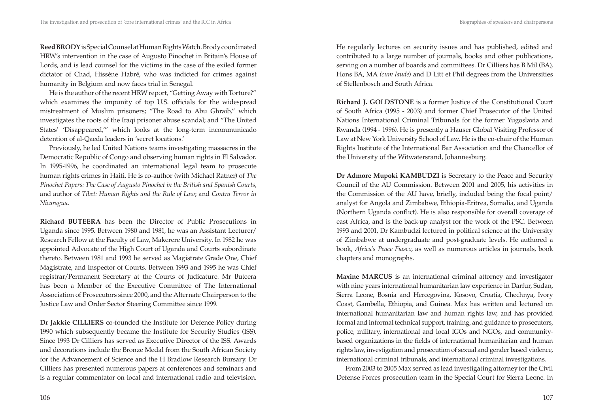**Reed BRODY** is Special Counsel at Human Rights Watch. Brody coordinated HRW's intervention in the case of Augusto Pinochet in Britain's House of Lords, and is lead counsel for the victims in the case of the exiled former dictator of Chad, Hissène Habré, who was indicted for crimes against humanity in Belgium and now faces trial in Senegal.

He is the author of the recent HRW report, "Getting Away with Torture?" which examines the impunity of top U.S. officials for the widespread mistreatment of Muslim prisoners; "The Road to Abu Ghraib," which investigates the roots of the Iraqi prisoner abuse scandal; and "The United States' 'Disappeared,'" which looks at the long-term incommunicado detention of al-Qaeda leaders in 'secret locations.'

Previously, he led United Nations teams investigating massacres in the Democratic Republic of Congo and observing human rights in El Salvador. In 1995-1996, he coordinated an international legal team to prosecute human rights crimes in Haiti. He is co-author (with Michael Ratner) of *The Pinochet Papers: The Case of Augusto Pinochet in the British and Spanish Courts*, and author of *Tibet: Human Rights and the Rule of Law*; and *Contra Terror in Nicaragua*.

**Richard BUTEERA** has been the Director of Public Prosecutions in Uganda since 1995. Between 1980 and 1981, he was an Assistant Lecturer/ Research Fellow at the Faculty of Law, Makerere University. In 1982 he was appointed Advocate of the High Court of Uganda and Courts subordinate thereto. Between 1981 and 1993 he served as Magistrate Grade One, Chief Magistrate, and Inspector of Courts. Between 1993 and 1995 he was Chief registrar/Permanent Secretary at the Courts of Judicature. Mr Buteera has been a Member of the Executive Committee of The International Association of Prosecutors since 2000, and the Alternate Chairperson to the Justice Law and Order Sector Steering Committee since 1999.

**Dr Jakkie CILLIERS** co-founded the Institute for Defence Policy during 1990 which subsequently became the Institute for Security Studies (ISS). Since 1993 Dr Cilliers has served as Executive Director of the ISS. Awards and decorations include the Bronze Medal from the South African Society for the Advancement of Science and the H Bradlow Research Bursary. Dr Cilliers has presented numerous papers at conferences and seminars and is a regular commentator on local and international radio and television. He regularly lectures on security issues and has published, edited and contributed to a large number of journals, books and other publications, serving on a number of boards and committees. Dr Cilliers has B Mil (BA), Hons BA, MA *(cum laude*) and D Litt et Phil degrees from the Universities of Stellenbosch and South Africa.

**Richard J. GOLDSTONE** is a former Justice of the Constitutional Court of South Africa (1995 - 2003) and former Chief Prosecutor of the United Nations International Criminal Tribunals for the former Yugoslavia and Rwanda (1994 - 1996). He is presently a Hauser Global Visiting Professor of Law at New York University School of Law. He is the co-chair of the Human Rights Institute of the International Bar Association and the Chancellor of the University of the Witwatersrand, Johannesburg.

**Dr Admore Mupoki KAMBUDZI** is Secretary to the Peace and Security Council of the AU Commission. Between 2001 and 2005, his activities in the Commission of the AU have, briefly, included being the focal point/ analyst for Angola and Zimbabwe, Ethiopia-Eritrea, Somalia, and Uganda (Northern Uganda conflict). He is also responsible for overall coverage of east Africa, and is the back-up analyst for the work of the PSC. Between 1993 and 2001, Dr Kambudzi lectured in political science at the University of Zimbabwe at undergraduate and post-graduate levels. He authored a book, *Africa's Peace Fiasco*, as well as numerous articles in journals, book chapters and monographs.

**Maxine MARCUS** is an international criminal attorney and investigator with nine years international humanitarian law experience in Darfur, Sudan, Sierra Leone, Bosnia and Hercegovina, Kosovo, Croatia, Chechnya, Ivory Coast, Gambella, Ethiopia, and Guinea. Max has written and lectured on international humanitarian law and human rights law, and has provided formal and informal technical support, training, and guidance to prosecutors, police, military, international and local IGOs and NGOs, and communitybased organizations in the fields of international humanitarian and human rights law, investigation and prosecution of sexual and gender based violence, international criminal tribunals, and international criminal investigations.

From 2003 to 2005 Max served as lead investigating attorney for the Civil Defense Forces prosecution team in the Special Court for Sierra Leone. In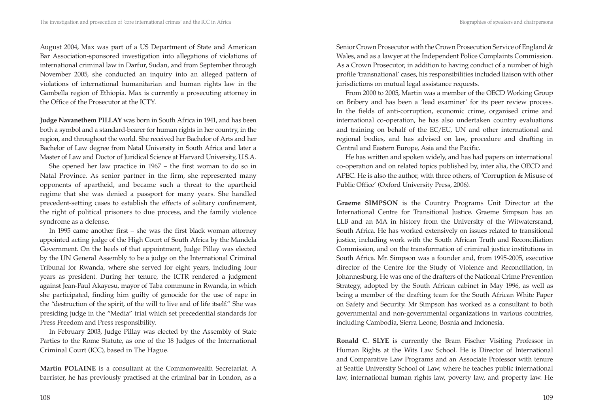August 2004, Max was part of a US Department of State and American Bar Association-sponsored investigation into allegations of violations of international criminal law in Darfur, Sudan, and from September through November 2005, she conducted an inquiry into an alleged pattern of violations of international humanitarian and human rights law in the Gambella region of Ethiopia. Max is currently a prosecuting attorney in the Office of the Prosecutor at the ICTY.

**Judge Navanethem PILLAY** was born in South Africa in 1941, and has been both a symbol and a standard-bearer for human rights in her country, in the region, and throughout the world. She received her Bachelor of Arts and her Bachelor of Law degree from Natal University in South Africa and later a Master of Law and Doctor of Juridical Science at Harvard University, U.S.A.

She opened her law practice in 1967 – the first woman to do so in Natal Province. As senior partner in the firm, she represented many opponents of apartheid, and became such a threat to the apartheid regime that she was denied a passport for many years. She handled precedent-setting cases to establish the effects of solitary confinement, the right of political prisoners to due process, and the family violence syndrome as a defense.

In 1995 came another first – she was the first black woman attorney appointed acting judge of the High Court of South Africa by the Mandela Government. On the heels of that appointment, Judge Pillay was elected by the UN General Assembly to be a judge on the International Criminal Tribunal for Rwanda, where she served for eight years, including four years as president. During her tenure, the ICTR rendered a judgment against Jean-Paul Akayesu, mayor of Taba commune in Rwanda, in which she participated, finding him guilty of genocide for the use of rape in the "destruction of the spirit, of the will to live and of life itself." She was presiding judge in the "Media" trial which set precedential standards for Press Freedom and Press responsibility.

In February 2003, Judge Pillay was elected by the Assembly of State Parties to the Rome Statute, as one of the 18 Judges of the International Criminal Court (ICC), based in The Hague.

**Martin POLAINE** is a consultant at the Commonwealth Secretariat. A barrister, he has previously practised at the criminal bar in London, as a Senior Crown Prosecutor with the Crown Prosecution Service of England & Wales, and as a lawyer at the Independent Police Complaints Commission. As a Crown Prosecutor, in addition to having conduct of a number of high profile 'transnational' cases, his responsibilities included liaison with other jurisdictions on mutual legal assistance requests.

From 2000 to 2005, Martin was a member of the OECD Working Group on Bribery and has been a 'lead examiner' for its peer review process. In the fields of anti-corruption, economic crime, organised crime and international co-operation, he has also undertaken country evaluations and training on behalf of the EC/EU, UN and other international and regional bodies, and has advised on law, procedure and drafting in Central and Eastern Europe, Asia and the Pacific.

He has written and spoken widely, and has had papers on international co-operation and on related topics published by, inter alia, the OECD and APEC. He is also the author, with three others, of 'Corruption & Misuse of Public Office' (Oxford University Press, 2006).

**Graeme SIMPSON** is the Country Programs Unit Director at the International Centre for Transitional Justice. Graeme Simpson has an LLB and an MA in history from the University of the Witwatersrand, South Africa. He has worked extensively on issues related to transitional justice, including work with the South African Truth and Reconciliation Commission, and on the transformation of criminal justice institutions in South Africa. Mr. Simpson was a founder and, from 1995-2005, executive director of the Centre for the Study of Violence and Reconciliation, in Johannesburg. He was one of the drafters of the National Crime Prevention Strategy, adopted by the South African cabinet in May 1996, as well as being a member of the drafting team for the South African White Paper on Safety and Security. Mr Simpson has worked as a consultant to both governmental and non-governmental organizations in various countries, including Cambodia, Sierra Leone, Bosnia and Indonesia.

**Ronald C. SLYE** is currently the Bram Fischer Visiting Professor in Human Rights at the Wits Law School. He is Director of International and Comparative Law Programs and an Associate Professor with tenure at Seattle University School of Law, where he teaches public international law, international human rights law, poverty law, and property law. He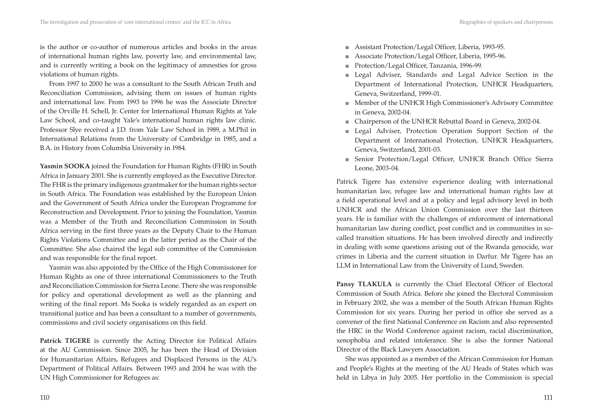is the author or co-author of numerous articles and books in the areas of international human rights law, poverty law, and environmental law, and is currently writing a book on the legitimacy of amnesties for gross violations of human rights.

From 1997 to 2000 he was a consultant to the South African Truth and Reconciliation Commission, advising them on issues of human rights and international law. From 1993 to 1996 he was the Associate Director of the Orville H. Schell, Jr. Center for International Human Rights at Yale Law School, and co-taught Yale's international human rights law clinic. Professor Slye received a J.D. from Yale Law School in 1989, a M.Phil in International Relations from the University of Cambridge in 1985, and a B.A. in History from Columbia University in 1984.

**Yasmin SOOKA** joined the Foundation for Human Rights (FHR) in South Africa in January 2001. She is currently employed as the Executive Director. The FHR is the primary indigenous grantmaker for the human rights sector in South Africa. The Foundation was established by the European Union and the Government of South Africa under the European Programme for Reconstruction and Development. Prior to joining the Foundation, Yasmin was a Member of the Truth and Reconciliation Commission in South Africa serving in the first three years as the Deputy Chair to the Human Rights Violations Committee and in the latter period as the Chair of the Committee. She also chaired the legal sub committee of the Commission and was responsible for the final report.

Yasmin was also appointed by the Office of the High Commissioner for Human Rights as one of three international Commissioners to the Truth and Reconciliation Commission for Sierra Leone. There she was responsible for policy and operational development as well as the planning and writing of the final report. Ms Sooka is widely regarded as an expert on transitional justice and has been a consultant to a number of governments, commissions and civil society organisations on this field.

**Patrick TIGERE** is currently the Acting Director for Political Affairs at the AU Commission. Since 2005, he has been the Head of Division for Humanitarian Affairs, Refugees and Displaced Persons in the AU's Department of Political Affairs. Between 1993 and 2004 he was with the UN High Commissioner for Refugees as:

- Assistant Protection/Legal Officer, Liberia, 1993-95.
- Associate Protection/Legal Officer, Liberia, 1995-96. ■
- Protection/Legal Officer, Tanzania, 1996-99. ■
- Legal Adviser, Standards and Legal Advice Section in the Department of International Protection, UNHCR Headquarters, Geneva, Switzerland, 1999-01.
- Member of the UNHCR High Commissioner's Advisory Committee in Geneva, 2002-04.
- Chairperson of the UNHCR Rebuttal Board in Geneva, 2002-04.
- Legal Adviser, Protection Operation Support Section of the Department of International Protection, UNHCR Headquarters, Geneva, Switzerland, 2001-03.
- Senior Protection/Legal Officer, UNHCR Branch Office Sierra Leone, 2003-04.

Patrick Tigere has extensive experience dealing with international humanitarian law, refugee law and international human rights law at a field operational level and at a policy and legal advisory level in both UNHCR and the African Union Commission over the last thirteen years. He is familiar with the challenges of enforcement of international humanitarian law during conflict, post conflict and in communities in socalled transition situations. He has been involved directly and indirectly in dealing with some questions arising out of the Rwanda genocide, war crimes in Liberia and the current situation in Darfur. Mr Tigere has an LLM in International Law from the University of Lund, Sweden.

Pansy TLAKULA is currently the Chief Electoral Officer of Electoral Commission of South Africa. Before she joined the Electoral Commission in February 2002, she was a member of the South African Human Rights Commission for six years. During her period in office she served as a convener of the first National Conference on Racism and also represented the HRC in the World Conference against racism, racial discrimination, xenophobia and related intolerance. She is also the former National Director of the Black Lawyers Association.

She was appointed as a member of the African Commission for Human and People's Rights at the meeting of the AU Heads of States which was held in Libya in July 2005. Her portfolio in the Commission is special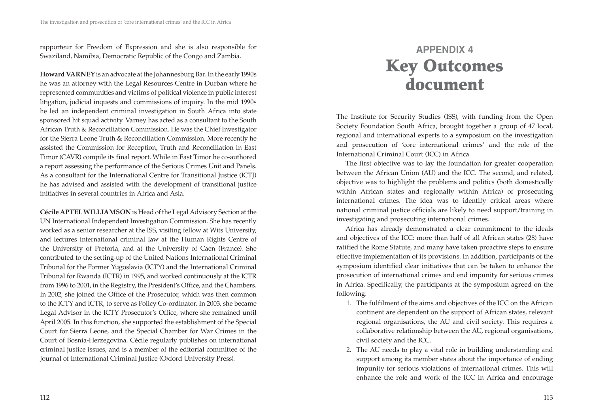rapporteur for Freedom of Expression and she is also responsible for Swaziland, Namibia, Democratic Republic of the Congo and Zambia.

**Howard VARNEY** is an advocate at the Johannesburg Bar. In the early 1990s he was an attorney with the Legal Resources Centre in Durban where he represented communities and victims of political violence in public interest litigation, judicial inquests and commissions of inquiry. In the mid 1990s he led an independent criminal investigation in South Africa into state sponsored hit squad activity. Varney has acted as a consultant to the South African Truth & Reconciliation Commission. He was the Chief Investigator for the Sierra Leone Truth & Reconciliation Commission. More recently he assisted the Commission for Reception, Truth and Reconciliation in East Timor (CAVR) compile its final report. While in East Timor he co-authored a report assessing the performance of the Serious Crimes Unit and Panels. As a consultant for the International Centre for Transitional Justice (ICTJ) he has advised and assisted with the development of transitional justice initiatives in several countries in Africa and Asia.

**Cécile APTEL WILLIAMSON** is Head of the Legal Advisory Section at the UN International Independent Investigation Commission. She has recently worked as a senior researcher at the ISS, visiting fellow at Wits University, and lectures international criminal law at the Human Rights Centre of the University of Pretoria, and at the University of Caen (France). She contributed to the setting-up of the United Nations International Criminal Tribunal for the Former Yugoslavia (ICTY) and the International Criminal Tribunal for Rwanda (ICTR) in 1995, and worked continuously at the ICTR from 1996 to 2001, in the Registry, the President's Office, and the Chambers. In 2002, she joined the Office of the Prosecutor, which was then common to the ICTY and ICTR, to serve as Policy Co-ordinator. In 2003, she became Legal Advisor in the ICTY Prosecutor's Office, where she remained until April 2005. In this function, she supported the establishment of the Special Court for Sierra Leone, and the Special Chamber for War Crimes in the Court of Bosnia-Herzegovina. Cécile regularly publishes on international criminal justice issues, and is a member of the editorial committee of the Journal of International Criminal Justice (Oxford University Press).

# **APPENDIX 4 Key Outcomes document**

The Institute for Security Studies (ISS), with funding from the Open Society Foundation South Africa, brought together a group of 47 local, regional and international experts to a symposium on the investigation and prosecution of 'core international crimes' and the role of the International Criminal Court (ICC) in Africa.

The first objective was to lay the foundation for greater cooperation between the African Union (AU) and the ICC. The second, and related, objective was to highlight the problems and politics (both domestically within African states and regionally within Africa) of prosecuting international crimes. The idea was to identify critical areas where national criminal justice officials are likely to need support/training in investigating and prosecuting international crimes.

Africa has already demonstrated a clear commitment to the ideals and objectives of the ICC: more than half of all African states (28) have ratified the Rome Statute, and many have taken proactive steps to ensure effective implementation of its provisions. In addition, participants of the symposium identified clear initiatives that can be taken to enhance the prosecution of international crimes and end impunity for serious crimes in Africa. Specifically, the participants at the symposium agreed on the following:

- 1. The fulfilment of the aims and objectives of the ICC on the African continent are dependent on the support of African states, relevant regional organisations, the AU and civil society. This requires a collaborative relationship between the AU, regional organisations, civil society and the ICC.
- 2. The AU needs to play a vital role in building understanding and support among its member states about the importance of ending impunity for serious violations of international crimes. This will enhance the role and work of the ICC in Africa and encourage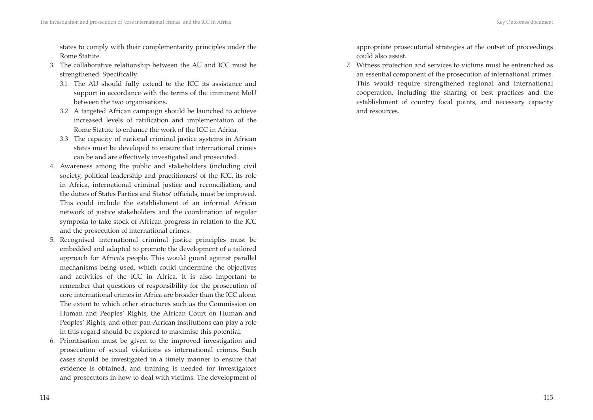states to comply with their complementarity principles under the Rome Statute.

- 3. The collaborative relationship between the AU and ICC must be strengthened. Specifically:
	- 3.1 The AU should fully extend to the ICC its assistance and support in accordance with the terms of the imminent MoU between the two organisations.
	- 3.2 A targeted African campaign should be launched to achieve increased levels of ratification and implementation of the Rome Statute to enhance the work of the ICC in Africa.
	- 3.3 The capacity of national criminal justice systems in African states must be developed to ensure that international crimes can be and are effectively investigated and prosecuted.
- 4. Awareness among the public and stakeholders (including civil society, political leadership and practitioners) of the ICC, its role in Africa, international criminal justice and reconciliation, and the duties of States Parties and States' officials, must be improved. This could include the establishment of an informal African network of justice stakeholders and the coordination of regular symposia to take stock of African progress in relation to the ICC and the prosecution of international crimes.
- 5. Recognised international criminal justice principles must be embedded and adapted to promote the development of a tailored approach for Africa's people. This would guard against parallel mechanisms being used, which could undermine the objectives and activities of the ICC in Africa. It is also important to remember that questions of responsibility for the prosecution of core international crimes in Africa are broader than the ICC alone. The extent to which other structures such as the Commission on Human and Peoples' Rights, the African Court on Human and Peoples' Rights, and other pan-African institutions can play a role in this regard should be explored to maximise this potential.
- 6. Prioritisation must be given to the improved investigation and prosecution of sexual violations as international crimes. Such cases should be investigated in a timely manner to ensure that evidence is obtained, and training is needed for investigators and prosecutors in how to deal with victims. The development of

appropriate prosecutorial strategies at the outset of proceedings could also assist.

7. Witness protection and services to victims must be entrenched as an essential component of the prosecution of international crimes. This would require strengthened regional and international cooperation, including the sharing of best practices and the establishment of country focal points, and necessary capacity and resources.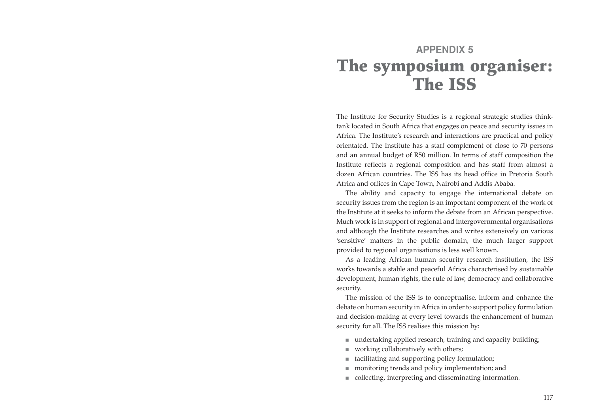# **APPENDIX 5 The symposium organiser: The ISS**

The Institute for Security Studies is a regional strategic studies thinktank located in South Africa that engages on peace and security issues in Africa. The Institute's research and interactions are practical and policy orientated. The Institute has a staff complement of close to 70 persons and an annual budget of R50 million. In terms of staff composition the Institute reflects a regional composition and has staff from almost a dozen African countries. The ISS has its head office in Pretoria South Africa and offices in Cape Town, Nairobi and Addis Ababa.

The ability and capacity to engage the international debate on security issues from the region is an important component of the work of the Institute at it seeks to inform the debate from an African perspective. Much work is in support of regional and intergovernmental organisations and although the Institute researches and writes extensively on various 'sensitive' matters in the public domain, the much larger support provided to regional organisations is less well known.

As a leading African human security research institution, the ISS works towards a stable and peaceful Africa characterised by sustainable development, human rights, the rule of law, democracy and collaborative security.

The mission of the ISS is to conceptualise, inform and enhance the debate on human security in Africa in order to support policy formulation and decision-making at every level towards the enhancement of human security for all. The ISS realises this mission by:

- undertaking applied research, training and capacity building;
- working collaboratively with others; ■
- facilitating and supporting policy formulation; ■
- monitoring trends and policy implementation; and
- collecting, interpreting and disseminating information.